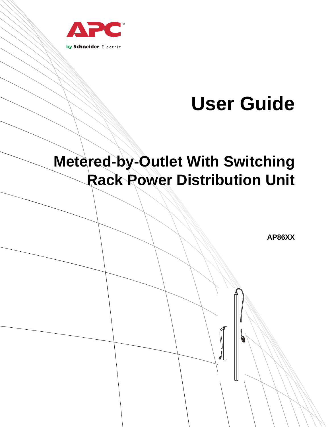

# **User Guide**

# **Metered-by-Outlet With Switching Rack Power Distribution Unit**

**AP86XX**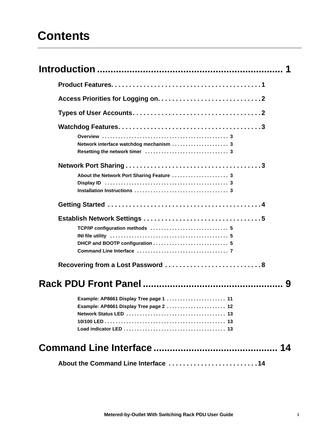# **Contents**

| Network interface watchdog mechanism  3   |
|-------------------------------------------|
|                                           |
|                                           |
| About the Network Port Sharing Feature  3 |
|                                           |
|                                           |
|                                           |
|                                           |
| TCP/IP configuration methods  5           |
|                                           |
|                                           |
|                                           |
| Recovering from a Lost Password  8        |
| 9                                         |
| Example: AP8661 Display Tree page 1  11   |
| Example: AP8661 Display Tree page 2  12   |
|                                           |
|                                           |
|                                           |
| 14                                        |
| About the Command Line Interface 14       |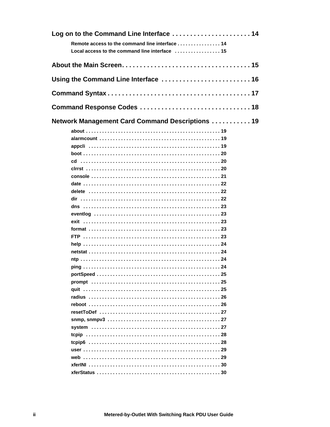| Log on to the Command Line Interface  14                                    |  |
|-----------------------------------------------------------------------------|--|
| Remote access to the command line interface 14                              |  |
| Local access to the command line interface $\dots\dots\dots\dots\dots\dots$ |  |
|                                                                             |  |
|                                                                             |  |
|                                                                             |  |
|                                                                             |  |
|                                                                             |  |
|                                                                             |  |
| <b>Network Management Card Command Descriptions  19</b>                     |  |
|                                                                             |  |
|                                                                             |  |
|                                                                             |  |
|                                                                             |  |
|                                                                             |  |
|                                                                             |  |
|                                                                             |  |
|                                                                             |  |
|                                                                             |  |
|                                                                             |  |
|                                                                             |  |
|                                                                             |  |
|                                                                             |  |
|                                                                             |  |
|                                                                             |  |
|                                                                             |  |
|                                                                             |  |
|                                                                             |  |
|                                                                             |  |
|                                                                             |  |
|                                                                             |  |
|                                                                             |  |
|                                                                             |  |
|                                                                             |  |
|                                                                             |  |
|                                                                             |  |
|                                                                             |  |
|                                                                             |  |
|                                                                             |  |
|                                                                             |  |
|                                                                             |  |
|                                                                             |  |
|                                                                             |  |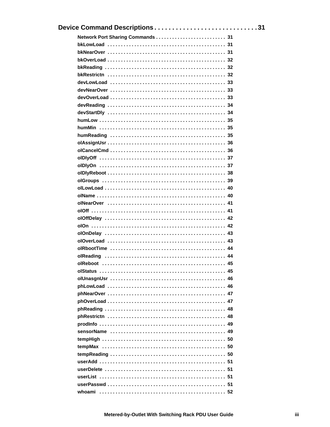| Device Command Descriptions31 |  |
|-------------------------------|--|
|                               |  |
|                               |  |
|                               |  |
|                               |  |
|                               |  |
|                               |  |
|                               |  |
|                               |  |
|                               |  |
|                               |  |
|                               |  |
|                               |  |
|                               |  |
|                               |  |
|                               |  |
|                               |  |
|                               |  |
|                               |  |
|                               |  |
|                               |  |
|                               |  |
|                               |  |
|                               |  |
|                               |  |
|                               |  |
|                               |  |
|                               |  |
|                               |  |
|                               |  |
|                               |  |
|                               |  |
|                               |  |
|                               |  |
|                               |  |
|                               |  |
|                               |  |
|                               |  |
|                               |  |
|                               |  |
|                               |  |
|                               |  |
|                               |  |
|                               |  |
|                               |  |
|                               |  |
|                               |  |
|                               |  |
|                               |  |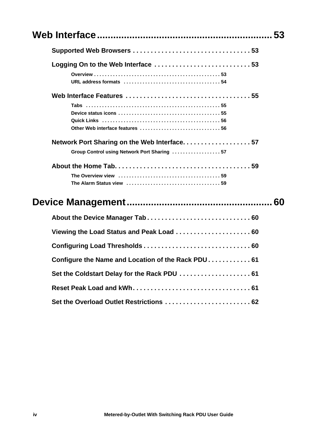|                                                                                            | 53 |
|--------------------------------------------------------------------------------------------|----|
|                                                                                            |    |
|                                                                                            |    |
|                                                                                            |    |
| Network Port Sharing on the Web Interface57<br>Group Control using Network Port Sharing 57 |    |
|                                                                                            |    |
|                                                                                            |    |
| About the Device Manager Tab 60                                                            |    |
| Viewing the Load Status and Peak Load  60                                                  |    |
|                                                                                            |    |
| Configure the Name and Location of the Rack PDU 61                                         |    |
| Set the Coldstart Delay for the Rack PDU  61                                               |    |
|                                                                                            |    |
|                                                                                            |    |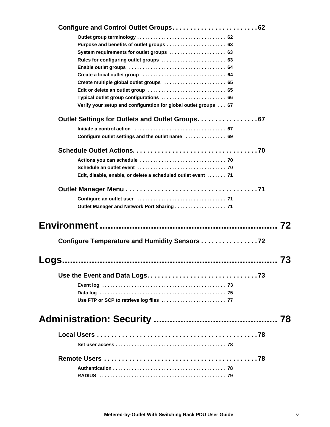| System requirements for outlet groups  63                        |    |
|------------------------------------------------------------------|----|
| Rules for configuring outlet groups  63                          |    |
|                                                                  |    |
|                                                                  |    |
| Create multiple global outlet groups  65                         |    |
|                                                                  |    |
| Verify your setup and configuration for global outlet groups  67 |    |
|                                                                  |    |
|                                                                  |    |
| Configure outlet settings and the outlet name  69                |    |
|                                                                  |    |
|                                                                  |    |
|                                                                  |    |
| Edit, disable, enable, or delete a scheduled outlet event  71    |    |
|                                                                  |    |
|                                                                  |    |
| Outlet Manager and Network Port Sharing  71                      |    |
|                                                                  | 72 |
| Configure Temperature and Humidity Sensors 72                    |    |
|                                                                  | 73 |
|                                                                  |    |
|                                                                  |    |
|                                                                  |    |
|                                                                  |    |
|                                                                  | 78 |
|                                                                  |    |
|                                                                  |    |
|                                                                  |    |
|                                                                  |    |
|                                                                  |    |
|                                                                  |    |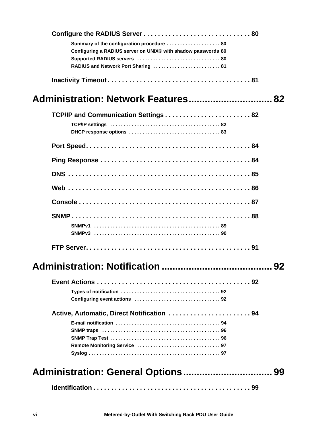| Summary of the configuration procedure  80                    |  |
|---------------------------------------------------------------|--|
| Configuring a RADIUS server on UNIX® with shadow passwords 80 |  |
| Supported RADIUS servers  80                                  |  |
| RADIUS and Network Port Sharing  81                           |  |
|                                                               |  |
| Administration: Network Features 82                           |  |
| TCP/IP and Communication Settings 82                          |  |
|                                                               |  |
|                                                               |  |
|                                                               |  |
|                                                               |  |
|                                                               |  |
|                                                               |  |
|                                                               |  |
|                                                               |  |
|                                                               |  |
|                                                               |  |
|                                                               |  |
|                                                               |  |
|                                                               |  |
|                                                               |  |
| Active, Automatic, Direct Notification 94                     |  |
|                                                               |  |
|                                                               |  |
|                                                               |  |
|                                                               |  |
|                                                               |  |
|                                                               |  |
|                                                               |  |
|                                                               |  |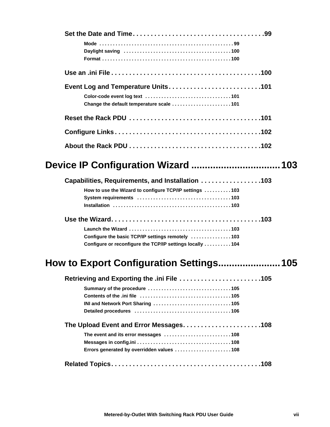| Change the default temperature scale 101 |  |  |
|------------------------------------------|--|--|
|                                          |  |  |
|                                          |  |  |
|                                          |  |  |

### **[Device IP Configuration Wizard](#page-111-0) .................................103**

| Capabilities, Requirements, and Installation 103         |  |  |
|----------------------------------------------------------|--|--|
| How to use the Wizard to configure TCP/IP settings 103   |  |  |
|                                                          |  |  |
|                                                          |  |  |
|                                                          |  |  |
|                                                          |  |  |
| Configure the basic TCP/IP settings remotely 103         |  |  |
| Configure or reconfigure the TCP/IP settings locally 104 |  |  |

### **[How to Export Configuration Settings.......................105](#page-113-0)**

| Retrieving and Exporting the .ini File 105 |  |  |  |
|--------------------------------------------|--|--|--|
|                                            |  |  |  |
|                                            |  |  |  |
|                                            |  |  |  |
|                                            |  |  |  |
| The Upload Event and Error Messages108     |  |  |  |
| The event and its error messages 108       |  |  |  |
|                                            |  |  |  |
| Errors generated by overridden values 108  |  |  |  |
|                                            |  |  |  |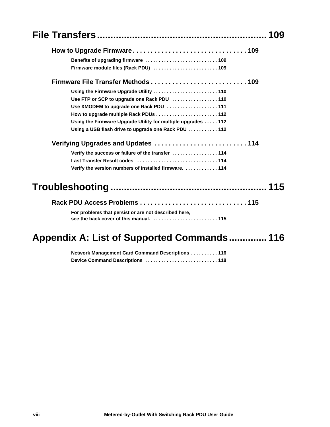|                                                                                                 | 109 |
|-------------------------------------------------------------------------------------------------|-----|
|                                                                                                 |     |
| Benefits of upgrading firmware  109                                                             |     |
| Firmware module files (Rack PDU)  109                                                           |     |
|                                                                                                 |     |
|                                                                                                 |     |
|                                                                                                 |     |
|                                                                                                 |     |
| How to upgrade multiple Rack PDUs  112                                                          |     |
| Using the Firmware Upgrade Utility for multiple upgrades 112                                    |     |
| Using a USB flash drive to upgrade one Rack PDU  112                                            |     |
| Verifying Upgrades and Updates  114                                                             |     |
| Verify the success or failure of the transfer  114                                              |     |
| Last Transfer Result codes  114                                                                 |     |
| Verify the version numbers of installed firmware.  114                                          |     |
|                                                                                                 | 115 |
|                                                                                                 |     |
| For problems that persist or are not described here,<br>see the back cover of this manual.  115 |     |
|                                                                                                 |     |

# **[Appendix A: List of Supported Commands.............. 116](#page-124-0)**

| Network Management Card Command Descriptions  116 |  |
|---------------------------------------------------|--|
| Device Command Descriptions  118                  |  |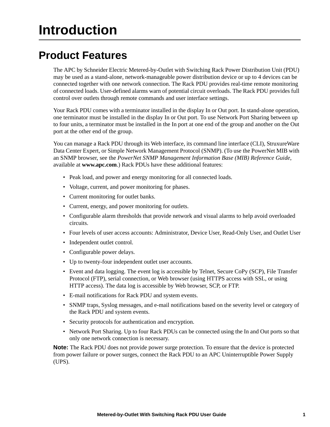# <span id="page-9-0"></span>**Introduction**

# <span id="page-9-1"></span>**Product Features**

The APC by Schneider Electric Metered-by-Outlet with Switching Rack Power Distribution Unit (PDU) may be used as a stand-alone, network-manageable power distribution device or up to 4 devices can be connected together with one network connection. The Rack PDU provides real-time remote monitoring of connected loads. User-defined alarms warn of potential circuit overloads. The Rack PDU provides full control over outlets through remote commands and user interface settings.

Your Rack PDU comes with a terminator installed in the display In or Out port. In stand-alone operation, one terminator must be installed in the display In or Out port. To use Network Port Sharing between up to four units, a terminator must be installed in the In port at one end of the group and another on the Out port at the other end of the group.

You can manage a Rack PDU through its Web interface, its command line interface (CLI), StruxureWare Data Center Expert, or Simple Network Management Protocol (SNMP). (To use the PowerNet MIB with an SNMP browser, see the *PowerNet SNMP Management Information Base (MIB) Reference Guide*, available at **www.apc.com**.) Rack PDUs have these additional features:

- Peak load, and power and energy monitoring for all connected loads.
- Voltage, current, and power monitoring for phases.
- Current monitoring for outlet banks.
- Current, energy, and power monitoring for outlets.
- Configurable alarm thresholds that provide network and visual alarms to help avoid overloaded circuits.
- Four levels of user access accounts: Administrator, Device User, Read-Only User, and Outlet User
- Independent outlet control.
- Configurable power delays.
- Up to twenty-four independent outlet user accounts.
- Event and data logging. The event log is accessible by Telnet, Secure CoPy (SCP), File Transfer Protocol (FTP), serial connection, or Web browser (using HTTPS access with SSL, or using HTTP access). The data log is accessible by Web browser, SCP, or FTP.
- E-mail notifications for Rack PDU and system events.
- SNMP traps, Syslog messages, and e-mail notifications based on the severity level or category of the Rack PDU and system events.
- Security protocols for authentication and encryption.
- Network Port Sharing. Up to four Rack PDUs can be connected using the In and Out ports so that only one network connection is necessary.

**Note:** The Rack PDU does not provide power surge protection. To ensure that the device is protected from power failure or power surges, connect the Rack PDU to an APC Uninterruptible Power Supply (UPS).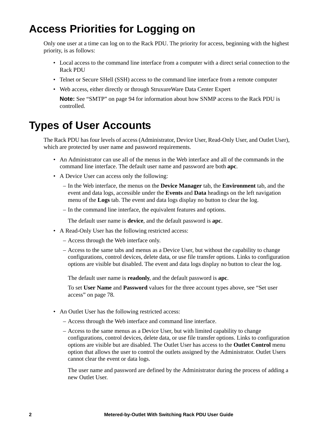## <span id="page-10-0"></span>**Access Priorities for Logging on**

Only one user at a time can log on to the Rack PDU. The priority for access, beginning with the highest priority, is as follows:

- Local access to the command line interface from a computer with a direct serial connection to the Rack PDU
- Telnet or Secure SHell (SSH) access to the command line interface from a remote computer
- Web access, either directly or through StruxureWare Data Center Expert

**Note:** See ["SMTP" on page 94](#page-102-2) for information about how SNMP access to the Rack PDU is controlled.

### <span id="page-10-1"></span>**Types of User Accounts**

The Rack PDU has four levels of access (Administrator, Device User, Read-Only User, and Outlet User), which are protected by user name and password requirements.

- An Administrator can use all of the menus in the Web interface and all of the commands in the command line interface. The default user name and password are both **apc**.
- A Device User can access only the following:
	- In the Web interface, the menus on the **Device Manager** tab, the **Environment** tab, and the event and data logs, accessible under the **Events** and **Data** headings on the left navigation menu of the **Logs** tab. The event and data logs display no button to clear the log.
	- In the command line interface, the equivalent features and options.

The default user name is **device**, and the default password is **apc**.

- A Read-Only User has the following restricted access:
	- Access through the Web interface only.
	- Access to the same tabs and menus as a Device User, but without the capability to change configurations, control devices, delete data, or use file transfer options. Links to configuration options are visible but disabled. The event and data logs display no button to clear the log.

The default user name is **readonly**, and the default password is **apc**.

To set **User Name** and **Password** values for the three account types above, see ["Set user](#page-86-2)  [access" on page 78.](#page-86-2)

- An Outlet User has the following restricted access:
	- Access through the Web interface and command line interface.
	- Access to the same menus as a Device User, but with limited capability to change configurations, control devices, delete data, or use file transfer options. Links to configuration options are visible but are disabled. The Outlet User has access to the **Outlet Control** menu option that allows the user to control the outlets assigned by the Administrator. Outlet Users cannot clear the event or data logs.

The user name and password are defined by the Administrator during the process of adding a new Outlet User.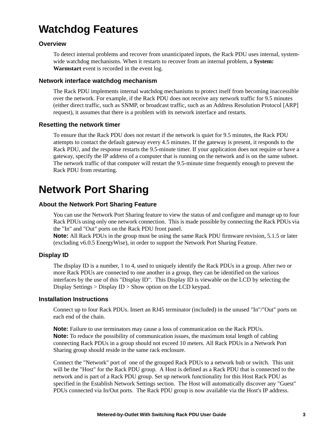# <span id="page-11-0"></span>**Watchdog Features**

#### <span id="page-11-1"></span>**Overview**

To detect internal problems and recover from unanticipated inputs, the Rack PDU uses internal, systemwide watchdog mechanisms. When it restarts to recover from an internal problem, a **System: Warmstart** event is recorded in the event log.

#### <span id="page-11-2"></span>**Network interface watchdog mechanism**

The Rack PDU implements internal watchdog mechanisms to protect itself from becoming inaccessible over the network. For example, if the Rack PDU does not receive any network traffic for 9.5 minutes (either direct traffic, such as SNMP, or broadcast traffic, such as an Address Resolution Protocol [ARP] request), it assumes that there is a problem with its network interface and restarts.

#### <span id="page-11-3"></span>**Resetting the network timer**

To ensure that the Rack PDU does not restart if the network is quiet for 9.5 minutes, the Rack PDU attempts to contact the default gateway every 4.5 minutes. If the gateway is present, it responds to the Rack PDU, and the response restarts the 9.5-minute timer. If your application does not require or have a gateway, specify the IP address of a computer that is running on the network and is on the same subnet. The network traffic of that computer will restart the 9.5-minute time frequently enough to prevent the Rack PDU from restarting.

### <span id="page-11-4"></span>**Network Port Sharing**

#### <span id="page-11-5"></span>**About the Network Port Sharing Feature**

You can use the Network Port Sharing feature to view the status of and configure and manage up to four Rack PDUs using only one network connection. This is made possible by connecting the Rack PDUs via the "In" and "Out" ports on the Rack PDU front panel.

**Note:** All Rack PDUs in the group must be using the same Rack PDU firmware revision, 5.1.5 or later (excluding v6.0.5 EnergyWise), in order to support the Network Port Sharing Feature.

#### <span id="page-11-6"></span>**Display ID**

The display ID is a number, 1 to 4, used to uniquely identify the Rack PDUs in a group. After two or more Rack PDUs are connected to one another in a group, they can be identified on the various interfaces by the use of this "Display ID". This Display ID is viewable on the LCD by selecting the Display Settings > Display ID > Show option on the LCD keypad.

#### <span id="page-11-7"></span>**Installation Instructions**

Connect up to four Rack PDUs. Insert an RJ45 terminator (included) in the unused "In"/"Out" ports on each end of the chain.

**Note:** Failure to use terminators may cause a loss of communication on the Rack PDUs. **Note:** To reduce the possibility of communication issues, the maximum total length of cabling connecting Rack PDUs in a group should not exceed 10 meters. All Rack PDUs in a Network Port Sharing group should reside in the same rack enclosure.

Connect the "Network" port of one of the grouped Rack PDUs to a network hub or switch. This unit will be the "Host" for the Rack PDU group. A Host is defined as a Rack PDU that is connected to the network and is part of a Rack PDU group. Set up network functionality for this Host Rack PDU as specified in the Establish Network Settings section. The Host will automatically discover any "Guest" PDUs connected via In/Out ports. The Rack PDU group is now available via the Host's IP address.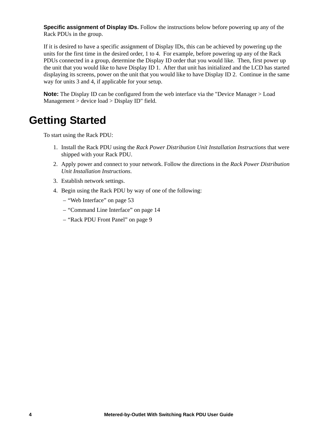**Specific assignment of Display IDs.** Follow the instructions below before powering up any of the Rack PDUs in the group.

If it is desired to have a specific assignment of Display IDs, this can be achieved by powering up the units for the first time in the desired order, 1 to 4. For example, before powering up any of the Rack PDUs connected in a group, determine the Display ID order that you would like. Then, first power up the unit that you would like to have Display ID 1. After that unit has initialized and the LCD has started displaying its screens, power on the unit that you would like to have Display ID 2. Continue in the same way for units 3 and 4, if applicable for your setup.

**Note:** The Display ID can be configured from the web interface via the "Device Manager > Load Management > device load > Display ID" field.

### <span id="page-12-0"></span>**Getting Started**

To start using the Rack PDU:

- 1. Install the Rack PDU using the *Rack Power Distribution Unit Installation Instructions* that were shipped with your Rack PDU.
- 2. Apply power and connect to your network. Follow the directions in the *Rack Power Distribution Unit Installation Instructions*.
- 3. Establish network settings.
- 4. Begin using the Rack PDU by way of one of the following:
	- – ["Web Interface" on page 53](#page-61-0)
	- – ["Command Line Interface" on page 14](#page-22-0)
	- – ["Rack PDU Front Panel" on page 9](#page-17-0)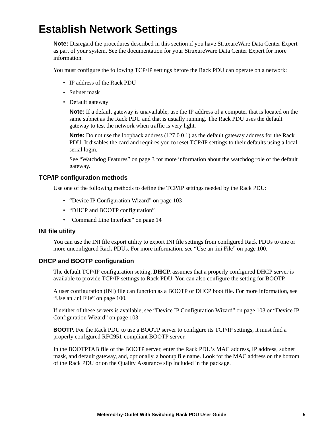## <span id="page-13-0"></span>**Establish Network Settings**

**Note:** Disregard the procedures described in this section if you have StruxureWare Data Center Expert as part of your system. See the documentation for your StruxureWare Data Center Expert for more information.

You must configure the following TCP/IP settings before the Rack PDU can operate on a network:

- IP address of the Rack PDU
- Subnet mask
- Default gateway

**Note:** If a default gateway is unavailable, use the IP address of a computer that is located on the same subnet as the Rack PDU and that is usually running. The Rack PDU uses the default gateway to test the network when traffic is very light.

**Note:** Do not use the loopback address (127.0.0.1) as the default gateway address for the Rack PDU. It disables the card and requires you to reset TCP/IP settings to their defaults using a local serial login.

See ["Watchdog Features" on page 3](#page-11-0) for more information about the watchdog role of the default gateway.

#### <span id="page-13-1"></span>**TCP/IP configuration methods**

Use one of the following methods to define the TCP/IP settings needed by the Rack PDU:

- ["Device IP Configuration Wizard" on page 103](#page-111-0)
- "DHCP and BOOTP configuration"
- ["Command Line Interface" on page 14](#page-22-0)

#### <span id="page-13-2"></span>**INI file utility**

You can use the INI file export utility to export INI file settings from configured Rack PDUs to one or more unconfigured Rack PDUs. For more information, see ["Use an .ini File" on page 100.](#page-108-2)

#### <span id="page-13-3"></span>**DHCP and BOOTP configuration**

The default TCP/IP configuration setting, **DHCP**, assumes that a properly configured DHCP server is available to provide TCP/IP settings to Rack PDU. You can also configure the setting for BOOTP.

A user configuration (INI) file can function as a BOOTP or DHCP boot file. For more information, see ["Use an .ini File" on page 100](#page-108-2).

If neither of these servers is available, see ["Device IP Configuration Wizard" on page 103](#page-111-0) or ["Device IP](#page-111-0)  [Configuration Wizard" on page 103.](#page-111-0)

**BOOTP.** For the Rack PDU to use a BOOTP server to configure its TCP/IP settings, it must find a properly configured RFC951-compliant BOOTP server.

In the BOOTPTAB file of the BOOTP server, enter the Rack PDU's MAC address, IP address, subnet mask, and default gateway, and, optionally, a bootup file name. Look for the MAC address on the bottom of the Rack PDU or on the Quality Assurance slip included in the package.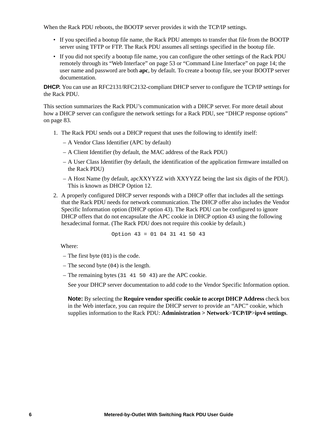When the Rack PDU reboots, the BOOTP server provides it with the TCP/IP settings.

- If you specified a bootup file name, the Rack PDU attempts to transfer that file from the BOOTP server using TFTP or FTP. The Rack PDU assumes all settings specified in the bootup file.
- If you did not specify a bootup file name, you can configure the other settings of the Rack PDU remotely through its ["Web Interface" on page 53](#page-61-0) or ["Command Line Interface" on page 14;](#page-22-0) the user name and password are both **apc**, by default. To create a bootup file, see your BOOTP server documentation.

**DHCP.** You can use an RFC2131/RFC2132-compliant DHCP server to configure the TCP/IP settings for the Rack PDU.

This section summarizes the Rack PDU's communication with a DHCP server. For more detail about how a DHCP server can configure the network settings for a Rack PDU, see "DHCP response options" [on page 83](#page-91-0).

- 1. The Rack PDU sends out a DHCP request that uses the following to identify itself:
	- A Vendor Class Identifier (APC by default)
	- A Client Identifier (by default, the MAC address of the Rack PDU)
	- A User Class Identifier (by default, the identification of the application firmware installed on the Rack PDU)
	- A Host Name (by default, apcXXYYZZ with XXYYZZ being the last six digits of the PDU). This is known as DHCP Option 12.
- 2. A properly configured DHCP server responds with a DHCP offer that includes all the settings that the Rack PDU needs for network communication. The DHCP offer also includes the Vendor Specific Information option (DHCP option 43). The Rack PDU can be configured to ignore DHCP offers that do not encapsulate the APC cookie in DHCP option 43 using the following hexadecimal format. (The Rack PDU does not require this cookie by default.)

Option 
$$
43 = 01 \ 04 \ 31 \ 41 \ 50 \ 43
$$

Where:

- The first byte (01) is the code.
- The second byte (04) is the length.
- The remaining bytes (31 41 50 43) are the APC cookie.

See your DHCP server documentation to add code to the Vendor Specific Information option.

**Note:** By selecting the **Require vendor specific cookie to accept DHCP Address** check box in the Web interface, you can require the DHCP server to provide an "APC" cookie, which supplies information to the Rack PDU: **Administration > Network**>**TCP/IP**>**ipv4 settings**.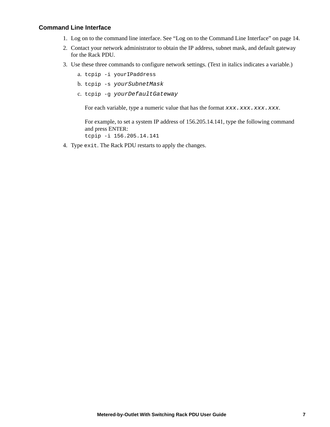#### <span id="page-15-0"></span>**Command Line Interface**

- 1. Log on to the command line interface. See ["Log on to the Command Line Interface" on page 14](#page-22-2).
- 2. Contact your network administrator to obtain the IP address, subnet mask, and default gateway for the Rack PDU.
- 3. Use these three commands to configure network settings. (Text in italics indicates a variable.)
	- a. tcpip -i yourIPaddress
	- b. tcpip -s *yourSubnetMask*
	- c. tcpip -g *yourDefaultGateway*

For each variable, type a numeric value that has the format *xxx*.*xxx.xxx.xxx.xxx*.

For example, to set a system IP address of 156.205.14.141, type the following command and press ENTER:

tcpip -i 156.205.14.141

4. Type exit. The Rack PDU restarts to apply the changes.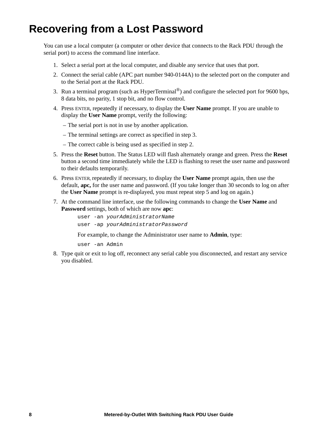## <span id="page-16-0"></span>**Recovering from a Lost Password**

You can use a local computer (a computer or other device that connects to the Rack PDU through the serial port) to access the command line interface.

- 1. Select a serial port at the local computer, and disable any service that uses that port.
- 2. Connect the serial cable (APC part number 940-0144A) to the selected port on the computer and to the Serial port at the Rack PDU.
- 3. Run a terminal program (such as HyperTerminal®) and configure the selected port for 9600 bps, 8 data bits, no parity, 1 stop bit, and no flow control.
- 4. Press ENTER, repeatedly if necessary, to display the **User Name** prompt. If you are unable to display the **User Name** prompt, verify the following:
	- The serial port is not in use by another application.
	- The terminal settings are correct as specified in step 3.
	- The correct cable is being used as specified in step 2.
- 5. Press the **Reset** button. The Status LED will flash alternately orange and green. Press the **Reset** button a second time immediately while the LED is flashing to reset the user name and password to their defaults temporarily.
- 6. Press ENTER, repeatedly if necessary, to display the **User Name** prompt again, then use the default, **apc,** for the user name and password. (If you take longer than 30 seconds to log on after the **User Name** prompt is re-displayed, you must repeat step 5 and log on again.)
- 7. At the command line interface, use the following commands to change the **User Name** and **Password** settings, both of which are now **apc**:

user -an *yourAdministratorName* user -ap *yourAdministratorPassword*

For example, to change the Administrator user name to **Admin**, type:

user -an Admin

8. Type quit or exit to log off, reconnect any serial cable you disconnected, and restart any service you disabled.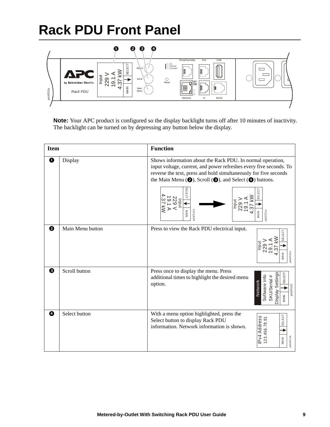# <span id="page-17-0"></span>**Rack PDU Front Panel**



**Note:** Your APC product is configured so the display backlight turns off after 10 minutes of inactivity. The backlight can be turned on by depressing any button below the display.

| <b>Item</b> |                  | <b>Function</b>                                                                                                                                                                                                                                                                                                                                                                                                                                                             |
|-------------|------------------|-----------------------------------------------------------------------------------------------------------------------------------------------------------------------------------------------------------------------------------------------------------------------------------------------------------------------------------------------------------------------------------------------------------------------------------------------------------------------------|
| 0           | Display          | Shows information about the Rack PDU. In normal operation,<br>input voltage, current, and power refreshes every five seconds. To<br>reverse the text, press and hold simultaneously for five seconds<br>the Main Menu $\textcircled{\textbf{4}}$ , Scroll $\textcircled{\textbf{4}}$ , and Select $\textcircled{\textbf{4}}$ buttons.<br><b>SELECT</b><br><b>SELECT</b><br>$rac{1}{229}$<br>229<br>19<br>Input<br>$\leqslant$<br>MAIN<br>100514a<br>3d <sub>U</sub><br>MAIN |
| 0           | Main Menu button | Press to view the Rack PDU electrical input.<br><b>SELECT</b><br>MAIN<br>pdu0511                                                                                                                                                                                                                                                                                                                                                                                            |
| ❸           | Scroll button    | Press once to display the menu. Press<br><b>Display Settings</b><br>SELECT<br>Software Info<br>SKU/Serial #<br>additional times to highlight the desired menu<br>Network<br>option.<br>pdu0512b<br>MAIN                                                                                                                                                                                                                                                                     |
| ❹           | Select button    | With a menu option highlighted, press the<br>SELECT<br>IPv4 Address<br>123.456.78.91<br>Select button to display Rack PDU<br>information. Network information is shown.<br>pdu0513a<br>MAIN                                                                                                                                                                                                                                                                                 |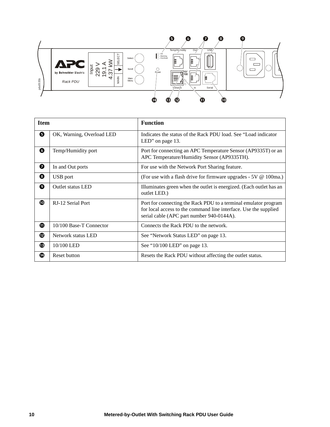

| pdu0535b    | Ā<br>Ividiri<br>Menu<br>Rack PDU | Serial<br>ര<br>መ<br>œ<br>œ                                                                                                                                                       |
|-------------|----------------------------------|----------------------------------------------------------------------------------------------------------------------------------------------------------------------------------|
| <b>Item</b> |                                  | <b>Function</b>                                                                                                                                                                  |
| ❺           | OK, Warning, Overload LED        | Indicates the status of the Rack PDU load. See "Load indicator"<br>LED" on page 13.                                                                                              |
| ❻           | Temp/Humidity port               | Port for connecting an APC Temperature Sensor (AP9335T) or an<br>APC Temperature/Humidity Sensor (AP9335TH).                                                                     |
| 0           | In and Out ports                 | For use with the Network Port Sharing feature.                                                                                                                                   |
| ❸           | USB port                         | (For use with a flash drive for firmware upgrades - 5V @ 100ma.)                                                                                                                 |
| 0           | <b>Outlet status LED</b>         | Illuminates green when the outlet is energized. (Each outlet has an<br>outlet LED.)                                                                                              |
| ◍           | RJ-12 Serial Port                | Port for connecting the Rack PDU to a terminal emulator program<br>for local access to the command line interface. Use the supplied<br>serial cable (APC part number 940-0144A). |
| $\bf \Phi$  | 10/100 Base-T Connector          | Connects the Rack PDU to the network.                                                                                                                                            |
| ®           | Network status LED               | See "Network Status LED" on page 13.                                                                                                                                             |
| ⊕           | 10/100 LED                       | See "10/100 LED" on page 13.                                                                                                                                                     |
| ⊕           | Reset button                     | Resets the Rack PDU without affecting the outlet status.                                                                                                                         |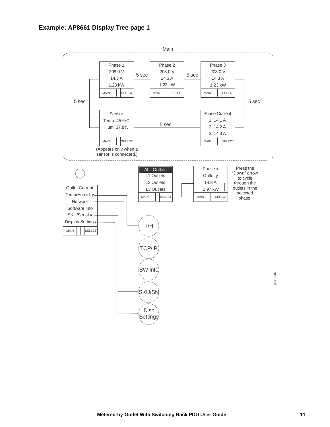<span id="page-19-0"></span>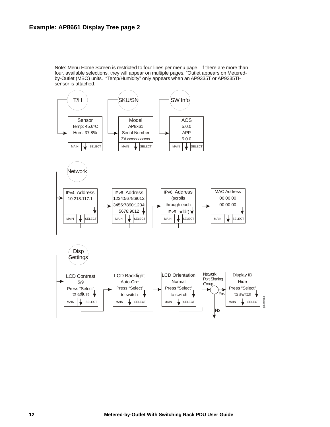<span id="page-20-0"></span>Note: Menu Home Screen is restricted to four lines per menu page. If there are more than four. available selections, they will appear on multiple pages. "Outlet appears on Meteredby-Outlet (MBO) units. "Temp/Humidity" only appears when an AP9335T or AP9335TH sensor is attached.

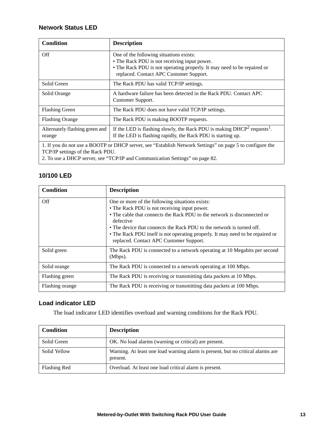#### <span id="page-21-0"></span>**Ne**t**work Status LED**

| <b>Condition</b>                                                                                                                                                                                                             | <b>Description</b>                                                                                                                                                                                            |
|------------------------------------------------------------------------------------------------------------------------------------------------------------------------------------------------------------------------------|---------------------------------------------------------------------------------------------------------------------------------------------------------------------------------------------------------------|
| Off                                                                                                                                                                                                                          | One of the following situations exists:<br>• The Rack PDU is not receiving input power.<br>• The Rack PDU is not operating properly. It may need to be repaired or<br>replaced. Contact APC Customer Support. |
| Solid Green                                                                                                                                                                                                                  | The Rack PDU has valid TCP/IP settings.                                                                                                                                                                       |
| Solid Orange                                                                                                                                                                                                                 | A hardware failure has been detected in the Rack PDU. Contact APC<br>Customer Support.                                                                                                                        |
| <b>Flashing Green</b>                                                                                                                                                                                                        | The Rack PDU does not have valid TCP/IP settings.                                                                                                                                                             |
| <b>Flashing Orange</b>                                                                                                                                                                                                       | The Rack PDU is making BOOTP requests.                                                                                                                                                                        |
| Alternately flashing green and<br>orange                                                                                                                                                                                     | If the LED is flashing slowly, the Rack PDU is making $DHCP2$ requests <sup>1</sup> .<br>If the LED is flashing rapidly, the Rack PDU is starting up.                                                         |
| 1. If you do not use a BOOTP or DHCP server, see "Establish Network Settings" on page 5 to configure the<br>TCP/IP settings of the Rack PDU.<br>2. To use a DHCP server, see "TCP/IP and Communication Settings" on page 82. |                                                                                                                                                                                                               |

#### <span id="page-21-1"></span>**10/100 LED**

| <b>Condition</b> | <b>Description</b>                                                                                                                                                                                                                                                                                                                                                                             |
|------------------|------------------------------------------------------------------------------------------------------------------------------------------------------------------------------------------------------------------------------------------------------------------------------------------------------------------------------------------------------------------------------------------------|
| Off              | One or more of the following situations exists:<br>• The Rack PDU is not receiving input power.<br>• The cable that connects the Rack PDU to the network is disconnected or<br>defective<br>• The device that connects the Rack PDU to the network is turned off.<br>• The Rack PDU itself is not operating properly. It may need to be repaired or<br>replaced. Contact APC Customer Support. |
| Solid green      | The Rack PDU is connected to a network operating at 10 Megabits per second<br>(Mbps).                                                                                                                                                                                                                                                                                                          |
| Solid orange     | The Rack PDU is connected to a network operating at 100 Mbps.                                                                                                                                                                                                                                                                                                                                  |
| Flashing green   | The Rack PDU is receiving or transmitting data packets at 10 Mbps.                                                                                                                                                                                                                                                                                                                             |
| Flashing orange  | The Rack PDU is receiving or transmitting data packets at 100 Mbps.                                                                                                                                                                                                                                                                                                                            |

#### <span id="page-21-2"></span>**Load indicator LED**

The load indicator LED identifies overload and warning conditions for the Rack PDU.

| Condition    | <b>Description</b>                                                                          |
|--------------|---------------------------------------------------------------------------------------------|
| Solid Green  | OK. No load alarms (warning or critical) are present.                                       |
| Solid Yellow | Warning. At least one load warning alarm is present, but no critical alarms are<br>present. |
| Flashing Red | Overload. At least one load critical alarm is present.                                      |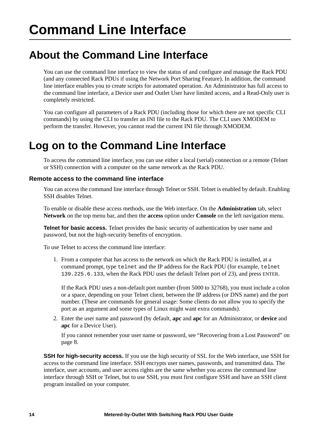## <span id="page-22-1"></span><span id="page-22-0"></span>**About the Command Line Interface**

You can use the command line interface to view the status of and configure and manage the Rack PDU (and any connected Rack PDUs if using the Network Port Sharing Feature). In addition, the command line interface enables you to create scripts for automated operation. An Administrator has full access to the command line interface, a Device user and Outlet User have limited access, and a Read-Only user is completely restricted.

You can configure all parameters of a Rack PDU (including those for which there are not specific CLI commands) by using the CLI to transfer an INI file to the Rack PDU. The CLI uses XMODEM to perform the transfer. However, you cannot read the current INI file through XMODEM.

### <span id="page-22-2"></span>**Log on to the Command Line Interface**

To access the command line interface, you can use either a local (serial) connection or a remote (Telnet or SSH) connection with a computer on the same network as the Rack PDU.

#### <span id="page-22-3"></span>**Remote access to the command line interface**

You can access the command line interface through Telnet or SSH. Telnet is enabled by default. Enabling SSH disables Telnet.

To enable or disable these access methods, use the Web interface. On the **Administration** tab, select **Network** on the top menu bar, and then the **access** option under **Console** on the left navigation menu.

**Telnet for basic access.** Telnet provides the basic security of authentication by user name and password, but not the high-security benefits of encryption.

To use Telnet to access the command line interface:

1. From a computer that has access to the network on which the Rack PDU is installed, at a command prompt, type telnet and the IP address for the Rack PDU (for example, telnet 139.225.6.133, when the Rack PDU uses the default Telnet port of 23), and press ENTER.

If the Rack PDU uses a non-default port number (from 5000 to 32768), you must include a colon or a space, depending on your Telnet client, between the IP address (or DNS name) and the port number. (These are commands for general usage: Some clients do not allow you to specify the port as an argument and some types of Linux might want extra commands).

2. Enter the user name and password (by default, **apc** and **apc** for an Administrator, or **device** and **apc** for a Device User).

If you cannot remember your user name or password, see ["Recovering from a Lost Password" on](#page-16-0)  [page 8.](#page-16-0)

**SSH for high-security access.** If you use the high security of SSL for the Web interface, use SSH for access to the command line interface. SSH encrypts user names, passwords, and transmitted data. The interface, user accounts, and user access rights are the same whether you access the command line interface through SSH or Telnet, but to use SSH, you must first configure SSH and have an SSH client program installed on your computer.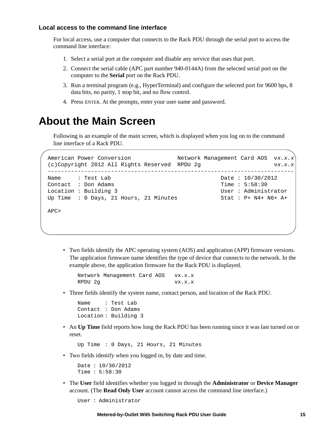#### <span id="page-23-0"></span>**Local access to the command line interface**

For local access, use a computer that connects to the Rack PDU through the serial port to access the command line interface:

- 1. Select a serial port at the computer and disable any service that uses that port.
- 2. Connect the serial cable (APC part number 940-0144A) from the selected serial port on the computer to the **Serial** port on the Rack PDU.
- 3. Run a terminal program (e.g., HyperTerminal) and configure the selected port for 9600 bps, 8 data bits, no parity, 1 stop bit, and no flow control.
- 4. Press ENTER. At the prompts, enter your user name and password.

### <span id="page-23-1"></span>**About the Main Screen**

Following is an example of the main screen, which is displayed when you log on to the command line interface of a Rack PDU.

```
American Power Conversion Network Management Card AOS vx.x.x
(c)Copyright 2012 All Rights Reserved RPDU 2g vx.x.x--------------------------------------------------------------------------
Name : Test Lab Date : 10/30/2012
Contact : Don Adams Time : 5:58:30
Location : Building 3 and User : Administrator
Up Time : 0 Days, 21 Hours, 21 Minutes Stat : P+ N4+ N6+ A+
APC>
```
• Two fields identify the APC operating system (AOS) and application (APP) firmware versions. The application firmware name identifies the type of device that connects to the network. In the example above, the application firmware for the Rack PDU is displayed.

Network Management Card AOS vx.x.x RPDU 2q vx.x.x

• Three fields identify the system name, contact person, and location of the Rack PDU.

Name : Test Lab Contact : Don Adams Location : Building 3

• An **Up Time** field reports how long the Rack PDU has been running since it was last turned on or reset.

Up Time : 0 Days, 21 Hours, 21 Minutes

• Two fields identify when you logged in, by date and time.

```
Date : 10/30/2012
Time : 5:58:30
```
• The **User** field identifies whether you logged in through the **Administrator** or **Device Manager** account. (The **Read Only User** account cannot access the command line interface.)

```
User : Administrator
```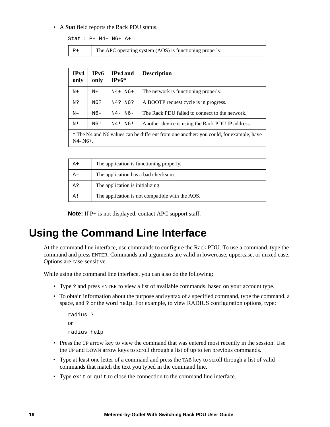#### • A **Stat** field reports the Rack PDU status.

Stat : P+ N4+ N6+ A+

```
P+ The APC operating system (AOS) is functioning properly.
```
**IPv4 only IPv6 only IPv4 and IPv6\* Description**  $N^+$  N+ N4+ N6+ The network is functioning properly. N? | N6? | N4? N6? | A BOOTP request cycle is in progress.  $N-$  N6- N4- N6- The Rack PDU failed to connect to the network.  $N!$  N6! N4! N6! Another device is using the Rack PDU IP address. \* The N4 and N6 values can be different from one another: you could, for example, have N4- N6+.

| $A+$ | The application is functioning properly.        |
|------|-------------------------------------------------|
| A-   | The application has a bad checksum.             |
| A?   | The application is initializing.                |
| A!   | The application is not compatible with the AOS. |

**Note:** If P+ is not displayed, contact APC support staff.

### <span id="page-24-0"></span>**Using the Command Line Interface**

At the command line interface, use commands to configure the Rack PDU. To use a command, type the command and press ENTER. Commands and arguments are valid in lowercase, uppercase, or mixed case. Options are case-sensitive.

While using the command line interface, you can also do the following:

- Type ? and press ENTER to view a list of available commands, based on your account type.
- To obtain information about the purpose and syntax of a specified command, type the command, a space, and ? or the word help. For example, to view RADIUS configuration options, type:

```
radius ?
or 
radius help
```
- Press the UP arrow key to view the command that was entered most recently in the session. Use the UP and DOWN arrow keys to scroll through a list of up to ten previous commands.
- Type at least one letter of a command and press the TAB key to scroll through a list of valid commands that match the text you typed in the command line.
- Type exit or quit to close the connection to the command line interface.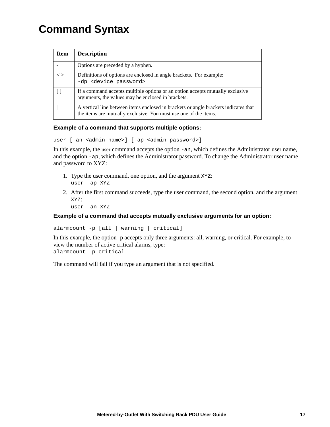# <span id="page-25-0"></span>**Command Syntax**

| Item              | <b>Description</b>                                                                                                                                      |
|-------------------|---------------------------------------------------------------------------------------------------------------------------------------------------------|
|                   | Options are preceded by a hyphen.                                                                                                                       |
| $\langle \rangle$ | Definitions of options are enclosed in angle brackets. For example:<br>-dp <device password=""></device>                                                |
|                   | If a command accepts multiple options or an option accepts mutually exclusive<br>arguments, the values may be enclosed in brackets.                     |
|                   | A vertical line between items enclosed in brackets or angle brackets indicates that<br>the items are mutually exclusive. You must use one of the items. |

#### **Example of a command that supports multiple options:**

```
user [-an <admin name>] [-ap <admin password>]
```
In this example, the user command accepts the option -an, which defines the Administrator user name, and the option -ap, which defines the Administrator password. To change the Administrator user name and password to XYZ:

- 1. Type the user command, one option, and the argument XYZ: user -ap XYZ
- 2. After the first command succeeds, type the user command, the second option, and the argument XYZ:

```
user -an XYZ
```
#### **Example of a command that accepts mutually exclusive arguments for an option:**

```
alarmcount -p [all | warning | critical]
```
In this example, the option -p accepts only three arguments: all, warning, or critical. For example, to view the number of active critical alarms, type:

alarmcount -p critical

The command will fail if you type an argument that is not specified.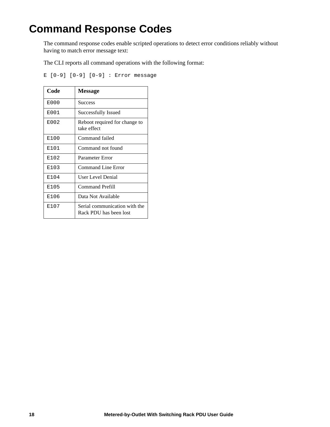# <span id="page-26-0"></span>**Command Response Codes**

The command response codes enable scripted operations to detect error conditions reliably without having to match error message text:

The CLI reports all command operations with the following format:

E [0-9] [0-9] [0-9] : Error message

| Code | <b>Message</b>                                          |
|------|---------------------------------------------------------|
| E000 | <b>Success</b>                                          |
| E001 | Successfully Issued                                     |
| E002 | Reboot required for change to<br>take effect            |
| E100 | Command failed                                          |
| E101 | Command not found                                       |
| E102 | Parameter Error                                         |
| E103 | Command Line Error                                      |
| E104 | User Level Denial                                       |
| E105 | <b>Command Prefill</b>                                  |
| E106 | Data Not Available                                      |
| E107 | Serial communication with the<br>Rack PDU has been lost |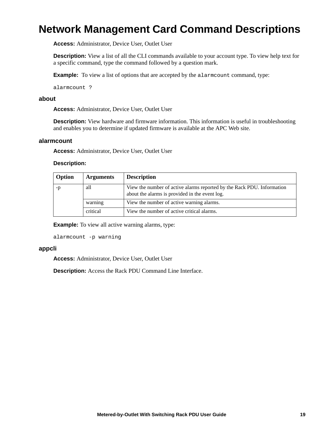### <span id="page-27-0"></span>**Network Management Card Command Descriptions**

**Access:** Administrator, Device User, Outlet User

**Description:** View a list of all the CLI commands available to your account type. To view help text for a specific command, type the command followed by a question mark.

**Example:** To view a list of options that are accepted by the alarmount command, type:

alarmcount ?

#### <span id="page-27-1"></span>**about**

**Access:** Administrator, Device User, Outlet User

**Description:** View hardware and firmware information. This information is useful in troubleshooting and enables you to determine if updated firmware is available at the APC Web site.

#### <span id="page-27-2"></span>**alarmcount**

**Access:** Administrator, Device User, Outlet User

#### **Description:**

| Option | <b>Arguments</b> | <b>Description</b>                                                                                                       |  |
|--------|------------------|--------------------------------------------------------------------------------------------------------------------------|--|
| -p     | all              | View the number of active alarms reported by the Rack PDU. Information<br>about the alarms is provided in the event log. |  |
|        | warning          | View the number of active warning alarms.                                                                                |  |
|        | critical         | View the number of active critical alarms.                                                                               |  |

**Example:** To view all active warning alarms, type:

alarmcount -p warning

#### <span id="page-27-3"></span>**appcli**

**Access:** Administrator, Device User, Outlet User

**Description:** Access the Rack PDU Command Line Interface.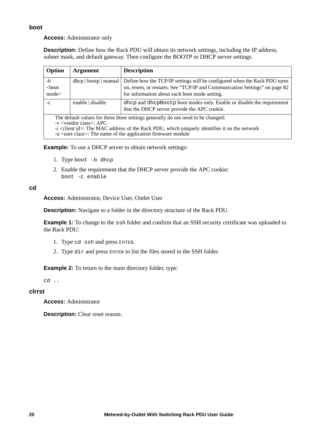#### <span id="page-28-0"></span>**boot**

**Access:** Administrator only

**Description:** Define how the Rack PDU will obtain its network settings, including the IP address, subnet mask, and default gateway. Then configure the BOOTP or DHCP server settings.

| Option                   | <b>Argument</b>                                                                                                                                                                                                                                                                                        | <b>Description</b>                                                                                                                                                                                        |
|--------------------------|--------------------------------------------------------------------------------------------------------------------------------------------------------------------------------------------------------------------------------------------------------------------------------------------------------|-----------------------------------------------------------------------------------------------------------------------------------------------------------------------------------------------------------|
| $-b$<br>$<$ boot<br>mode | $dhcp \mid bootp \mid manual$                                                                                                                                                                                                                                                                          | Define how the TCP/IP settings will be configured when the Rack PDU turns<br>on, resets, or restarts. See "TCP/IP and Communication Settings" on page 82<br>for information about each boot mode setting. |
| $-c$                     | enable   disable                                                                                                                                                                                                                                                                                       | dhep and dhep Boot p boot modes only. Enable or disable the requirement<br>that the DHCP server provide the APC cookie.                                                                                   |
|                          | The default values for these three settings generally do not need to be changed:<br>$-v \lt$ vendor class>: APC<br>-i <client id="">: The MAC address of the Rack PDU, which uniquely identifies it on the network<br/>-u <user class="">: The name of the application firmware module</user></client> |                                                                                                                                                                                                           |

**Example:** To use a DHCP server to obtain network settings:

- 1. Type boot -b dhcp
- 2. Enable the requirement that the DHCP server provide the APC cookie: boot -c enable

#### <span id="page-28-1"></span>**cd**

**Access:** Administrator, Device User, Outlet User

**Description:** Navigate to a folder in the directory structure of the Rack PDU.

**Example 1:** To change to the ssh folder and confirm that an SSH security certificate was uploaded to the Rack PDU:

- 1. Type cd ssh and press ENTER.
- 2. Type dir and press ENTER to list the files stored in the SSH folder.

**Example 2:** To return to the main directory folder, type:

cd ..

#### <span id="page-28-2"></span>**clrrst**

**Access:** Administrator

**Description:** Clear reset reason.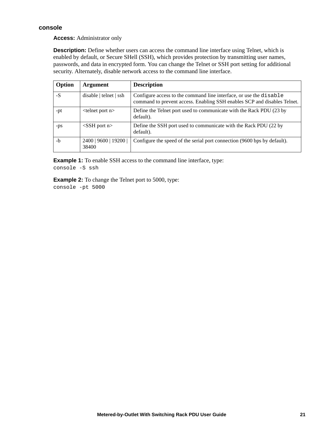#### <span id="page-29-0"></span>**console**

**Access:** Administrator only

**Description:** Define whether users can access the command line interface using Telnet, which is enabled by default, or Secure SHell (SSH), which provides protection by transmitting user names, passwords, and data in encrypted form. You can change the Telnet or SSH port setting for additional security. Alternately, disable network access to the command line interface.

| Option | <b>Argument</b>                | <b>Description</b>                                                                                                                             |
|--------|--------------------------------|------------------------------------------------------------------------------------------------------------------------------------------------|
| $-S$   | disable   tellnet   sh         | Configure access to the command line interface, or use the disable<br>command to prevent access. Enabling SSH enables SCP and disables Telnet. |
| -pt    | $lt$ telnet port n $gt$        | Define the Telnet port used to communicate with the Rack PDU (23 by<br>default).                                                               |
| -ps    | $<$ SSH port n $>$             | Define the SSH port used to communicate with the Rack PDU (22 by<br>default).                                                                  |
| -h     | 2400   9600   19200  <br>38400 | Configure the speed of the serial port connection (9600 bps by default).                                                                       |

**Example 1:** To enable SSH access to the command line interface, type: console -S ssh

**Example 2:** To change the Telnet port to 5000, type: console -pt 5000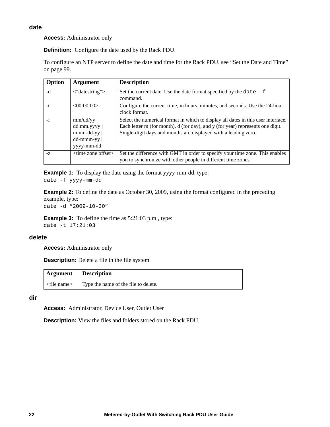<span id="page-30-0"></span>**Access:** Administrator only

**Definition:** Configure the date used by the Rack PDU.

To configure an NTP server to define the date and time for the Rack PDU, see ["Set the Date and Time"](#page-107-2)  [on page 99](#page-107-2).

| Option | <b>Argument</b>                                                          | <b>Description</b>                                                                                                                                                                                                                     |
|--------|--------------------------------------------------------------------------|----------------------------------------------------------------------------------------------------------------------------------------------------------------------------------------------------------------------------------------|
| -d     | $\langle$ "datestring">                                                  | Set the current date. Use the date format specified by the date $-f$<br>command.                                                                                                                                                       |
| -t     | <00:00:00>                                                               | Configure the current time, in hours, minutes, and seconds. Use the 24-hour<br>clock format.                                                                                                                                           |
| $-f$   | mm/dd/yy<br>dd.mm.yyyy  <br>$mmm-dd-yy$<br>$dd - mmm - yy$<br>yyyy-mm-dd | Select the numerical format in which to display all dates in this user interface.<br>Each letter m (for month), d (for day), and y (for year) represents one digit.<br>Single-digit days and months are displayed with a leading zero. |
| $-Z$   | <time offset="" zone=""></time>                                          | Set the difference with GMT in order to specify your time zone. This enables<br>you to synchronize with other people in different time zones.                                                                                          |

**Example 1:** To display the date using the format yyyy-mm-dd, type: date -f yyyy-mm-dd

**Example 2:** To define the date as October 30, 2009, using the format configured in the preceding example, type:

date -d "2009-10-30"

**Example 3:** To define the time as 5:21:03 p.m., type: date -t 17:21:03

#### <span id="page-30-1"></span>**delete**

**Access:** Administrator only

**Description:** Delete a file in the file system.

| <b>Argument</b> Description   |                                      |
|-------------------------------|--------------------------------------|
| $\langle$ file name $\rangle$ | Type the name of the file to delete. |

<span id="page-30-2"></span>**dir**

**Access:** Administrator, Device User, Outlet User

**Description:** View the files and folders stored on the Rack PDU.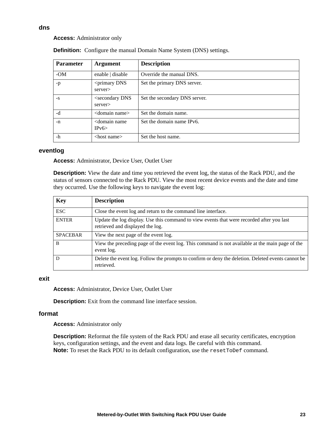#### **Access:** Administrator only

| <b>Parameter</b> | <b>Argument</b>                             | <b>Description</b>            |
|------------------|---------------------------------------------|-------------------------------|
| $-OM$            | enable   disable                            | Override the manual DNS.      |
| $-p$             | $\leq$ primary DNS<br>server>               | Set the primary DNS server.   |
| $-S$             | <secondary dns<br="">server&gt;</secondary> | Set the secondary DNS server. |
| $-d$             | <domain name=""></domain>                   | Set the domain name.          |
| -n               | <domain name<br="">IPv6</domain>            | Set the domain name IPv6.     |
| $-h$             | $<$ host name $>$                           | Set the host name.            |

**Definition:** Configure the manual Domain Name System (DNS) settings.

#### <span id="page-31-1"></span>**eventlog**

**Access:** Administrator, Device User, Outlet User

**Description:** View the date and time you retrieved the event log, the status of the Rack PDU, and the status of sensors connected to the Rack PDU. View the most recent device events and the date and time they occurred. Use the following keys to navigate the event log:

| <b>Key</b>      | <b>Description</b>                                                                                                            |  |
|-----------------|-------------------------------------------------------------------------------------------------------------------------------|--|
| <b>ESC</b>      | Close the event log and return to the command line interface.                                                                 |  |
| <b>ENTER</b>    | Update the log display. Use this command to view events that were recorded after you last<br>retrieved and displayed the log. |  |
| <b>SPACEBAR</b> | View the next page of the event log.                                                                                          |  |
| <sub>B</sub>    | View the preceding page of the event log. This command is not available at the main page of the<br>event log.                 |  |
| D               | Delete the event log. Follow the prompts to confirm or deny the deletion. Deleted events cannot be<br>retrieved.              |  |

#### <span id="page-31-2"></span>**exit**

**Access:** Administrator, Device User, Outlet User

**Description:** Exit from the command line interface session.

#### <span id="page-31-3"></span>**format**

**Access:** Administrator only

<span id="page-31-4"></span>**Description:** Reformat the file system of the Rack PDU and erase all security certificates, encryption keys, configuration settings, and the event and data logs. Be careful with this command. **Note:** To reset the Rack PDU to its default configuration, use the reset ToDef command.

#### <span id="page-31-0"></span>**dns**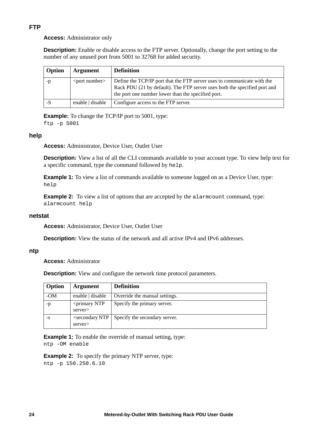#### **FTP**

**Access:** Administrator only

**Description:** Enable or disable access to the FTP server. Optionally, change the port setting to the number of any unused port from 5001 to 32768 for added security.

| Option | Argument                                                                                                                                                                                                                                                       | <b>Definition</b>                                                                                                                                                                                          |
|--------|----------------------------------------------------------------------------------------------------------------------------------------------------------------------------------------------------------------------------------------------------------------|------------------------------------------------------------------------------------------------------------------------------------------------------------------------------------------------------------|
| -p     | $\epsilon$ <port number<="" td=""><td>Define the TCP/IP port that the FTP server uses to communicate with the<br/>Rack PDU (21 by default). The FTP server uses both the specified port and<br/>the port one number lower than the specified port.</td></port> | Define the TCP/IP port that the FTP server uses to communicate with the<br>Rack PDU (21 by default). The FTP server uses both the specified port and<br>the port one number lower than the specified port. |
|        | enable   disable                                                                                                                                                                                                                                               | Configure access to the FTP server.                                                                                                                                                                        |

**Example:** To change the TCP/IP port to 5001, type: ftp -p 5001

#### <span id="page-32-0"></span>**help**

**Access:** Administrator, Device User, Outlet User

**Description:** View a list of all the CLI commands available to your account type. To view help text for a specific command, type the command followed by help.

**Example 1:** To view a list of commands available to someone logged on as a Device User, type: help

**Example 2:** To view a list of options that are accepted by the alarmount command, type: alarmcount help

#### <span id="page-32-1"></span>**netstat**

**Access:** Administrator, Device User, Outlet User

**Description:** View the status of the network and all active IPv4 and IPv6 addresses.

#### <span id="page-32-2"></span>**ntp**

**Access:** Administrator

**Description:** View and configure the network time protocol parameters.

| Option | Argument                                | <b>Definition</b>                                        |
|--------|-----------------------------------------|----------------------------------------------------------|
| $-OM$  | enable $\vert$ disable                  | Override the manual settings.                            |
| $-p$   | <primary ntp<br="">server&gt;</primary> | Specify the primary server.                              |
| -S     | server>                                 | $\le$ secondary NTP $\mid$ Specify the secondary server. |

**Example 1:** To enable the override of manual setting, type: ntp -OM enable

**Example 2:** To specify the primary NTP server, type:

ntp -p 150.250.6.10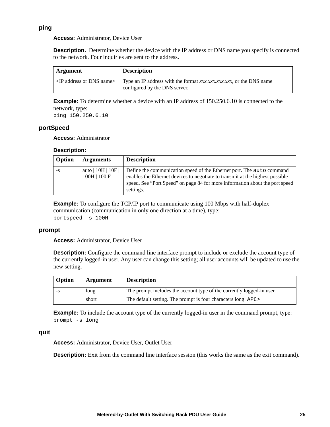#### <span id="page-33-0"></span>**ping**

#### **Access:** Administrator, Device User

**Description.** Determine whether the device with the IP address or DNS name you specify is connected to the network. Four inquiries are sent to the address.

| Argument                             | <b>Description</b>                                                                                  |
|--------------------------------------|-----------------------------------------------------------------------------------------------------|
| $\langle$ IP address or DNS name $>$ | Type an IP address with the format $xxx.xxx.xxx$ , or the DNS name<br>configured by the DNS server. |

**Example:** To determine whether a device with an IP address of 150.250.6.10 is connected to the network, type:

ping 150.250.6.10

#### <span id="page-33-1"></span>**portSpeed**

**Access:** Administrator

#### **Description:**

| Option | <b>Arguments</b>                   | <b>Description</b>                                                                                                                                                                                                                                  |
|--------|------------------------------------|-----------------------------------------------------------------------------------------------------------------------------------------------------------------------------------------------------------------------------------------------------|
| -S     | auto $ 10H 10F$<br>$100H$   $100F$ | Define the communication speed of the Ethernet port. The auto command<br>enables the Ethernet devices to negotiate to transmit at the highest possible<br>speed. See "Port Speed" on page 84 for more information about the port speed<br>settings. |

**Example:** To configure the TCP/IP port to communicate using 100 Mbps with half-duplex communication (communication in only one direction at a time), type: portspeed -s 100H

#### <span id="page-33-2"></span>**prompt**

**Access:** Administrator, Device User

**Description:** Configure the command line interface prompt to include or exclude the account type of the currently logged-in user. Any user can change this setting; all user accounts will be updated to use the new setting.

| Option | Argument | <b>Description</b>                                                    |
|--------|----------|-----------------------------------------------------------------------|
| -8     | long     | The prompt includes the account type of the currently logged-in user. |
|        | short    | The default setting. The prompt is four characters long: APC>         |

**Example:** To include the account type of the currently logged-in user in the command prompt, type: prompt -s long

#### <span id="page-33-3"></span>**quit**

**Access:** Administrator, Device User, Outlet User

**Description:** Exit from the command line interface session (this works the same as the exit command).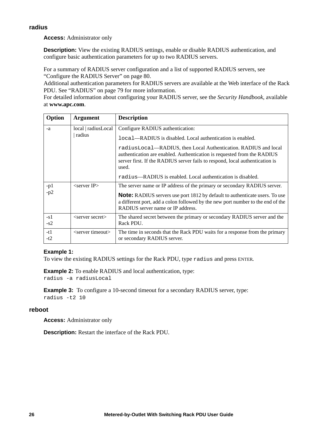#### <span id="page-34-0"></span>**radius**

**Access:** Administrator only

**Description:** View the existing RADIUS settings, enable or disable RADIUS authentication, and configure basic authentication parameters for up to two RADIUS servers.

For a summary of RADIUS server configuration and a list of supported RADIUS servers, see ["Configure the RADIUS Server" on page 80.](#page-88-0)

Additional authentication parameters for RADIUS servers are available at the Web interface of the Rack PDU. See ["RADIUS" on page 79](#page-87-0) for more information.

For detailed information about configuring your RADIUS server, see the *Security Handbook*[, available](http://www.apc.com)  [at](http://www.apc.com) **www.apc.com**.

| Option         | <b>Argument</b>          | <b>Description</b>                                                                                                                                                                                                                  |
|----------------|--------------------------|-------------------------------------------------------------------------------------------------------------------------------------------------------------------------------------------------------------------------------------|
| -a             | local   radiusLocal      | Configure RADIUS authentication:                                                                                                                                                                                                    |
|                | radius                   | local—RADIUS is disabled. Local authentication is enabled.                                                                                                                                                                          |
|                |                          | radiusLocal—RADIUS, then Local Authentication. RADIUS and local<br>authentication are enabled. Authentication is requested from the RADIUS<br>server first. If the RADIUS server fails to respond, local authentication is<br>used. |
|                |                          | radius—RADIUS is enabled. Local authentication is disabled.                                                                                                                                                                         |
| $-p1$          | $\epsilon$ server IP $>$ | The server name or IP address of the primary or secondary RADIUS server.                                                                                                                                                            |
| $-p2$          |                          | <b>Note:</b> RADIUS servers use port 1812 by default to authenticate users. To use<br>a different port, add a colon followed by the new port number to the end of the<br>RADIUS server name or IP address.                          |
| $-s1$<br>$-s2$ | $\le$ server secret $>$  | The shared secret between the primary or secondary RADIUS server and the<br>Rack PDU.                                                                                                                                               |
| $-t1$<br>-t2   | $\le$ server timeout $>$ | The time in seconds that the Rack PDU waits for a response from the primary<br>or secondary RADIUS server.                                                                                                                          |

#### **Example 1:**

To view the existing RADIUS settings for the Rack PDU, type radius and press ENTER.

**Example 2:** To enable RADIUS and local authentication, type: radius -a radiusLocal

**Example 3:** To configure a 10-second timeout for a secondary RADIUS server, type: radius -t2 10

#### <span id="page-34-1"></span>**reboot**

**Access:** Administrator only

**Description:** Restart the interface of the Rack PDU.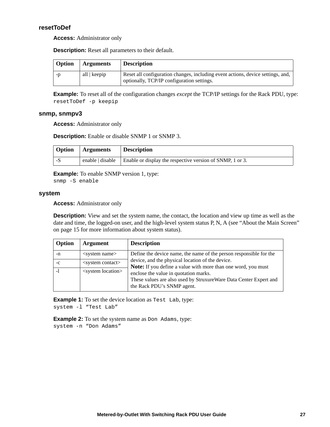#### <span id="page-35-0"></span>**resetToDef**

**Access:** Administrator only

**Description:** Reset all parameters to their default.

| Option | <b>Arguments</b> | <b>Description</b>                                                                                                            |
|--------|------------------|-------------------------------------------------------------------------------------------------------------------------------|
| -n     | all   keepip     | Reset all configuration changes, including event actions, device settings, and,<br>optionally, TCP/IP configuration settings. |

**Example:** To reset all of the configuration changes *except* the TCP/IP settings for the Rack PDU, type: resetToDef -p keepip

#### <span id="page-35-1"></span>**snmp, snmpv3**

**Access:** Administrator only

**Description:** Enable or disable SNMP 1 or SNMP 3.

| Option | <b>Arguments</b> | <b>Description</b>                                                                       |
|--------|------------------|------------------------------------------------------------------------------------------|
| - 3    |                  | enable $\vert$ disable $\vert$ Enable or display the respective version of SNMP, 1 or 3. |

**Example:** To enable SNMP version 1, type:

snmp -S enable

#### <span id="page-35-2"></span>**system**

**Access:** Administrator only

**Description:** View and set the system name, the contact, the location and view up time as well as the date and time, the logged-on user, and the high-level system status P, N, A (see "About the Main Screen" [on page 15](#page-23-1) for more information about system status).

| Option | <b>Argument</b>               | <b>Description</b>                                                                                                                       |
|--------|-------------------------------|------------------------------------------------------------------------------------------------------------------------------------------|
| -n     | $\leq$ system name $>$        | Define the device name, the name of the person responsible for the                                                                       |
| $-c$   | $\leq$ system contact $>$     | device, and the physical location of the device.<br><b>Note:</b> If you define a value with more than one word, you must                 |
|        | <system location=""></system> | enclose the value in quotation marks.<br>These values are also used by StruxureWare Data Center Expert and<br>the Rack PDU's SNMP agent. |

**Example 1:** To set the device location as Test Lab, type: system -l "Test Lab"

**Example 2:** To set the system name as Don Adams, type: system -n "Don Adams"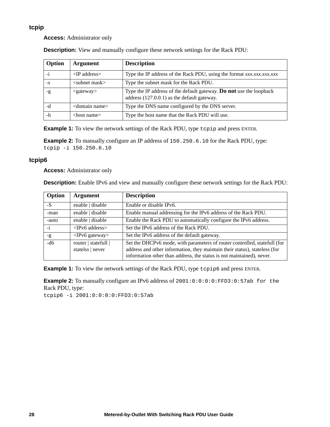# **tcpip**

**Access:** Administrator only

| Option | <b>Argument</b>                 | <b>Description</b>                                                                                                   |
|--------|---------------------------------|----------------------------------------------------------------------------------------------------------------------|
|        | $\langle$ TP address $>$        | Type the IP address of the Rack PDU, using the format xxx.xxx.xxx.xxx                                                |
| $-S$   | $\langle$ subnet mask $\rangle$ | Type the subnet mask for the Rack PDU.                                                                               |
| -g     | $<$ gateway $>$                 | Type the IP address of the default gateway. Do not use the loopback<br>address $(127.0.0.1)$ as the default gateway. |
| -d     | <domain name=""></domain>       | Type the DNS name configured by the DNS server.                                                                      |
| -h     | $<$ host name $>$               | Type the host name that the Rack PDU will use.                                                                       |

**Description:** View and manually configure these network settings for the Rack PDU:

**Example 1:** To view the network settings of the Rack PDU, type tcpip and press ENTER.

**Example 2:** To manually configure an IP address of 150.250.6.10 for the Rack PDU, type: tcpip -i 150.250.6.10

# **tcpip6**

**Access:** Administrator only

**Description:** Enable IPv6 and view and manually configure these network settings for the Rack PDU:

| Option | <b>Argument</b>                          | <b>Description</b>                                                                                                                                      |
|--------|------------------------------------------|---------------------------------------------------------------------------------------------------------------------------------------------------------|
| $-S$   | enable   disable                         | Enable or disable IPv6.                                                                                                                                 |
| -man   | enable   disable                         | Enable manual addressing for the IPv6 address of the Rack PDU.                                                                                          |
| -auto  | enable   disable                         | Enable the Rack PDU to automatically configure the IPv6 address.                                                                                        |
| $-i$   | $\langle$ IPv6 address $>$               | Set the IPv6 address of the Rack PDU.                                                                                                                   |
| $-g$   | $\langle$ IPv6 gateway>                  | Set the IPv6 address of the default gateway.                                                                                                            |
| $-d6$  | router   statefull  <br>statelss   never | Set the DHCPv6 mode, with parameters of router controlled, statefull (for<br>address and other information, they maintain their status), stateless (for |
|        |                                          | information other than address, the status is not maintained), never.                                                                                   |

**Example 1:** To view the network settings of the Rack PDU, type tcpip6 and press ENTER.

**Example 2:** To manually configure an IPv6 address of 2001:0:0:0:0:FFD3:0:57ab for the Rack PDU, type: tcpip6 -i 2001:0:0:0:0:FFD3:0:57ab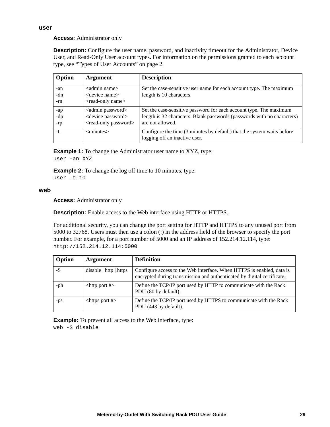# **Access:** Administrator only

**Description:** Configure the user name, password, and inactivity timeout for the Administrator, Device User, and Read-Only User account types. For information on the permissions granted to each account type, see ["Types of User Accounts" on page 2](#page-10-0).

| Option            | <b>Argument</b>                                                                                       | <b>Description</b>                                                                                                                                                |
|-------------------|-------------------------------------------------------------------------------------------------------|-------------------------------------------------------------------------------------------------------------------------------------------------------------------|
| -an<br>-dn<br>-rn | <admin name=""><br/><device name=""><br/><read-only name=""></read-only></device></admin>             | Set the case-sensitive user name for each account type. The maximum<br>length is 10 characters.                                                                   |
| -ap<br>-dp<br>-rp | <admin password=""><br/><device password=""><br/><read-only password=""></read-only></device></admin> | Set the case-sensitive password for each account type. The maximum<br>length is 32 characters. Blank passwords (passwords with no characters)<br>are not allowed. |
| $-t$              | $<$ minutes $>$                                                                                       | Configure the time (3 minutes by default) that the system waits before<br>logging off an inactive user.                                                           |

**Example 1:** To change the Administrator user name to XYZ, type: user -an XYZ

**Example 2:** To change the log off time to 10 minutes, type: user -t 10

### **web**

**Access:** Administrator only

**Description:** Enable access to the Web interface using HTTP or HTTPS.

For additional security, you can change the port setting for HTTP and HTTPS to any unused port from 5000 to 32768. Users must then use a colon (:) in the address field of the browser to specify the port number. For example, for a port number of 5000 and an IP address of 152.214.12.114, type: http://152.214.12.114:5000

| Option | <b>Argument</b>                    | <b>Definition</b>                                                                                                                                |
|--------|------------------------------------|--------------------------------------------------------------------------------------------------------------------------------------------------|
| $-S$   | disable $\vert$ http $\vert$ https | Configure access to the Web interface. When HTTPS is enabled, data is<br>encrypted during transmission and authenticated by digital certificate. |
| -ph    | $<$ http port # $>$                | Define the TCP/IP port used by HTTP to communicate with the Rack<br>PDU (80 by default).                                                         |
| -ps    | $<$ https port # $>$               | Define the TCP/IP port used by HTTPS to communicate with the Rack<br>PDU (443 by default).                                                       |

**Example:** To prevent all access to the Web interface, type: web -S disable

#### **user**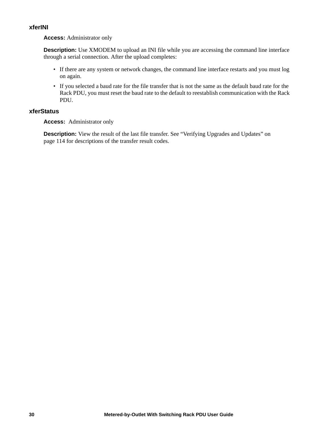# **xferINI**

### **Access:** Administrator only

**Description:** Use XMODEM to upload an INI file while you are accessing the command line interface through a serial connection. After the upload completes:

- If there are any system or network changes, the command line interface restarts and you must log on again.
- If you selected a baud rate for the file transfer that is not the same as the default baud rate for the Rack PDU, you must reset the baud rate to the default to reestablish communication with the Rack PDU.

# **xferStatus**

**Access:** Administrator only

**Description:** View the result of the last file transfer. See "Verifying Upgrades and Updates" on [page 114](#page-122-0) for descriptions of the transfer result codes.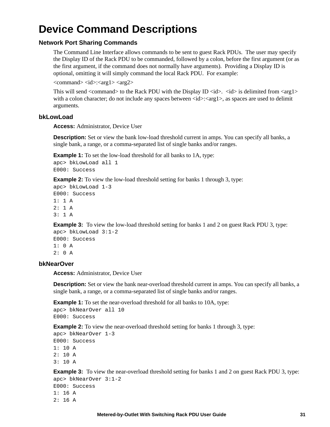# **Device Command Descriptions**

# **Network Port Sharing Commands**

The Command Line Interface allows commands to be sent to guest Rack PDUs. The user may specify the Display ID of the Rack PDU to be commanded, followed by a colon, before the first argument (or as the first argument, if the command does not normally have arguments). Providing a Display ID is optional, omitting it will simply command the local Rack PDU. For example:

 $<$ command $>$  $<$ id $>$ : $<$ arg1 $>$  $<$ arg2 $>$ 

This will send  $\langle$  command $\rangle$  to the Rack PDU with the Display ID  $\langle$ id $\rangle$ .  $\langle$ id $\rangle$  is delimited from  $\langle$ arg1 $\rangle$ with a colon character; do not include any spaces between  $\langle id \rangle$ :  $\langle arg1 \rangle$ , as spaces are used to delimit arguments.

#### **bkLowLoad**

**Access:** Administrator, Device User

**Description:** Set or view the bank low-load threshold current in amps. You can specify all banks, a single bank, a range, or a comma-separated list of single banks and/or ranges.

**Example 1:** To set the low-load threshold for all banks to 1A, type:

```
apc> bkLowLoad all 1
E000: Success
```
**Example 2:** To view the low-load threshold setting for banks 1 through 3, type:

```
apc> bkLowLoad 1-3
E000: Success
1: 1 A
2: 1 A
3: 1 A
```
**Example 3:** To view the low-load threshold setting for banks 1 and 2 on guest Rack PDU 3, type:

```
apc> bkLowLoad 3:1-2
E000: Success
1: 0 A
2: 0 A
```
# **bkNearOver**

**Access:** Administrator, Device User

**Description:** Set or view the bank near-overload threshold current in amps. You can specify all banks, a single bank, a range, or a comma-separated list of single banks and/or ranges.

**Example 1:** To set the near-overload threshold for all banks to 10A, type:

```
apc> bkNearOver all 10
E000: Success
```
**Example 2:** To view the near-overload threshold setting for banks 1 through 3, type:

```
apc> bkNearOver 1-3
E000: Success
1: 10 A
2: 10 A
3: 10 A
```
**Example 3:** To view the near-overload threshold setting for banks 1 and 2 on guest Rack PDU 3, type:

```
apc> bkNearOver 3:1-2
E000: Success
1: 16 A
2: 16 A
```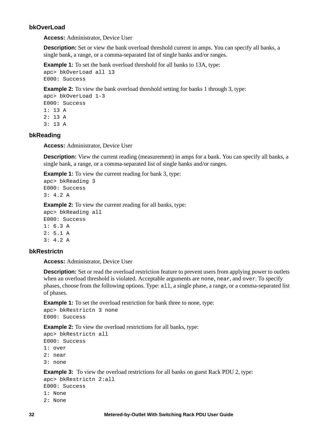# **bkOverLoad**

**Access:** Administrator, Device User

**Description:** Set or view the bank overload threshold current in amps. You can specify all banks, a single bank, a range, or a comma-separated list of single banks and/or ranges.

**Example 1:** To set the bank overload threshold for all banks to 13A, type: apc> bkOverLoad all 13 E000: Success

**Example 2:** To view the bank overload threshold setting for banks 1 through 3, type:

apc> bkOverLoad 1-3 E000: Success 1: 13 A 2: 13 A 3: 13 A

# **bkReading**

**Access:** Administrator, Device User

**Description:** View the current reading (measurement) in amps for a bank. You can specify all banks, a single bank, a range, or a comma-separated list of single banks and/or ranges.

**Example 1:** To view the current reading for bank 3, type:

```
apc> bkReading 3
E000: Success
3: 4.2 A
```
**Example 2:** To view the current reading for all banks, type:

apc> bkReading all E000: Success 1: 6.3 A  $2: 5.1 A$ 3: 4.2 A

# **bkRestrictn**

**Access:** Administrator, Device User

**Description:** Set or read the overload restriction feature to prevent users from applying power to outlets when an overload threshold is violated. Acceptable arguments are none, near, and over. To specify phases, choose from the following options. Type: all, a single phase, a range, or a comma-separated list of phases.

**Example 1:** To set the overload restriction for bank three to none, type: apc> bkRestrictn 3 none E000: Success

**Example 2:** To view the overload restrictions for all banks, type:

apc> bkRestrictn all E000: Success

- 1: over
- 2: near
- 3: none

#### **Example 3:** To view the overload restrictions for all banks on guest Rack PDU 2, type:

apc> bkRestrictn 2:all

- E000: Success
- 1: None
- 2: None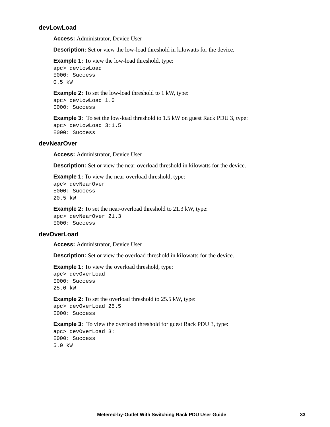# **devLowLoad**

**Access:** Administrator, Device User

**Description:** Set or view the low-load threshold in kilowatts for the device.

**Example 1:** To view the low-load threshold, type: apc> devLowLoad E000: Success 0.5 kW

**Example 2:** To set the low-load threshold to 1 kW, type: apc> devLowLoad 1.0 E000: Success

**Example 3:** To set the low-load threshold to 1.5 kW on guest Rack PDU 3, type: apc> devLowLoad 3:1.5 E000: Success

#### **devNearOver**

**Access:** Administrator, Device User

**Description:** Set or view the near-overload threshold in kilowatts for the device.

**Example 1:** To view the near-overload threshold, type: apc> devNearOver

E000: Success 20.5 kW

**Example 2:** To set the near-overload threshold to 21.3 kW, type:

apc> devNearOver 21.3 E000: Success

#### **devOverLoad**

**Access:** Administrator, Device User

**Description:** Set or view the overload threshold in kilowatts for the device.

**Example 1:** To view the overload threshold, type:

apc> devOverLoad E000: Success 25.0 kW

**Example 2:** To set the overload threshold to 25.5 kW, type:

apc> devOverLoad 25.5 E000: Success

**Example 3:** To view the overload threshold for guest Rack PDU 3, type:

apc> devOverLoad 3: E000: Success 5.0 kW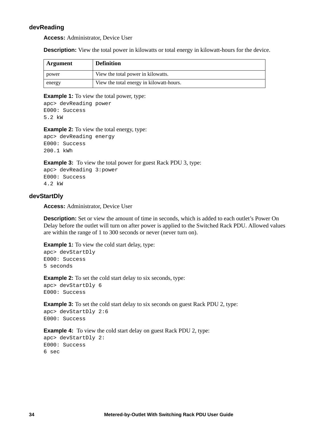# **devReading**

**Access:** Administrator, Device User

**Description:** View the total power in kilowatts or total energy in kilowatt-hours for the device.

| Argument | <b>Definition</b>                        |
|----------|------------------------------------------|
| power    | View the total power in kilowatts.       |
| energy   | View the total energy in kilowatt-hours. |

#### **Example 1:** To view the total power, type:

apc> devReading power E000: Success 5.2 kW

**Example 2:** To view the total energy, type:

apc> devReading energy E000: Success 200.1 kWh

**Example 3:** To view the total power for guest Rack PDU 3, type: apc> devReading 3:power E000: Success 4.2 kW

#### **devStartDly**

**Access:** Administrator, Device User

**Description:** Set or view the amount of time in seconds, which is added to each outlet's Power On Delay before the outlet will turn on after power is applied to the Switched Rack PDU. Allowed values are within the range of 1 to 300 seconds or never (never turn on).

**Example 1:** To view the cold start delay, type:

```
apc> devStartDly
E000: Success
5 seconds
```
**Example 2:** To set the cold start delay to six seconds, type: apc> devStartDly 6 E000: Success

**Example 3:** To set the cold start delay to six seconds on guest Rack PDU 2, type: apc> devStartDly 2:6 E000: Success

**Example 4:** To view the cold start delay on guest Rack PDU 2, type: apc> devStartDly 2: E000: Success 6 sec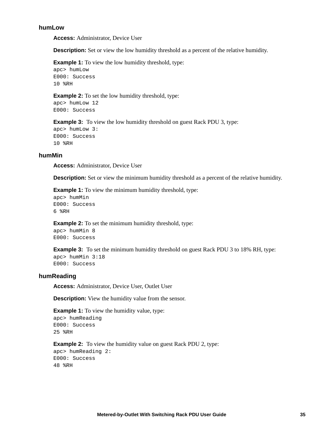#### **humLow**

**Access:** Administrator, Device User

**Description:** Set or view the low humidity threshold as a percent of the relative humidity.

**Example 1:** To view the low humidity threshold, type:

apc> humLow E000: Success 10 %RH

**Example 2:** To set the low humidity threshold, type:

apc> humLow 12 E000: Success

**Example 3:** To view the low humidity threshold on guest Rack PDU 3, type:

apc> humLow 3: E000: Success 10 %RH

#### **humMin**

**Access:** Administrator, Device User

**Description:** Set or view the minimum humidity threshold as a percent of the relative humidity.

**Example 1:** To view the minimum humidity threshold, type:

apc> humMin E000: Success 6 %RH

**Example 2:** To set the minimum humidity threshold, type:

apc> humMin 8 E000: Success

**Example 3:** To set the minimum humidity threshold on guest Rack PDU 3 to 18% RH, type: apc> humMin 3:18 E000: Success

# **humReading**

**Access:** Administrator, Device User, Outlet User

**Description:** View the humidity value from the sensor.

**Example 1:** To view the humidity value, type: apc> humReading E000: Success 25 %RH

**Example 2:** To view the humidity value on guest Rack PDU 2, type: apc> humReading 2: E000: Success 48 %RH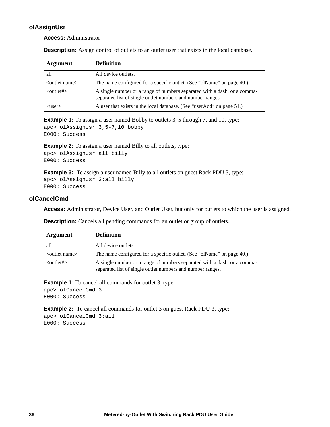# **olAssignUsr**

**Access:** Administrator

**Description:** Assign control of outlets to an outlet user that exists in the local database.

| <b>Argument</b>           | <b>Definition</b>                                                                                                                      |
|---------------------------|----------------------------------------------------------------------------------------------------------------------------------------|
| all                       | All device outlets.                                                                                                                    |
| $\leq$ outlet name $\geq$ | The name configured for a specific outlet. (See "olName" on page 40.)                                                                  |
| $\langle$ outlet# $>$     | A single number or a range of numbers separated with a dash, or a comma-<br>separated list of single outlet numbers and number ranges. |
| $\langle$ user $\rangle$  | A user that exists in the local database. (See "userAdd" on page 51.)                                                                  |

**Example 1:** To assign a user named Bobby to outlets 3, 5 through 7, and 10, type: apc> olAssignUsr 3,5-7,10 bobby E000: Success

**Example 2:** To assign a user named Billy to all outlets, type:

```
apc> olAssignUsr all billy
E000: Success
```
**Example 3:** To assign a user named Billy to all outlets on guest Rack PDU 3, type: apc> olAssignUsr 3:all billy E000: Success

# **olCancelCmd**

**Access:** Administrator, Device User, and Outlet User, but only for outlets to which the user is assigned.

| Argument                  | <b>Definition</b>                                                                                                                      |
|---------------------------|----------------------------------------------------------------------------------------------------------------------------------------|
| all                       | All device outlets.                                                                                                                    |
| $\leq$ outlet name $\geq$ | The name configured for a specific outlet. (See "olName" on page 40.)                                                                  |
| $\langle$ outlet# $>$     | A single number or a range of numbers separated with a dash, or a comma-<br>separated list of single outlet numbers and number ranges. |

**Description:** Cancels all pending commands for an outlet or group of outlets.

**Example 1:** To cancel all commands for outlet 3, type:

apc> olCancelCmd 3 E000: Success

**Example 2:** To cancel all commands for outlet 3 on guest Rack PDU 3, type: apc> olCancelCmd 3:all E000: Success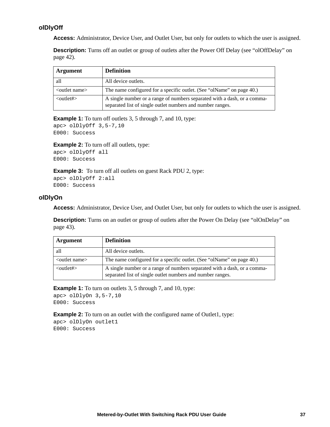# <span id="page-45-0"></span>**olDlyOff**

**Access:** Administrator, Device User, and Outlet User, but only for outlets to which the user is assigned.

**Description:** Turns off an outlet or group of outlets after the Power Off Delay (see "olOffDelay" on [page 42](#page-50-0)).

| <b>Argument</b>             | <b>Definition</b>                                                                                                                      |
|-----------------------------|----------------------------------------------------------------------------------------------------------------------------------------|
| all                         | All device outlets.                                                                                                                    |
| $\leq$ outlet name $\geq$   | The name configured for a specific outlet. (See "olName" on page 40.)                                                                  |
| $\langle$ outlet# $\rangle$ | A single number or a range of numbers separated with a dash, or a comma-<br>separated list of single outlet numbers and number ranges. |

**Example 1:** To turn off outlets 3, 5 through 7, and 10, type:

```
apc> olDlyOff 3,5-7,10
E000: Success
```
**Example 2:** To turn off all outlets, type: apc> olDlyOff all E000: Success

**Example 3:** To turn off all outlets on guest Rack PDU 2, type: apc> olDlyOff 2:all E000: Success

# <span id="page-45-1"></span>**olDlyOn**

**Access:** Administrator, Device User, and Outlet User, but only for outlets to which the user is assigned.

**Description:** Turns on an outlet or group of outlets after the Power On Delay (see "olOnDelay" on [page 43](#page-51-0)).

| Argument                  | <b>Definition</b>                                                                                                                      |
|---------------------------|----------------------------------------------------------------------------------------------------------------------------------------|
| all                       | All device outlets.                                                                                                                    |
| $\leq$ outlet name $\geq$ | The name configured for a specific outlet. (See "olName" on page 40.)                                                                  |
| $\leq$ outlet# $\geq$     | A single number or a range of numbers separated with a dash, or a comma-<br>separated list of single outlet numbers and number ranges. |

**Example 1:** To turn on outlets 3, 5 through 7, and 10, type:

```
apc> olDlyOn 3,5-7,10
E000: Success
```
**Example 2:** To turn on an outlet with the configured name of Outlet1, type: apc> olDlyOn outlet1 E000: Success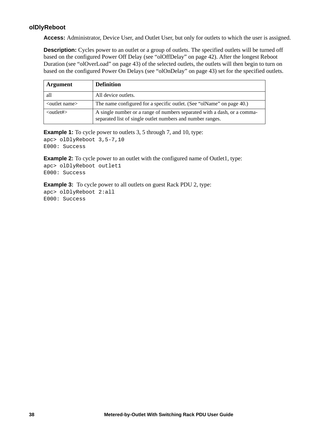# <span id="page-46-0"></span>**olDlyReboot**

**Access:** Administrator, Device User, and Outlet User, but only for outlets to which the user is assigned.

**Description:** Cycles power to an outlet or a group of outlets. The specified outlets will be turned off based on the configured Power Off Delay (see ["olOffDelay" on page 42\)](#page-50-0). After the longest Reboot Duration (see ["olOverLoad" on page 43](#page-51-1)) of the selected outlets, the outlets will then begin to turn on based on the configured Power On Delays (see ["olOnDelay" on page 43\)](#page-51-0) set for the specified outlets.

| <b>Argument</b>           | <b>Definition</b>                                                                                                                      |
|---------------------------|----------------------------------------------------------------------------------------------------------------------------------------|
| all                       | All device outlets.                                                                                                                    |
| $\leq$ outlet name $\geq$ | The name configured for a specific outlet. (See "olName" on page 40.)                                                                  |
| $\langle$ outlet# $>$     | A single number or a range of numbers separated with a dash, or a comma-<br>separated list of single outlet numbers and number ranges. |

**Example 1:** To cycle power to outlets 3, 5 through 7, and 10, type: apc> olDlyReboot 3,5-7,10 E000: Success

**Example 2:** To cycle power to an outlet with the configured name of Outlet1, type: apc> olDlyReboot outlet1 E000: Success

**Example 3:** To cycle power to all outlets on guest Rack PDU 2, type: apc> olDlyReboot 2:all E000: Success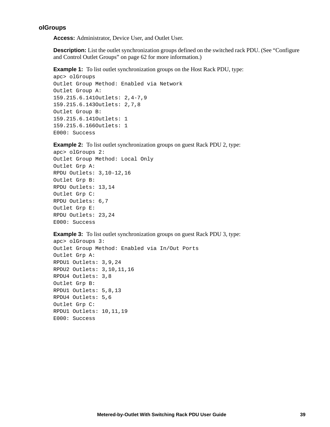#### **olGroups**

**Access:** Administrator, Device User, and Outlet User.

**Description:** List the outlet synchronization groups defined on the switched rack PDU. (See "Configure") [and Control Outlet Groups" on page 62](#page-70-0) for more information.)

**Example 1:** To list outlet synchronization groups on the Host Rack PDU, type:

```
apc> olGroups
Outlet Group Method: Enabled via Network
Outlet Group A: 
159.215.6.141Outlets: 2,4-7,9
159.215.6.143Outlets: 2,7,8
Outlet Group B:
159.215.6.141Outlets: 1
159.215.6.166Outlets: 1
E000: Success
```
**Example 2:** To list outlet synchronization groups on guest Rack PDU 2, type:

```
apc> olGroups 2:
Outlet Group Method: Local Only
Outlet Grp A:
RPDU Outlets: 3,10-12,16
Outlet Grp B:
RPDU Outlets: 13,14
Outlet Grp C:
RPDU Outlets: 6,7
Outlet Grp E:
RPDU Outlets: 23,24
E000: Success
```
**Example 3:** To list outlet synchronization groups on guest Rack PDU 3, type:

```
apc> olGroups 3:
Outlet Group Method: Enabled via In/Out Ports
Outlet Grp A:
RPDU1 Outlets: 3,9,24
RPDU2 Outlets: 3,10,11,16
RPDU4 Outlets: 3,8
Outlet Grp B:
RPDU1 Outlets: 5,8,13
RPDU4 Outlets: 5,6
Outlet Grp C:
RPDU1 Outlets: 10,11,19
E000: Success
```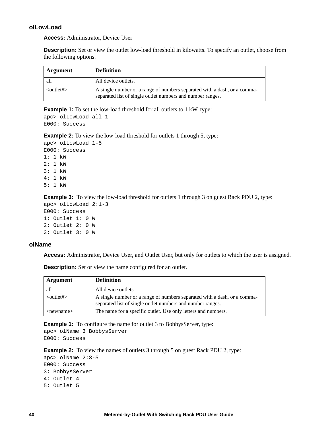# **olLowLoad**

**Access:** Administrator, Device User

**Description:** Set or view the outlet low-load threshold in kilowatts. To specify an outlet, choose from the following options.

| Argument                    | <b>Definition</b>                                                                                                                      |
|-----------------------------|----------------------------------------------------------------------------------------------------------------------------------------|
| all                         | All device outlets.                                                                                                                    |
| $\langle$ outlet# $\rangle$ | A single number or a range of numbers separated with a dash, or a comma-<br>separated list of single outlet numbers and number ranges. |

**Example 1:** To set the low-load threshold for all outlets to 1 kW, type:

```
apc> olLowLoad all 1
E000: Success
```
**Example 2:** To view the low-load threshold for outlets 1 through 5, type:

```
apc> olLowLoad 1-5
E000: Success
1: 1 kW
2: 1 kW
3: 1 kW
4: 1 kW
5: 1 kW
```
**Example 3:** To view the low-load threshold for outlets 1 through 3 on guest Rack PDU 2, type:

```
apc> olLowLoad 2:1-3
E000: Success
1: Outlet 1: 0 W
2: Outlet 2: 0 W
3: Outlet 3: 0 W
```
# <span id="page-48-0"></span>**olName**

**Access:** Administrator, Device User, and Outlet User, but only for outlets to which the user is assigned.

**Description:** Set or view the name configured for an outlet.

| Argument                    | <b>Definition</b>                                                                                                                      |
|-----------------------------|----------------------------------------------------------------------------------------------------------------------------------------|
| all                         | All device outlets.                                                                                                                    |
| $\langle$ outlet# $>$       | A single number or a range of numbers separated with a dash, or a comma-<br>separated list of single outlet numbers and number ranges. |
| $\langle$ newname $\rangle$ | The name for a specific outlet. Use only letters and numbers.                                                                          |

**Example 1:** To configure the name for outlet 3 to BobbysServer, type:

apc> olName 3 BobbysServer E000: Success

**Example 2:** To view the names of outlets 3 through 5 on guest Rack PDU 2, type:

```
apc> olName 2:3-5
E000: Success
3: BobbysServer
4: Outlet 4
5: Outlet 5
```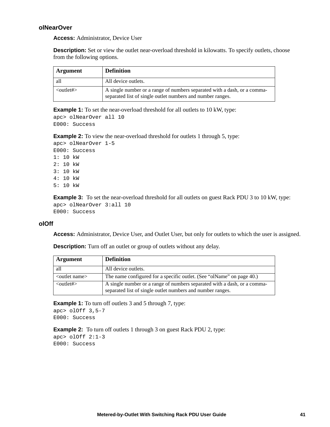# **olNearOver**

**Access:** Administrator, Device User

**Description:** Set or view the outlet near-overload threshold in kilowatts. To specify outlets, choose from the following options.

| Argument                    | <b>Definition</b>                                                                                                                      |
|-----------------------------|----------------------------------------------------------------------------------------------------------------------------------------|
| all                         | All device outlets.                                                                                                                    |
| $\langle$ outlet# $\rangle$ | A single number or a range of numbers separated with a dash, or a comma-<br>separated list of single outlet numbers and number ranges. |

**Example 1:** To set the near-overload threshold for all outlets to 10 kW, type:

```
apc> olNearOver all 10
E000: Success
```
**Example 2:** To view the near-overload threshold for outlets 1 through 5, type:

```
apc> olNearOver 1-5
E000: Success
1: 10 kW
2: 10 kW
3: 10 kW
4: 10 kW
5: 10 kW
```
**Example 3:** To set the near-overload threshold for all outlets on guest Rack PDU 3 to 10 kW, type: apc> olNearOver 3:all 10 E000: Success

#### **olOff**

**Access:** Administrator, Device User, and Outlet User, but only for outlets to which the user is assigned.

**Description:** Turn off an outlet or group of outlets without any delay.

| Argument                  | <b>Definition</b>                                                                                                                      |
|---------------------------|----------------------------------------------------------------------------------------------------------------------------------------|
| all                       | All device outlets.                                                                                                                    |
| <outlet name=""></outlet> | The name configured for a specific outlet. (See "olName" on page 40.)                                                                  |
| $\leq$ outlet# $>$        | A single number or a range of numbers separated with a dash, or a comma-<br>separated list of single outlet numbers and number ranges. |

**Example 1:** To turn off outlets 3 and 5 through 7, type: apc> olOff 3,5-7

E000: Success

**Example 2:** To turn off outlets 1 through 3 on guest Rack PDU 2, type: apc> olOff 2:1-3 E000: Success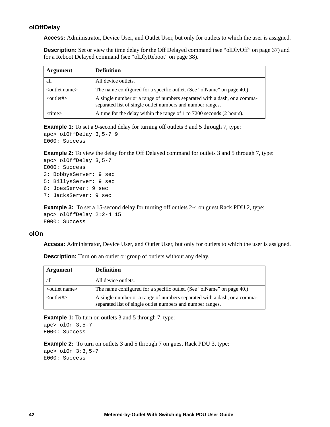# <span id="page-50-0"></span>**olOffDelay**

**Access:** Administrator, Device User, and Outlet User, but only for outlets to which the user is assigned.

**Description:** Set or view the time delay for the Off Delayed command (see ["olDlyOff" on page 37\)](#page-45-0) and for a Reboot Delayed command (see ["olDlyReboot" on page 38](#page-46-0)).

| <b>Argument</b>           | <b>Definition</b>                                                                                                                      |
|---------------------------|----------------------------------------------------------------------------------------------------------------------------------------|
| all                       | All device outlets.                                                                                                                    |
| $\leq$ outlet name $\geq$ | The name configured for a specific outlet. (See "olName" on page 40.)                                                                  |
| $\langle$ outlet# $>$     | A single number or a range of numbers separated with a dash, or a comma-<br>separated list of single outlet numbers and number ranges. |
| $<$ time $>$              | A time for the delay within the range of 1 to 7200 seconds (2 hours).                                                                  |

**Example 1:** To set a 9-second delay for turning off outlets 3 and 5 through 7, type: apc> olOffDelay 3,5-7 9 E000: Success

**Example 2:** To view the delay for the Off Delayed command for outlets 3 and 5 through 7, type: apc> olOffDelay 3,5-7

```
E000: Success
3: BobbysServer: 9 sec
5: BillysServer: 9 sec
6: JoesServer: 9 sec
7: JacksServer: 9 sec
```
**Example 3:** To set a 15-second delay for turning off outlets 2-4 on guest Rack PDU 2, type: apc> olOffDelay 2:2-4 15 E000: Success

#### **olOn**

**Access:** Administrator, Device User, and Outlet User, but only for outlets to which the user is assigned.

| Argument                    | <b>Definition</b>                                                                                                                      |
|-----------------------------|----------------------------------------------------------------------------------------------------------------------------------------|
| all                         | All device outlets.                                                                                                                    |
| <outlet name=""></outlet>   | The name configured for a specific outlet. (See "olName" on page 40.)                                                                  |
| $\langle$ outlet# $\rangle$ | A single number or a range of numbers separated with a dash, or a comma-<br>separated list of single outlet numbers and number ranges. |

**Description:** Turn on an outlet or group of outlets without any delay.

**Example 1:** To turn on outlets 3 and 5 through 7, type:

apc> olOn 3,5-7 E000: Success

**Example 2:** To turn on outlets 3 and 5 through 7 on guest Rack PDU 3, type:

apc> olOn 3:3,5-7 E000: Success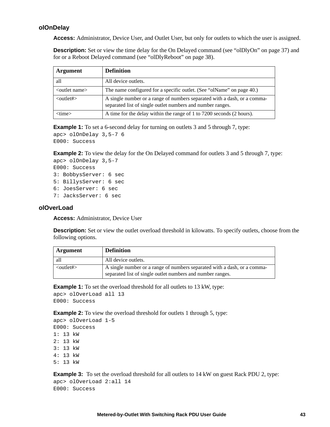# <span id="page-51-0"></span>**olOnDelay**

**Access:** Administrator, Device User, and Outlet User, but only for outlets to which the user is assigned.

**Description:** Set or view the time delay for the On Delayed command (see ["olDlyOn" on page 37](#page-45-1)) and for or a Reboot Delayed command (see ["olDlyReboot" on page 38\)](#page-46-0).

| <b>Argument</b>           | <b>Definition</b>                                                                                                                      |  |
|---------------------------|----------------------------------------------------------------------------------------------------------------------------------------|--|
| all                       | All device outlets.                                                                                                                    |  |
| $\leq$ outlet name $\geq$ | The name configured for a specific outlet. (See "olName" on page 40.)                                                                  |  |
| $\langle$ outlet# $>$     | A single number or a range of numbers separated with a dash, or a comma-<br>separated list of single outlet numbers and number ranges. |  |
| $<$ time $>$              | A time for the delay within the range of 1 to 7200 seconds (2 hours).                                                                  |  |

**Example 1:** To set a 6-second delay for turning on outlets 3 and 5 through 7, type:

```
apc> olOnDelay 3,5-7 6
E000: Success
```
**Example 2:** To view the delay for the On Delayed command for outlets 3 and 5 through 7, type:

```
apc> olOnDelay 3,5-7
E000: Success
3: BobbysServer: 6 sec
5: BillysServer: 6 sec
6: JoesServer: 6 sec
7: JacksServer: 6 sec
```
#### <span id="page-51-1"></span>**olOverLoad**

**Access:** Administrator, Device User

**Description:** Set or view the outlet overload threshold in kilowatts. To specify outlets, choose from the following options.

| Argument              | <b>Definition</b>                                                                                                                      |
|-----------------------|----------------------------------------------------------------------------------------------------------------------------------------|
| all                   | All device outlets.                                                                                                                    |
| $\langle$ outlet# $>$ | A single number or a range of numbers separated with a dash, or a comma-<br>separated list of single outlet numbers and number ranges. |

**Example 1:** To set the overload threshold for all outlets to 13 kW, type:

```
apc> olOverLoad all 13
E000: Success
```
**Example 2:** To view the overload threshold for outlets 1 through 5, type:

```
apc> olOverLoad 1-5
E000: Success
1: 13 kW
2: 13 kW
3: 13 kW
4: 13 kW
5: 13 kW
```
**Example 3:** To set the overload threshold for all outlets to 14 kW on guest Rack PDU 2, type: apc> olOverLoad 2:all 14 E000: Success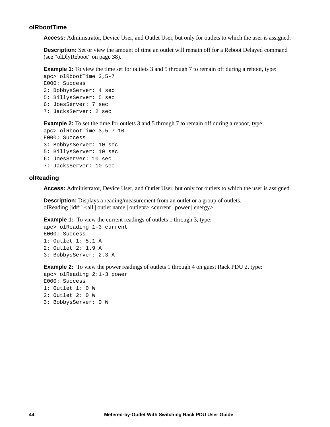#### **olRbootTime**

**Access:** Administrator, Device User, and Outlet User, but only for outlets to which the user is assigned.

**Description:** Set or view the amount of time an outlet will remain off for a Reboot Delayed command (see ["olDlyReboot" on page 38\)](#page-46-0).

**Example 1:** To view the time set for outlets 3 and 5 through 7 to remain off during a reboot, type:

```
apc> olRbootTime 3,5-7
E000: Success
3: BobbysServer: 4 sec
5: BillysServer: 5 sec
6: JoesServer: 7 sec
7: JacksServer: 2 sec
```
**Example 2:** To set the time for outlets 3 and 5 through 7 to remain off during a reboot, type:

```
apc> olRbootTime 3,5-7 10
E000: Success
3: BobbysServer: 10 sec
5: BillysServer: 10 sec
6: JoesServer: 10 sec
7: JacksServer: 10 sec
```
#### **olReading**

**Access:** Administrator, Device User, and Outlet User, but only for outlets to which the user is assigned.

**Description:** Displays a reading/measurement from an outlet or a group of outlets. olReading [id#:] <all | outlet name | outlet#> <current | power | energy>

**Example 1:** To view the current readings of outlets 1 through 3, type:

```
apc> olReading 1-3 current
E000: Success
1: Outlet 1: 5.1 A
2: Outlet 2: 1.9 A
3: BobbysServer: 2.3 A
```
**Example 2:** To view the power readings of outlets 1 through 4 on guest Rack PDU 2, type:

```
apc> olReading 2:1-3 power
E000: Success
1: Outlet 1: 0 W
2: Outlet 2: 0 W
3: BobbysServer: 0 W
```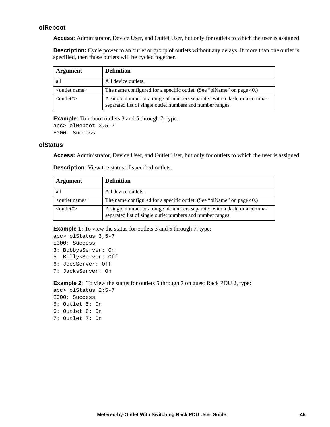# **olReboot**

**Access:** Administrator, Device User, and Outlet User, but only for outlets to which the user is assigned.

**Description:** Cycle power to an outlet or group of outlets without any delays. If more than one outlet is specified, then those outlets will be cycled together.

| <b>Argument</b>           | <b>Definition</b>                                                                                                                      |  |
|---------------------------|----------------------------------------------------------------------------------------------------------------------------------------|--|
| all                       | All device outlets.                                                                                                                    |  |
| $\leq$ outlet name $\geq$ | The name configured for a specific outlet. (See "olName" on page 40.)                                                                  |  |
| $\langle$ outlet# $>$     | A single number or a range of numbers separated with a dash, or a comma-<br>separated list of single outlet numbers and number ranges. |  |

**Example:** To reboot outlets 3 and 5 through 7, type:

```
apc> olReboot 3,5-7
E000: Success
```
#### **olStatus**

**Access:** Administrator, Device User, and Outlet User, but only for outlets to which the user is assigned.

| <b>Argument</b>             | <b>Definition</b>                                                                                                                      |  |
|-----------------------------|----------------------------------------------------------------------------------------------------------------------------------------|--|
| all                         | All device outlets.                                                                                                                    |  |
| $\leq$ outlet name $\geq$   | The name configured for a specific outlet. (See "olName" on page 40.)                                                                  |  |
| $\langle$ outlet# $\rangle$ | A single number or a range of numbers separated with a dash, or a comma-<br>separated list of single outlet numbers and number ranges. |  |

**Description:** View the status of specified outlets.

**Example 1:** To view the status for outlets 3 and 5 through 7, type:

```
apc> olStatus 3,5-7
E000: Success
3: BobbysServer: On
5: BillysServer: Off
6: JoesServer: Off
7: JacksServer: On
```
**Example 2:** To view the status for outlets 5 through 7 on guest Rack PDU 2, type:

apc> olStatus 2:5-7 E000: Success 5: Outlet 5: On 6: Outlet 6: On 7: Outlet 7: On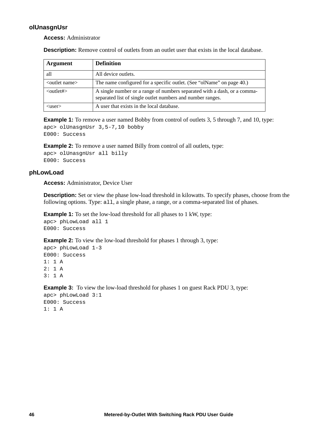# **olUnasgnUsr**

**Access:** Administrator

**Description:** Remove control of outlets from an outlet user that exists in the local database.

| <b>Argument</b>           | <b>Definition</b>                                                                                                                      |
|---------------------------|----------------------------------------------------------------------------------------------------------------------------------------|
| all                       | All device outlets.                                                                                                                    |
| $\leq$ outlet name $\geq$ | The name configured for a specific outlet. (See "olName" on page 40.)                                                                  |
| $\langle$ outlet# $>$     | A single number or a range of numbers separated with a dash, or a comma-<br>separated list of single outlet numbers and number ranges. |
| $users$                   | A user that exists in the local database.                                                                                              |

**Example 1:** To remove a user named Bobby from control of outlets 3, 5 through 7, and 10, type: apc> olUnasgnUsr 3,5-7,10 bobby E000: Success

**Example 2:** To remove a user named Billy from control of all outlets, type:

```
apc> olUnasgnUsr all billy
E000: Success
```
# **phLowLoad**

**Access:** Administrator, Device User

**Description:** Set or view the phase low-load threshold in kilowatts. To specify phases, choose from the following options. Type: all, a single phase, a range, or a comma-separated list of phases.

**Example 1:** To set the low-load threshold for all phases to 1 kW, type:

```
apc> phLowLoad all 1
E000: Success
```
**Example 2:** To view the low-load threshold for phases 1 through 3, type:

```
apc> phLowLoad 1-3
E000: Success
1: 1 A
2: 1 A
3: 1 A
```
**Example 3:** To view the low-load threshold for phases 1 on guest Rack PDU 3, type: apc> phLowLoad 3:1 E000: Success 1: 1 A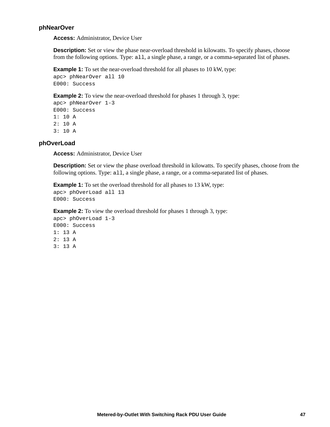#### **phNearOver**

**Access:** Administrator, Device User

**Description:** Set or view the phase near-overload threshold in kilowatts. To specify phases, choose from the following options. Type: all, a single phase, a range, or a comma-separated list of phases.

**Example 1:** To set the near-overload threshold for all phases to 10 kW, type:

```
apc> phNearOver all 10
E000: Success
```
**Example 2:** To view the near-overload threshold for phases 1 through 3, type:

```
apc> phNearOver 1-3
E000: Success
1: 10 A
2: 10 A
3: 10 A
```
#### **phOverLoad**

**Access:** Administrator, Device User

**Description:** Set or view the phase overload threshold in kilowatts. To specify phases, choose from the following options. Type: all, a single phase, a range, or a comma-separated list of phases.

**Example 1:** To set the overload threshold for all phases to 13 kW, type:

```
apc> phOverLoad all 13
E000: Success
```
**Example 2:** To view the overload threshold for phases 1 through 3, type: apc> phOverLoad 1-3 E000: Success 1: 13 A 2: 13 A

3: 13 A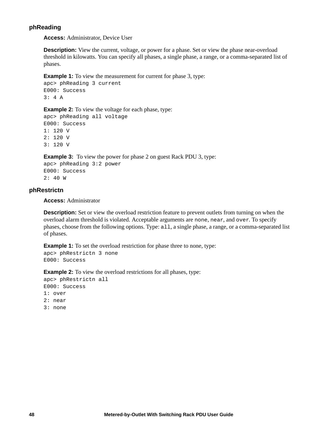### **phReading**

**Access:** Administrator, Device User

**Description:** View the current, voltage, or power for a phase. Set or view the phase near-overload threshold in kilowatts. You can specify all phases, a single phase, a range, or a comma-separated list of phases.

**Example 1:** To view the measurement for current for phase 3, type:

apc> phReading 3 current E000: Success 3: 4 A

**Example 2:** To view the voltage for each phase, type:

apc> phReading all voltage E000: Success 1: 120 V 2: 120 V 3: 120 V

**Example 3:** To view the power for phase 2 on guest Rack PDU 3, type:

apc> phReading 3:2 power E000: Success 2: 40 W

# **phRestrictn**

**Access:** Administrator

**Description:** Set or view the overload restriction feature to prevent outlets from turning on when the overload alarm threshold is violated. Acceptable arguments are none, near, and over. To specify phases, choose from the following options. Type: all, a single phase, a range, or a comma-separated list of phases.

**Example 1:** To set the overload restriction for phase three to none, type: apc> phRestrictn 3 none E000: Success

**Example 2:** To view the overload restrictions for all phases, type:

apc> phRestrictn all E000: Success 1: over 2: near 3: none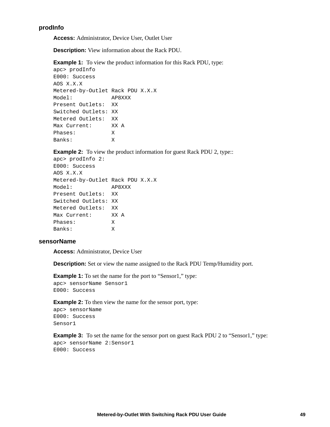# **prodInfo**

**Access:** Administrator, Device User, Outlet User

**Description:** View information about the Rack PDU.

**Example 1:** To view the product information for this Rack PDU, type:

```
apc> prodInfo
E000: Success
AOS X.X.X
Metered-by-Outlet Rack PDU X.X.X
Model: AP8XXX
Present Outlets: XX
Switched Outlets: XX
Metered Outlets: XX
Max Current: XX A
Phases: X
Banks: X
```
**Example 2:** To view the product information for guest Rack PDU 2, type::

```
apc> prodInfo 2:
E000: Success
AOS X.X.X
Metered-by-Outlet Rack PDU X.X.X
Model: AP8XXX
Present Outlets: XX
Switched Outlets: XX
Metered Outlets: XX
Max Current: XX A
Phases: X
Banks: X
```
#### **sensorName**

**Access:** Administrator, Device User

**Description:** Set or view the name assigned to the Rack PDU Temp/Humidity port.

**Example 1:** To set the name for the port to "Sensor1," type: apc> sensorName Sensor1 E000: Success

**Example 2:** To then view the name for the sensor port, type:

apc> sensorName E000: Success Sensor1

**Example 3:** To set the name for the sensor port on guest Rack PDU 2 to "Sensor1," type: apc> sensorName 2:Sensor1 E000: Success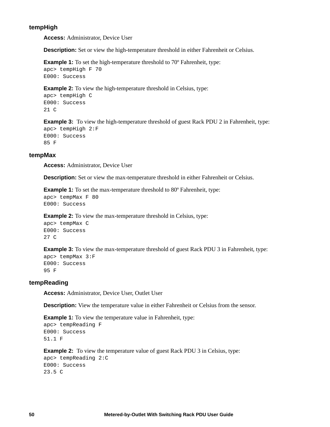#### **tempHigh**

**Access:** Administrator, Device User

**Description:** Set or view the high-temperature threshold in either Fahrenheit or Celsius.

```
Example 1: To set the high-temperature threshold to 70° Fahrenheit, type:
apc> tempHigh F 70
E000: Success
```
**Example 2:** To view the high-temperature threshold in Celsius, type:

```
apc> tempHigh C
E000: Success
21 C
```
**Example 3:** To view the high-temperature threshold of guest Rack PDU 2 in Fahrenheit, type: apc> tempHigh 2:F E000: Success 85 F

#### **tempMax**

**Access:** Administrator, Device User

**Description:** Set or view the max-temperature threshold in either Fahrenheit or Celsius.

**Example 1:** To set the max-temperature threshold to 80° Fahrenheit, type:

```
apc> tempMax F 80
E000: Success
```
**Example 2:** To view the max-temperature threshold in Celsius, type:

```
apc> tempMax C
E000: Success
27 C
```
**Example 3:** To view the max-temperature threshold of guest Rack PDU 3 in Fahrenheit, type:

```
apc> tempMax 3:F
E000: Success
95 F
```
#### **tempReading**

**Access:** Administrator, Device User, Outlet User

**Description:** View the temperature value in either Fahrenheit or Celsius from the sensor.

```
Example 1: To view the temperature value in Fahrenheit, type:
apc> tempReading F
E000: Success
51.1 F
```
**Example 2:** To view the temperature value of guest Rack PDU 3 in Celsius, type:

```
apc> tempReading 2:C
E000: Success
23.5 C
```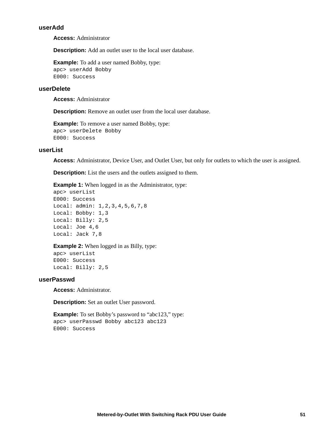#### <span id="page-59-0"></span>**userAdd**

**Access:** Administrator

**Description:** Add an outlet user to the local user database.

**Example:** To add a user named Bobby, type: apc> userAdd Bobby E000: Success

# **userDelete**

**Access:** Administrator

**Description:** Remove an outlet user from the local user database.

**Example:** To remove a user named Bobby, type: apc> userDelete Bobby E000: Success

# **userList**

**Access:** Administrator, Device User, and Outlet User, but only for outlets to which the user is assigned.

**Description:** List the users and the outlets assigned to them.

**Example 1:** When logged in as the Administrator, type:

```
apc> userList
E000: Success
Local: admin: 1, 2, 3, 4, 5, 6, 7, 8
Local: Bobby: 1,3
Local: Billy: 2,5
Local: Joe 4,6
Local: Jack 7,8
```
#### **Example 2:** When logged in as Billy, type:

apc> userList E000: Success Local: Billy: 2,5

# **userPasswd**

**Access:** Administrator.

**Description:** Set an outlet User password.

**Example:** To set Bobby's password to "abc123," type: apc> userPasswd Bobby abc123 abc123 E000: Success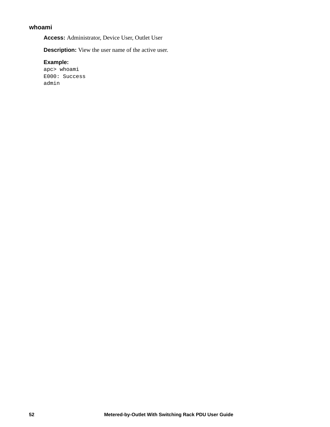# **whoami**

**Access:** Administrator, Device User, Outlet User

**Description:** View the user name of the active user.

#### **Example:**

apc> whoami E000: Success admin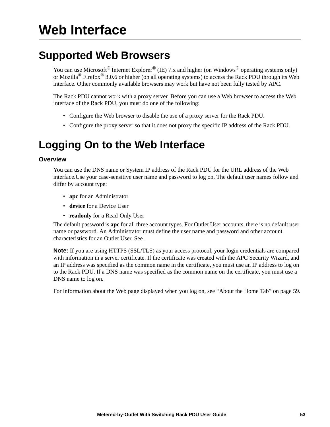# **Supported Web Browsers**

You can use Microsoft<sup>®</sup> Internet Explorer<sup>®</sup> (IE) 7.x and higher (on Windows<sup>®</sup> operating systems only) or Mozilla® Firefox® 3.0.6 or higher (on all operating systems) to access the Rack PDU through its Web interface. Other commonly available browsers may work but have not been fully tested by APC.

The Rack PDU cannot work with a proxy server. Before you can use a Web browser to access the Web interface of the Rack PDU, you must do one of the following:

- Configure the Web browser to disable the use of a proxy server for the Rack PDU.
- Configure the proxy server so that it does not proxy the specific IP address of the Rack PDU.

# **Logging On to the Web Interface**

# **Overview**

You can use the DNS name or System IP address of the Rack PDU for the URL address of the Web interface.Use your case-sensitive user name and password to log on. The default user names follow and differ by account type:

- **apc** for an Administrator
- **device** for a Device User
- **readonly** for a Read-Only User

The default password is **apc** for all three account types. For Outlet User accounts, there is no default user name or password. An Administrator must define the user name and password and other account characteristics for an Outlet User. See .

**Note:** If you are using HTTPS (SSL/TLS) as your access protocol, your login credentials are compared with information in a server certificate. If the certificate was created with the APC Security Wizard, and an IP address was specified as the common name in the certificate, you must use an IP address to log on to the Rack PDU. If a DNS name was specified as the common name on the certificate, you must use a DNS name to log on.

For information about the Web page displayed when you log on, see ["About the Home Tab" on page 59.](#page-67-0)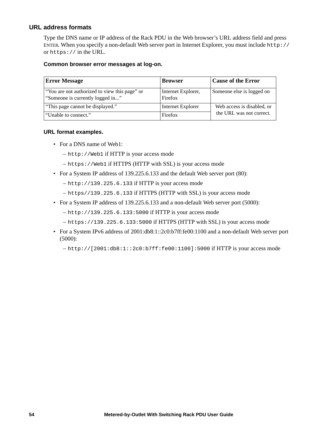# **URL address formats**

Type the DNS name or IP address of the Rack PDU in the Web browser's URL address field and press ENTER. When you specify a non-default Web server port in Internet Explorer, you must include http:// or https:// in the URL.

#### **Common browser error messages at log-on.**

| <b>Error Message</b>                                                              | <b>Browser</b>                | <b>Cause of the Error</b>  |  |
|-----------------------------------------------------------------------------------|-------------------------------|----------------------------|--|
| "You are not authorized to view this page" or<br>"Someone is currently logged in" | Internet Explorer,<br>Firefox | Someone else is logged on  |  |
| "This page cannot be displayed."                                                  | Internet Explorer             | Web access is disabled, or |  |
| "Unable to connect."                                                              | Firefox                       | the URL was not correct.   |  |

#### **URL format examples.**

- For a DNS name of Web1:
	- http://Web1 if HTTP is your access mode
	- https://Web1 if HTTPS (HTTP with SSL) is your access mode
- For a System IP address of 139.225.6.133 and the default Web server port (80):
	- $-$  http://139.225.6.133 if HTTP is your access mode
	- https//139.225.6.133 if HTTPS (HTTP with SSL) is your access mode
- For a System IP address of 139.225.6.133 and a non-default Web server port (5000):
	- http://139.225.6.133:5000 if HTTP is your access mode
	- https://139.225.6.133:5000 if HTTPS (HTTP with SSL) is your access mode
- For a System IPv6 address of 2001:db8:1::2c0:b7ff:fe00:1100 and a non-default Web server port (5000):
	- http://[2001:db8:1::2c0:b7ff:fe00:1100]:5000 if HTTP is your access mode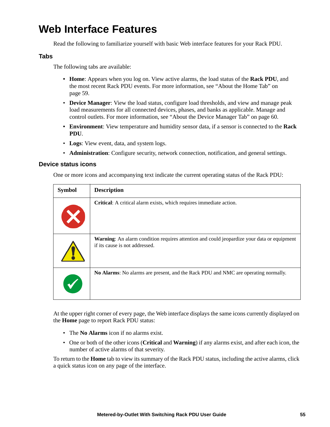# **Web Interface Features**

Read the following to familiarize yourself with basic Web interface features for your Rack PDU.

# **Tabs**

The following tabs are available:

- **Home**: Appears when you log on. View active alarms, the load status of the **Rack PDU**, and the most recent Rack PDU events. For more information, see ["About the Home Tab" on](#page-67-0)  [page 59](#page-67-0).
- **Device Manager**: View the load status, configure load thresholds, and view and manage peak load measurements for all connected devices, phases, and banks as applicable. Manage and control outlets. For more information, see ["About the Device Manager Tab" on page 60](#page-68-0).
- **Environment**: View temperature and humidity sensor data, if a sensor is connected to the **Rack PDU**.
- **Logs**: View event, data, and system logs.
- **Administration**: Configure security, network connection, notification, and general settings.

# **Device status icons**

One or more icons and accompanying text indicate the current operating status of the Rack PDU:

| <b>Symbol</b> | <b>Description</b>                                                                                                                  |
|---------------|-------------------------------------------------------------------------------------------------------------------------------------|
|               | Critical: A critical alarm exists, which requires immediate action.                                                                 |
|               | <b>Warning:</b> An alarm condition requires attention and could jeopardize your data or equipment<br>if its cause is not addressed. |
|               | No Alarms: No alarms are present, and the Rack PDU and NMC are operating normally.                                                  |

At the upper right corner of every page, the Web interface displays the same icons currently displayed on the **Home** page to report Rack PDU status:

- The **No Alarms** icon if no alarms exist.
- One or both of the other icons (**Critical** and **Warning**) if any alarms exist, and after each icon, the number of active alarms of that severity.

To return to the **Home** tab to view its summary of the Rack PDU status, including the active alarms, click a quick status icon on any page of the interface.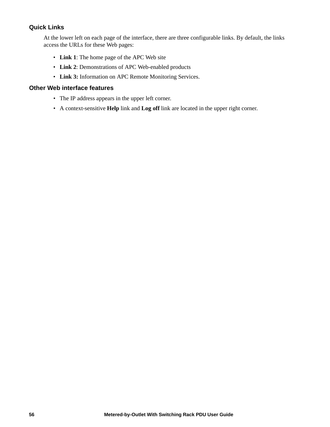# **Quick Links**

At the lower left on each page of the interface, there are three configurable links. By default, the links access the URLs for these Web pages:

- **Link 1**: The home page of the APC Web site
- **Link 2**: Demonstrations of APC Web-enabled products
- **Link 3:** Information on APC Remote Monitoring Services.

# **Other Web interface features**

- The IP address appears in the upper left corner.
- A context-sensitive **Help** link and **Log off** link are located in the upper right corner.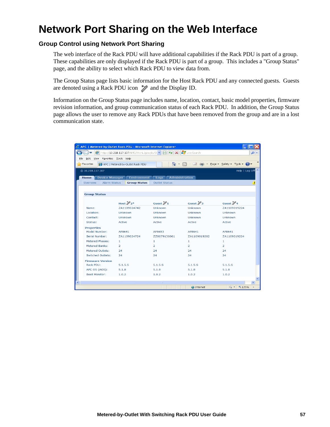# **Network Port Sharing on the Web Interface**

# **Group Control using Network Port Sharing**

The web interface of the Rack PDU will have additional capabilities if the Rack PDU is part of a group. These capabilities are only displayed if the Rack PDU is part of a group. This includes a "Group Status" page, and the ability to select which Rack PDU to view data from.

The Group Status page lists basic information for the Host Rack PDU and any connected guests. Guests are denoted using a Rack PDU icon  $\gg$  and the Display ID.

Information on the Group Status page includes name, location, contact, basic model properties, firmware revision information, and group communication status of each Rack PDU. In addition, the Group Status page allows the user to remove any Rack PDUs that have been removed from the group and are in a lost communication state.

|                         | C APC   Metered-by-Outlet Rack PDU - Microsoft Internet Explorer                                                                                                     |                       |                        |                                                            |  |
|-------------------------|----------------------------------------------------------------------------------------------------------------------------------------------------------------------|-----------------------|------------------------|------------------------------------------------------------|--|
|                         | $\left  \text{http://10.218.117.107/MMC/Wcnl.1ipsc Buf3} \right  \times \left  \text{Re} \right  \left  \text{L}_2 \right  \right  \times \left  \text{L}_3 \right $ |                       | <b>For</b> Live Search | - م                                                        |  |
| File                    | Edit View Favorites Tools Help                                                                                                                                       |                       |                        |                                                            |  |
| Favorites               | APC   Metered-by-Outlet Rack PDU                                                                                                                                     |                       |                        | $\rightarrow$<br>A · N · □ ■ · Page · Safety · Tools · 2 · |  |
| (D 10.218.117.107       |                                                                                                                                                                      |                       |                        | Help   Log Off                                             |  |
| Home                    | <b>Environment</b><br><b>Device Manager</b>                                                                                                                          | Logs                  | <b>Administration</b>  |                                                            |  |
| Overview                | Alarm Status<br><b>Group Status</b>                                                                                                                                  | <b>Outlet Status</b>  |                        |                                                            |  |
|                         |                                                                                                                                                                      |                       |                        |                                                            |  |
|                         |                                                                                                                                                                      |                       |                        |                                                            |  |
| <b>Group Status</b>     |                                                                                                                                                                      |                       |                        |                                                            |  |
|                         | Host $\mathbb{Z}^2$ <sup>*</sup>                                                                                                                                     | Guest $\mathcal{V}_1$ | Guest $\mathbb{Z}_3$   | Guest $\mathbb{Z}_4$                                       |  |
| Name:                   | ZA1109024742                                                                                                                                                         | Unknown               | Unknown                | ZA1109019224                                               |  |
| Location:               | <b>Unknown</b>                                                                                                                                                       | <b>Unknown</b>        | Unknown                | Unknown                                                    |  |
| Contact:                | Unknown                                                                                                                                                              | Unknown               | Unknown                | Unknown                                                    |  |
| Status:                 | Active                                                                                                                                                               | Active                | Active                 | Active                                                     |  |
| <b>Properties</b>       |                                                                                                                                                                      |                       |                        |                                                            |  |
| Model Number:           | AP8641                                                                                                                                                               | AP8653                | AP8641                 | AP8641                                                     |  |
| Serial Number:          | ZA1109024724                                                                                                                                                         | ZZ0079136061          | ZA1109019202           | ZA1109019224                                               |  |
| Metered Phases:         | $\mathbf{1}$                                                                                                                                                         | $\mathbf{1}$          | $\mathbf{1}$           | 1                                                          |  |
| Metered Banks:          | $\overline{2}$                                                                                                                                                       | $\overline{2}$        | $\overline{2}$         | $\overline{2}$                                             |  |
| Metered Outlets:        | 24                                                                                                                                                                   | 24                    | 24                     | 24                                                         |  |
| Switched Outlets:       | 24                                                                                                                                                                   | 24                    | 24                     | 24                                                         |  |
| <b>Firmware Version</b> |                                                                                                                                                                      |                       |                        |                                                            |  |
| Rack PDU:               | 5.1.5.5                                                                                                                                                              | 5.1.5.5               | 5.1.5.5                | 5.1.5.5                                                    |  |
| APC OS (AOS):           | 5.1.8                                                                                                                                                                | 5.1.8                 | 5.1.8                  | 5.1.8                                                      |  |
| <b>Boot Monitor:</b>    | 1.0.2                                                                                                                                                                | 1.0.2                 | 1.0.2                  | 1.0.2                                                      |  |
|                         |                                                                                                                                                                      |                       |                        |                                                            |  |
|                         |                                                                                                                                                                      |                       |                        | ×.                                                         |  |
|                         |                                                                                                                                                                      |                       | $\bigoplus$ Internet   | <sup>4</sup> 125%<br>$\sqrt{2}$                            |  |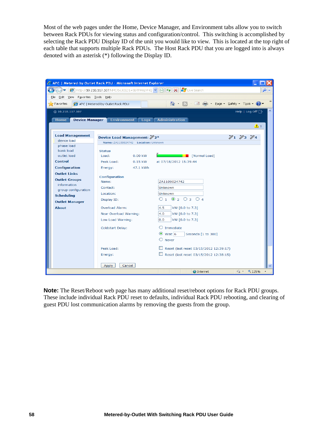Most of the web pages under the Home, Device Manager, and Environment tabs allow you to switch between Rack PDUs for viewing status and configuration/control. This switching is accomplished by selecting the Rack PDU Display ID of the unit you would like to view. This is located at the top right of each table that supports multiple Rack PDUs. The Host Rack PDU that you are logged into is always denoted with an asterisk (\*) following the Display ID.

| C APC   Metered-by-Outlet Rack PDU - Microsoft Internet Explorer                                                         |                                                                        |                         |                                                 |                                  |        |
|--------------------------------------------------------------------------------------------------------------------------|------------------------------------------------------------------------|-------------------------|-------------------------------------------------|----------------------------------|--------|
| B http://10.218.117.107/NMC/bcJCl2J1+6bTFMnpVHQ v B + B + X E Live Search                                                |                                                                        |                         |                                                 |                                  | - ا هر |
| Edit View Favorites Tools Help<br>File                                                                                   |                                                                        |                         |                                                 |                                  |        |
| $\rightarrow$<br>4 5 日 - Page ▼ Safety ▼ Tools ▼ 2<br>$\sqrt{\phantom{a}}$ Favorites<br>APC   Metered-by-Outlet Rack PDU |                                                                        |                         |                                                 |                                  |        |
| $\hat{\phantom{a}}$<br>(D 10.218.117.107<br>Help   Log Off <sup>-</sup>                                                  |                                                                        |                         |                                                 |                                  |        |
| <b>Home</b><br><b>Device Manager</b>                                                                                     |                                                                        | <b>Environment</b> Logs | <b>Administration</b>                           |                                  |        |
|                                                                                                                          |                                                                        |                         |                                                 | $\Delta$ 1                       |        |
|                                                                                                                          |                                                                        |                         |                                                 |                                  |        |
| <b>Load Management</b><br>device load                                                                                    | Device Load Management: 22*                                            |                         | $\mathscr{V}_1$ $\mathscr{V}_3$ $\mathscr{V}_4$ |                                  |        |
| phase load                                                                                                               | Name: ZA1109024742 Location: Unknown                                   |                         |                                                 |                                  |        |
| bank load                                                                                                                | <b>Status</b>                                                          |                         |                                                 |                                  |        |
| outlet load                                                                                                              | Load:                                                                  | $0.00$ kW               | Normal Load                                     |                                  |        |
| <b>Control</b>                                                                                                           | Peak Load:                                                             | $0.15$ kW               | at 07/18/2012 15:39:44                          |                                  |        |
| <b>Configuration</b>                                                                                                     | Energy:                                                                | 47.1 kWh                |                                                 |                                  |        |
| <b>Outlet Links</b>                                                                                                      |                                                                        |                         |                                                 |                                  |        |
| <b>Outlet Groups</b>                                                                                                     | <b>Configuration</b><br>Name:<br>Contact:<br>Location:<br>Display ID:  |                         | ZA1109024742                                    |                                  |        |
| information                                                                                                              |                                                                        |                         | Unknown                                         |                                  |        |
| group configuration                                                                                                      |                                                                        |                         | Unknown                                         |                                  |        |
| <b>Scheduling</b>                                                                                                        |                                                                        |                         | 01020304                                        |                                  |        |
| <b>Outlet Manager</b>                                                                                                    |                                                                        |                         |                                                 |                                  |        |
| <b>About</b>                                                                                                             | Overload Alarm:                                                        |                         | kW [0.0 to 7.3]<br>4.5                          |                                  |        |
|                                                                                                                          | Near Overload Warning:<br>Low Load Warning:<br><b>Coldstart Delay:</b> |                         | kW [0.0 to 7.3]<br>4.0                          |                                  |        |
|                                                                                                                          |                                                                        |                         | 0.0<br>kW [0.0 to 7.3]                          |                                  |        |
|                                                                                                                          |                                                                        |                         | $\bigcirc$ Immediate                            |                                  |        |
|                                                                                                                          |                                                                        |                         | $\odot$ Wait 6<br>Seconds [1 to 300]            |                                  |        |
|                                                                                                                          |                                                                        |                         | $\bigcirc$ Never                                |                                  |        |
|                                                                                                                          |                                                                        |                         |                                                 |                                  |        |
|                                                                                                                          | Peak Load:                                                             |                         | Reset (last reset 03/15/2012 12:39:17)          |                                  |        |
|                                                                                                                          | Energy:                                                                |                         | Reset (last reset 03/15/2012 12:38:15)          |                                  |        |
|                                                                                                                          | Apply<br>Cancel                                                        |                         |                                                 |                                  |        |
|                                                                                                                          |                                                                        |                         | <b>O</b> Internet                               | $\frac{1}{2}$ + $\frac{1}{25\%}$ |        |
|                                                                                                                          |                                                                        |                         |                                                 |                                  |        |

**Note:** The Reset/Reboot web page has many additional reset/reboot options for Rack PDU groups. These include individual Rack PDU reset to defaults, individual Rack PDU rebooting, and clearing of guest PDU lost communication alarms by removing the guests from the group.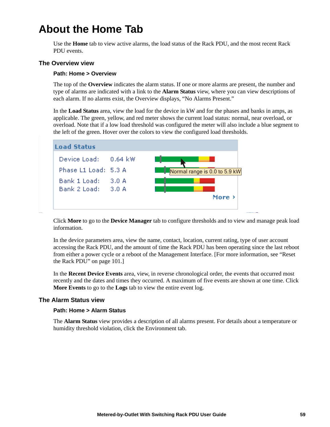# <span id="page-67-0"></span>**About the Home Tab**

Use the **Home** tab to view active alarms, the load status of the Rack PDU, and the most recent Rack PDU events.

# **The Overview view**

#### **Path: Home > Overview**

The top of the **Overview** indicates the alarm status. If one or more alarms are present, the number and type of alarms are indicated with a link to the **Alarm Status** view, where you can view descriptions of each alarm. If no alarms exist, the Overview displays, "No Alarms Present."

In the **Load Status** area, view the load for the device in kW and for the phases and banks in amps, as applicable. The green, yellow, and red meter shows the current load status: normal, near overload, or overload. Note that if a low load threshold was configured the meter will also include a blue segment to the left of the green. Hover over the colors to view the configured load thresholds.



Click **More** to go to the **Device Manager** tab to configure thresholds and to view and manage peak load information.

In the device parameters area, view the name, contact, location, current rating, type of user account accessing the Rack PDU, and the amount of time the Rack PDU has been operating since the last reboot from either a power cycle or a reboot of the Management Interface. [For more information, see ["Reset](#page-109-0)  [the Rack PDU" on page 101.](#page-109-0)]

In the **Recent Device Events** area, view, in reverse chronological order, the events that occurred most recently and the dates and times they occurred. A maximum of five events are shown at one time. Click **More Events** to go to the **Logs** tab to view the entire event log.

# **The Alarm Status view**

#### **Path: Home > Alarm Status**

The **Alarm Status** view provides a description of all alarms present. For details about a temperature or humidity threshold violation, click the Environment tab.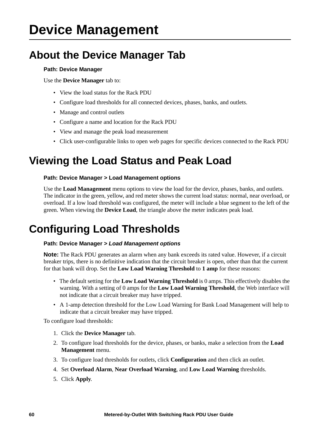# **Device Management**

# <span id="page-68-0"></span>**About the Device Manager Tab**

# **Path: Device Manager**

Use the **Device Manager** tab to:

- View the load status for the Rack PDU
- Configure load thresholds for all connected devices, phases, banks, and outlets.
- Manage and control outlets
- Configure a name and location for the Rack PDU
- View and manage the peak load measurement
- Click user-configurable links to open web pages for specific devices connected to the Rack PDU

# **Viewing the Load Status and Peak Load**

# **Path: Device Manager > Load Management options**

Use the **Load Management** menu options to view the load for the device, phases, banks, and outlets. The indicator in the green, yellow, and red meter shows the current load status: normal, near overload, or overload. If a low load threshold was configured, the meter will include a blue segment to the left of the green. When viewing the **Device Load**, the triangle above the meter indicates peak load.

# **Configuring Load Thresholds**

# **Path: Device Manager >** *Load Management options*

**Note:** The Rack PDU generates an alarm when any bank exceeds its rated value. However, if a circuit breaker trips, there is no definitive indication that the circuit breaker is open, other than that the current for that bank will drop. Set the **Low Load Warning Threshold** to **1 amp** for these reasons:

- The default setting for the **Low Load Warning Threshold** is 0 amps. This effectively disables the warning. With a setting of 0 amps for the **Low Load Warning Threshold**, the Web interface will not indicate that a circuit breaker may have tripped.
- A 1-amp detection threshold for the Low Load Warning for Bank Load Management will help to indicate that a circuit breaker may have tripped.

To configure load thresholds:

- 1. Click the **Device Manager** tab.
- 2. To configure load thresholds for the device, phases, or banks, make a selection from the **Load Management** menu.
- 3. To configure load thresholds for outlets, click **Configuration** and then click an outlet.
- 4. Set **Overload Alarm**, **Near Overload Warning**, and **Low Load Warning** thresholds.
- 5. Click **Apply**.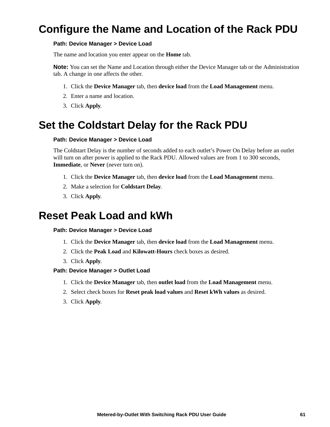# **Configure the Name and Location of the Rack PDU**

# **Path: Device Manager > Device Load**

The name and location you enter appear on the **Home** tab.

**Note:** You can set the Name and Location through either the Device Manager tab or the Administration tab. A change in one affects the other.

- 1. Click the **Device Manager** tab, then **device load** from the **Load Management** menu.
- 2. Enter a name and location.
- 3. Click **Apply**.

# **Set the Coldstart Delay for the Rack PDU**

#### **Path: Device Manager > Device Load**

The Coldstart Delay is the number of seconds added to each outlet's Power On Delay before an outlet will turn on after power is applied to the Rack PDU. Allowed values are from 1 to 300 seconds, **Immediate**, or **Never** (never turn on).

- 1. Click the **Device Manager** tab, then **device load** from the **Load Management** menu.
- 2. Make a selection for **Coldstart Delay**.
- 3. Click **Apply**.

# **Reset Peak Load and kWh**

#### **Path: Device Manager > Device Load**

- 1. Click the **Device Manager** tab, then **device load** from the **Load Management** menu.
- 2. Click the **Peak Load** and **Kilowatt-Hours** check boxes as desired.
- 3. Click **Apply**.
- **Path: Device Manager > Outlet Load**
	- 1. Click the **Device Manager** tab, then **outlet load** from the **Load Management** menu.
	- 2. Select check boxes for **Reset peak load values** and **Reset kWh values** as desired.
	- 3. Click **Apply**.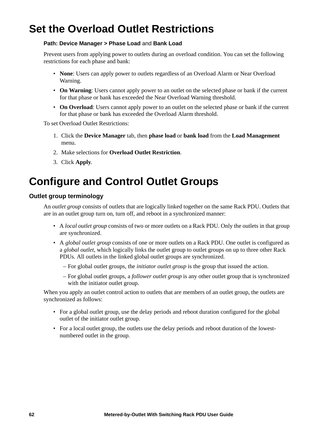# **Set the Overload Outlet Restrictions**

# **Path: Device Manager > Phase Load** and **Bank Load**

Prevent users from applying power to outlets during an overload condition. You can set the following restrictions for each phase and bank:

- **None**: Users can apply power to outlets regardless of an Overload Alarm or Near Overload Warning.
- **On Warning**: Users cannot apply power to an outlet on the selected phase or bank if the current for that phase or bank has exceeded the Near Overload Warning threshold.
- **On Overload**: Users cannot apply power to an outlet on the selected phase or bank if the current for that phase or bank has exceeded the Overload Alarm threshold.

To set Overload Outlet Restrictions:

- 1. Click the **Device Manager** tab, then **phase load** or **bank load** from the **Load Management** menu.
- 2. Make selections for **Overload Outlet Restriction**.
- 3. Click **Apply**.

# <span id="page-70-0"></span>**Configure and Control Outlet Groups**

# **Outlet group terminology**

An *outlet group* consists of outlets that are logically linked together on the same Rack PDU. Outlets that are in an outlet group turn on, turn off, and reboot in a synchronized manner:

- A *local outlet group* consists of two or more outlets on a Rack PDU. Only the outlets in that group are synchronized.
- A *global outlet group* consists of one or more outlets on a Rack PDU. One outlet is configured as a *global outlet*, which logically links the outlet group to outlet groups on up to three other Rack PDUs. All outlets in the linked global outlet groups are synchronized.
	- For global outlet groups, the *initiator outlet group* is the group that issued the action.
	- For global outlet groups, a *follower outlet group* is any other outlet group that is synchronized with the initiator outlet group.

When you apply an outlet control action to outlets that are members of an outlet group, the outlets are synchronized as follows:

- For a global outlet group, use the delay periods and reboot duration configured for the global outlet of the initiator outlet group.
- For a local outlet group, the outlets use the delay periods and reboot duration of the lowestnumbered outlet in the group.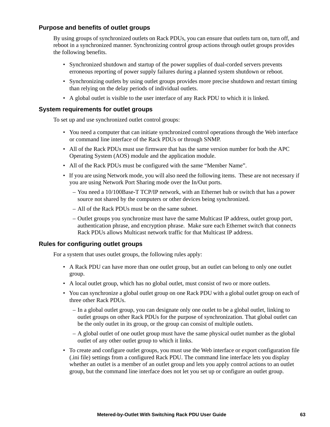# **Purpose and benefits of outlet groups**

By using groups of synchronized outlets on Rack PDUs, you can ensure that outlets turn on, turn off, and reboot in a synchronized manner. Synchronizing control group actions through outlet groups provides the following benefits.

- Synchronized shutdown and startup of the power supplies of dual-corded servers prevents erroneous reporting of power supply failures during a planned system shutdown or reboot.
- Synchronizing outlets by using outlet groups provides more precise shutdown and restart timing than relying on the delay periods of individual outlets.
- A global outlet is visible to the user interface of any Rack PDU to which it is linked.

# **System requirements for outlet groups**

To set up and use synchronized outlet control groups:

- You need a computer that can initiate synchronized control operations through the Web interface or command line interface of the Rack PDUs or through SNMP.
- All of the Rack PDUs must use firmware that has the same version number for both the APC Operating System (AOS) module and the application module.
- All of the Rack PDUs must be configured with the same "Member Name".
- If you are using Network mode, you will also need the following items. These are not necessary if you are using Network Port Sharing mode over the In/Out ports.
	- You need a 10/100Base-T TCP/IP network, with an Ethernet hub or switch that has a power source not shared by the computers or other devices being synchronized.
	- All of the Rack PDUs must be on the same subnet.
	- Outlet groups you synchronize must have the same Multicast IP address, outlet group port, authentication phrase, and encryption phrase. Make sure each Ethernet switch that connects Rack PDUs allows Multicast network traffic for that Multicast IP address.

# **Rules for configuring outlet groups**

For a system that uses outlet groups, the following rules apply:

- A Rack PDU can have more than one outlet group, but an outlet can belong to only one outlet group.
- A local outlet group, which has no global outlet, must consist of two or more outlets.
- You can synchronize a global outlet group on one Rack PDU with a global outlet group on each of three other Rack PDUs.
	- In a global outlet group, you can designate only one outlet to be a global outlet, linking to outlet groups on other Rack PDUs for the purpose of synchronization. That global outlet can be the only outlet in its group, or the group can consist of multiple outlets.
	- A global outlet of one outlet group must have the same physical outlet number as the global outlet of any other outlet group to which it links.
- To create and configure outlet groups, you must use the Web interface or export configuration file (.ini file) settings from a configured Rack PDU. The command line interface lets you display whether an outlet is a member of an outlet group and lets you apply control actions to an outlet group, but the command line interface does not let you set up or configure an outlet group.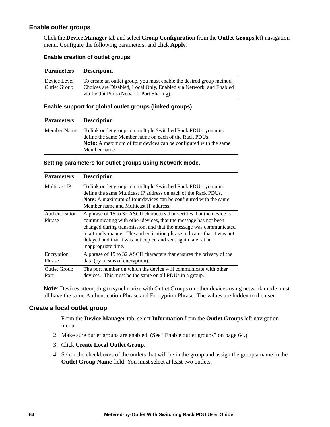#### <span id="page-72-0"></span>**Enable outlet groups**

Click the **Device Manager** tab and select **Group Configuration** from the **Outlet Groups** left navigation menu. Configure the following parameters, and click **Apply**.

#### **Enable creation of outlet groups.**

| Parameters                          | <b>Description</b>                                                                                                                                                                     |
|-------------------------------------|----------------------------------------------------------------------------------------------------------------------------------------------------------------------------------------|
| Device Level<br><b>Outlet Group</b> | To create an outlet group, you must enable the desired group method.<br>Choices are Disabled, Local Only, Enabled via Network, and Enabled<br>via In/Out Ports (Network Port Sharing). |

#### **Enable support for global outlet groups (linked groups).**

| <b>Parameters</b> | Description                                                                                                                                                                                                      |
|-------------------|------------------------------------------------------------------------------------------------------------------------------------------------------------------------------------------------------------------|
| Member Name       | To link outlet groups on multiple Switched Rack PDUs, you must<br>define the same Member name on each of the Rack PDUs.<br><b>Note:</b> A maximum of four devices can be configured with the same<br>Member name |

#### **Setting parameters for outlet groups using Network mode.**

| <b>Parameters</b>           | <b>Description</b>                                                                                                                                                                                                                                                                                                                                                                 |
|-----------------------------|------------------------------------------------------------------------------------------------------------------------------------------------------------------------------------------------------------------------------------------------------------------------------------------------------------------------------------------------------------------------------------|
| Multicast IP                | To link outlet groups on multiple Switched Rack PDUs, you must<br>define the same Multicast IP address on each of the Rack PDUs.<br><b>Note:</b> A maximum of four devices can be configured with the same<br>Member name and Multicast IP address.                                                                                                                                |
| Authentication<br>Phrase    | A phrase of 15 to 32 ASCII characters that verifies that the device is<br>communicating with other devices, that the message has not been<br>changed during transmission, and that the message was communicated<br>in a timely manner. The authentication phrase indicates that it was not<br>delayed and that it was not copied and sent again later at an<br>inappropriate time. |
| Encryption<br>Phrase        | A phrase of 15 to 32 ASCII characters that ensures the privacy of the<br>data (by means of encryption).                                                                                                                                                                                                                                                                            |
| <b>Outlet Group</b><br>Port | The port number on which the device will communicate with other<br>devices. This must be the same on all PDUs in a group.                                                                                                                                                                                                                                                          |

**Note:** Devices attempting to synchronize with Outlet Groups on other devices using network mode must all have the same Authentication Phrase and Encryption Phrase. The values are hidden to the user.

#### **Create a local outlet group**

- 1. From the **Device Manager** tab, select **Information** from the **Outlet Groups** left navigation menu.
- 2. Make sure outlet groups are enabled. (See ["Enable outlet groups" on page 64.](#page-72-0))
- 3. Click **Create Local Outlet Group**.
- 4. Select the checkboxes of the outlets that will be in the group and assign the group a name in the **Outlet Group Name** field. You must select at least two outlets.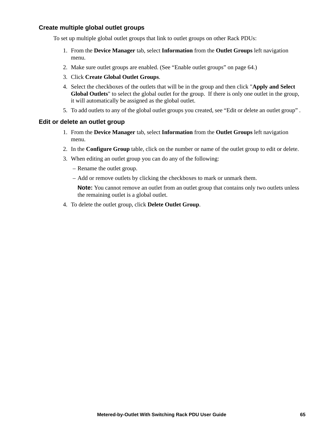#### **Create multiple global outlet groups**

To set up multiple global outlet groups that link to outlet groups on other Rack PDUs:

- 1. From the **Device Manager** tab, select **Information** from the **Outlet Groups** left navigation menu.
- 2. Make sure outlet groups are enabled. (See ["Enable outlet groups" on page 64.](#page-72-0))
- 3. Click **Create Global Outlet Groups**.
- 4. Select the checkboxes of the outlets that will be in the group and then click "**Apply and Select Global Outlets**" to select the global outlet for the group. If there is only one outlet in the group, it will automatically be assigned as the global outlet.
- 5. To add outlets to any of the global outlet groups you created, see ["Edit or delete an outlet group"](#page-73-0) .

#### <span id="page-73-0"></span>**Edit or delete an outlet group**

- 1. From the **Device Manager** tab, select **Information** from the **Outlet Groups** left navigation menu.
- 2. In the **Configure Group** table, click on the number or name of the outlet group to edit or delete.
- 3. When editing an outlet group you can do any of the following:
	- Rename the outlet group.
	- Add or remove outlets by clicking the checkboxes to mark or unmark them.

**Note:** You cannot remove an outlet from an outlet group that contains only two outlets unless the remaining outlet is a global outlet.

4. To delete the outlet group, click **Delete Outlet Group**.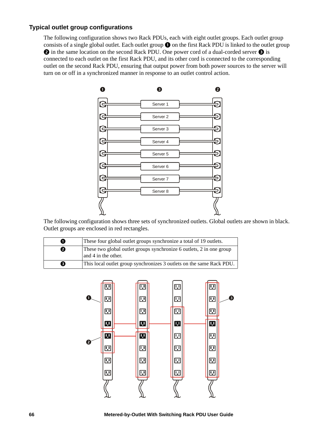#### **Typical outlet group configurations**

The following configuration shows two Rack PDUs, each with eight outlet groups. Each outlet group consists of a single global outlet. Each outlet group  $\bullet$  on the first Rack PDU is linked to the outlet group  $\odot$  in the same location on the second Rack PDU. One power cord of a dual-corded server  $\odot$  is connected to each outlet on the first Rack PDU, and its other cord is connected to the corresponding outlet on the second Rack PDU, ensuring that output power from both power sources to the server will turn on or off in a synchronized manner in response to an outlet control action.



The following configuration shows three sets of synchronized outlets. Global outlets are shown in black. Outlet groups are enclosed in red rectangles.

|   | These four global outlet groups synchronize a total of 19 outlets.                          |  |  |
|---|---------------------------------------------------------------------------------------------|--|--|
| ❷ | These two global outlet groups synchronize 6 outlets, 2 in one group<br>and 4 in the other. |  |  |
| € | This local outlet group synchronizes 3 outlets on the same Rack PDU.                        |  |  |

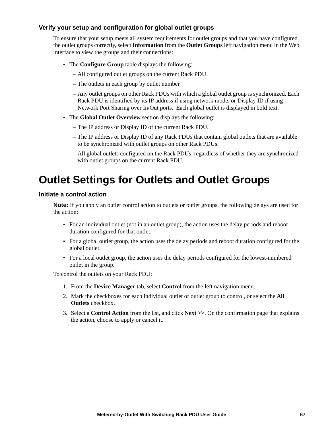#### **Verify your setup and configuration for global outlet groups**

To ensure that your setup meets all system requirements for outlet groups and that you have configured the outlet groups correctly, select **Information** from the **Outlet Groups** left navigation menu in the Web interface to view the groups and their connections:

- The **Configure Group** table displays the following:
	- All configured outlet groups on the current Rack PDU.
	- The outlets in each group by outlet number.
	- Any outlet groups on other Rack PDUs with which a global outlet group is synchronized. Each Rack PDU is identified by its IP address if using network mode, or Display ID if using Network Port Sharing over In/Out ports. Each global outlet is displayed in bold text.
- The **Global Outlet Overview** section displays the following:
	- The IP address or Display ID of the current Rack PDU.
	- The IP address or Display ID of any Rack PDUs that contain global outlets that are available to be synchronized with outlet groups on other Rack PDUs.
	- All global outlets configured on the Rack PDUs, regardless of whether they are synchronized with outlet groups on the current Rack PDU.

### **Outlet Settings for Outlets and Outlet Groups**

#### **Initiate a control action**

**Note:** If you apply an outlet control action to outlets or outlet groups, the following delays are used for the action:

- For an individual outlet (not in an outlet group), the action uses the delay periods and reboot duration configured for that outlet.
- For a global outlet group, the action uses the delay periods and reboot duration configured for the global outlet.
- For a local outlet group, the action uses the delay periods configured for the lowest-numbered outlet in the group.

To control the outlets on your Rack PDU:

- 1. From the **Device Manager** tab, select **Control** from the left navigation menu.
- 2. Mark the checkboxes for each individual outlet or outlet group to control, or select the **All Outlets** checkbox.
- 3. Select a **Control Action** from the list, and click **Next >>**. On the confirmation page that explains the action, choose to apply or cancel it.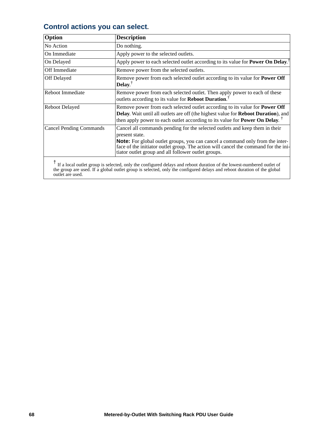### **Control actions you can select.**

| Option                         | <b>Description</b>                                                                                                                                                                                                                                                                                                                  |  |
|--------------------------------|-------------------------------------------------------------------------------------------------------------------------------------------------------------------------------------------------------------------------------------------------------------------------------------------------------------------------------------|--|
| No Action                      | Do nothing.                                                                                                                                                                                                                                                                                                                         |  |
| On Immediate                   | Apply power to the selected outlets.                                                                                                                                                                                                                                                                                                |  |
| On Delayed                     | Apply power to each selected outlet according to its value for Power On Delay. <sup>†</sup>                                                                                                                                                                                                                                         |  |
| Off Immediate                  | Remove power from the selected outlets.                                                                                                                                                                                                                                                                                             |  |
| Off Delayed                    | Remove power from each selected outlet according to its value for <b>Power Off</b><br>Delay. $^{\dagger}$                                                                                                                                                                                                                           |  |
| Reboot Immediate               | Remove power from each selected outlet. Then apply power to each of these<br>outlets according to its value for Reboot Duration. <sup>†</sup>                                                                                                                                                                                       |  |
| <b>Reboot Delayed</b>          | Remove power from each selected outlet according to its value for <b>Power Off</b><br>Delay. Wait until all outlets are off (the highest value for Reboot Duration), and<br>then apply power to each outlet according to its value for <b>Power On Delay</b> . <sup>†</sup>                                                         |  |
| <b>Cancel Pending Commands</b> | Cancel all commands pending for the selected outlets and keep them in their<br>present state.<br><b>Note:</b> For global outlet groups, you can cancel a command only from the inter-<br>face of the initiator outlet group. The action will cancel the command for the ini-<br>tiator outlet group and all follower outlet groups. |  |
|                                |                                                                                                                                                                                                                                                                                                                                     |  |

<sup>†</sup> If a local outlet group is selected, only the configured delays and reboot duration of the lowest-numbered outlet of the group are used. If a global outlet group is selected, only the configured delays and reboot duration of the global outlet are used.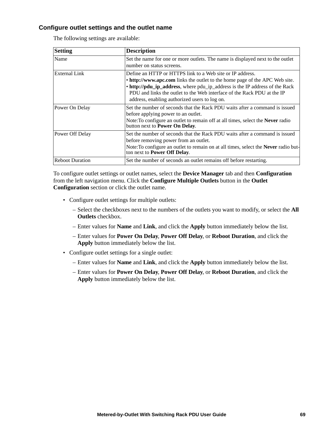#### <span id="page-77-0"></span>**Configure outlet settings and the outlet name**

The following settings are available:

| <b>Setting</b>         | <b>Description</b>                                                                                                                                                                                                                                                                                                                                  |
|------------------------|-----------------------------------------------------------------------------------------------------------------------------------------------------------------------------------------------------------------------------------------------------------------------------------------------------------------------------------------------------|
| Name                   | Set the name for one or more outlets. The name is displayed next to the outlet<br>number on status screens.                                                                                                                                                                                                                                         |
| <b>External Link</b>   | Define an HTTP or HTTPS link to a Web site or IP address.<br>• http://www.apc.com links the outlet to the home page of the APC Web site.<br>• http://pdu_ip_address, where pdu_ip_address is the IP address of the Rack<br>PDU and links the outlet to the Web interface of the Rack PDU at the IP<br>address, enabling authorized users to log on. |
| Power On Delay         | Set the number of seconds that the Rack PDU waits after a command is issued<br>before applying power to an outlet.<br>Note: To configure an outlet to remain off at all times, select the Never radio<br>button next to Power On Delay.                                                                                                             |
| Power Off Delay        | Set the number of seconds that the Rack PDU waits after a command is issued<br>before removing power from an outlet.<br>Note: To configure an outlet to remain on at all times, select the <b>Never</b> radio but-<br>ton next to Power Off Delay.                                                                                                  |
| <b>Reboot Duration</b> | Set the number of seconds an outlet remains off before restarting.                                                                                                                                                                                                                                                                                  |

To configure outlet settings or outlet names, select the **Device Manager** tab and then **Configuration** from the left navigation menu. Click the **Configure Multiple Outlets** button in the **Outlet Configuration** section or click the outlet name.

- Configure outlet settings for multiple outlets:
	- Select the checkboxes next to the numbers of the outlets you want to modify, or select the **All Outlets** checkbox.
	- Enter values for **Name** and **Link**, and click the **Apply** button immediately below the list.
	- Enter values for **Power On Delay**, **Power Off Delay**, or **Reboot Duration**, and click the **Apply** button immediately below the list.
- Configure outlet settings for a single outlet:
	- Enter values for **Name** and **Link**, and click the **Apply** button immediately below the list.
	- Enter values for **Power On Delay**, **Power Off Delay**, or **Reboot Duration**, and click the **Apply** button immediately below the list.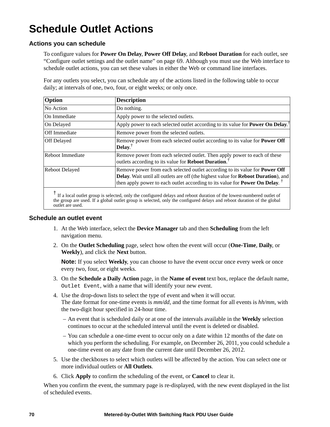# **Schedule Outlet Actions**

#### **Actions you can schedule**

To configure values for **Power On Delay**, **Power Off Delay**, and **Reboot Duration** for each outlet, see ["Configure outlet settings and the outlet name" on page 69.](#page-77-0) Although you must use the Web interface to schedule outlet actions, you can set these values in either the Web or command line interfaces.

For any outlets you select, you can schedule any of the actions listed in the following table to occur daily; at intervals of one, two, four, or eight weeks; or only once.

| <b>Description</b>                                                                                                                                                                                                                                     |  |
|--------------------------------------------------------------------------------------------------------------------------------------------------------------------------------------------------------------------------------------------------------|--|
| Do nothing.                                                                                                                                                                                                                                            |  |
| Apply power to the selected outlets.                                                                                                                                                                                                                   |  |
| Apply power to each selected outlet according to its value for <b>Power On Delay</b> . <sup>†</sup>                                                                                                                                                    |  |
| Remove power from the selected outlets.                                                                                                                                                                                                                |  |
| Remove power from each selected outlet according to its value for <b>Power Off</b><br>Delay. $^{\dagger}$                                                                                                                                              |  |
| Remove power from each selected outlet. Then apply power to each of these<br>outlets according to its value for Reboot Duration. <sup>1</sup>                                                                                                          |  |
| Remove power from each selected outlet according to its value for <b>Power Off</b><br>Delay. Wait until all outlets are off (the highest value for Reboot Duration), and<br>then apply power to each outlet according to its value for Power On Delay. |  |
|                                                                                                                                                                                                                                                        |  |

<sup>†</sup> If a local outlet group is selected, only the configured delays and reboot duration of the lowest-numbered outlet of the group are used. If a global outlet group is selected, only the configured delays and reboot duration of the global outlet are used.

#### **Schedule an outlet event**

- 1. At the Web interface, select the **Device Manager** tab and then **Scheduling** from the left navigation menu.
- 2. On the **Outlet Scheduling** page, select how often the event will occur (**One-Time**, **Daily**, or **Weekly**), and click the **Next** button.

**Note:** If you select **Weekly**, you can choose to have the event occur once every week or once every two, four, or eight weeks.

- 3. On the **Schedule a Daily Action** page, in the **Name of event** text box, replace the default name, Outlet Event, with a name that will identify your new event.
- 4. Use the drop-down lists to select the type of event and when it will occur. The date format for one-time events is *mm/dd*, and the time format for all events is *hh/mm*, with the two-digit hour specified in 24-hour time.
	- An event that is scheduled daily or at one of the intervals available in the **Weekly** selection continues to occur at the scheduled interval until the event is deleted or disabled.
	- You can schedule a one-time event to occur only on a date within 12 months of the date on which you perform the scheduling. For example, on December 26, 2011, you could schedule a one-time event on any date from the current date until December 26, 2012.
- 5. Use the checkboxes to select which outlets will be affected by the action. You can select one or more individual outlets or **All Outlets**.
- 6. Click **Apply** to confirm the scheduling of the event, or **Cancel** to clear it.

When you confirm the event, the summary page is re-displayed, with the new event displayed in the list of scheduled events.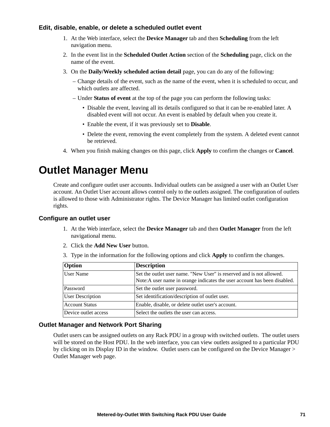#### **Edit, disable, enable, or delete a scheduled outlet event**

- 1. At the Web interface, select the **Device Manager** tab and then **Scheduling** from the left navigation menu.
- 2. In the event list in the **Scheduled Outlet Action** section of the **Scheduling** page, click on the name of the event.
- 3. On the **Daily/Weekly scheduled action detail** page, you can do any of the following:
	- Change details of the event, such as the name of the event, when it is scheduled to occur, and which outlets are affected.
	- Under **Status of event** at the top of the page you can perform the following tasks:
		- Disable the event, leaving all its details configured so that it can be re-enabled later. A disabled event will not occur. An event is enabled by default when you create it.
		- Enable the event, if it was previously set to **Disable**.
		- Delete the event, removing the event completely from the system. A deleted event cannot be retrieved.
- 4. When you finish making changes on this page, click **Apply** to confirm the changes or **Cancel**.

### **Outlet Manager Menu**

Create and configure outlet user accounts. Individual outlets can be assigned a user with an Outlet User account. An Outlet User account allows control only to the outlets assigned. The configuration of outlets is allowed to those with Administrator rights. The Device Manager has limited outlet configuration rights.

#### **Configure an outlet user**

- 1. At the Web interface, select the **Device Manager** tab and then **Outlet Manager** from the left navigational menu.
- 2. Click the **Add New User** button.
- 3. Type in the information for the following options and click **Apply** to confirm the changes.

| <b>Option</b>           | <b>Description</b>                                                                                                                                |
|-------------------------|---------------------------------------------------------------------------------------------------------------------------------------------------|
| User Name               | Set the outlet user name. "New User" is reserved and is not allowed.<br>Note: A user name in orange indicates the user account has been disabled. |
| Password                | Set the outlet user password.                                                                                                                     |
| <b>User Description</b> | Set identification/description of outlet user.                                                                                                    |
| <b>Account Status</b>   | Enable, disable, or delete outlet user's account.                                                                                                 |
| Device outlet access    | Select the outlets the user can access.                                                                                                           |

#### **Outlet Manager and Network Port Sharing**

Outlet users can be assigned outlets on any Rack PDU in a group with switched outlets. The outlet users will be stored on the Host PDU. In the web interface, you can view outlets assigned to a particular PDU by clicking on its Display ID in the window. Outlet users can be configured on the Device Manager > Outlet Manager web page.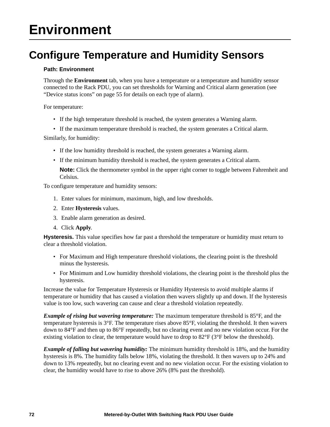# **Environment**

### **Configure Temperature and Humidity Sensors**

#### **Path: Environment**

Through the **Environment** tab, when you have a temperature or a temperature and humidity sensor connected to the Rack PDU, you can set thresholds for Warning and Critical alarm generation (see ["Device status icons" on page 55](#page-63-0) for details on each type of alarm).

For temperature:

• If the high temperature threshold is reached, the system generates a Warning alarm.

• If the maximum temperature threshold is reached, the system generates a Critical alarm.

Similarly, for humidity:

- If the low humidity threshold is reached, the system generates a Warning alarm.
- If the minimum humidity threshold is reached, the system generates a Critical alarm.

**Note:** Click the thermometer symbol in the upper right corner to toggle between Fahrenheit and Celsius.

To configure temperature and humidity sensors:

- 1. Enter values for minimum, maximum, high, and low thresholds.
- 2. Enter **Hysteresis** values.
- 3. Enable alarm generation as desired.
- 4. Click **Apply**.

**Hysteresis.** This value specifies how far past a threshold the temperature or humidity must return to clear a threshold violation.

- For Maximum and High temperature threshold violations, the clearing point is the threshold minus the hysteresis.
- For Minimum and Low humidity threshold violations, the clearing point is the threshold plus the hysteresis.

Increase the value for Temperature Hysteresis or Humidity Hysteresis to avoid multiple alarms if temperature or humidity that has caused a violation then wavers slightly up and down. If the hysteresis value is too low, such wavering can cause and clear a threshold violation repeatedly.

*Example of rising but wavering temperature:* The maximum temperature threshold is 85°F, and the temperature hysteresis is 3°F. The temperature rises above 85°F, violating the threshold. It then wavers down to 84°F and then up to 86°F repeatedly, but no clearing event and no new violation occur. For the existing violation to clear, the temperature would have to drop to  $82^{\circ}F(3^{\circ}F)$  below the threshold).

*Example of falling but wavering humidity:* The minimum humidity threshold is 18%, and the humidity hysteresis is 8%. The humidity falls below 18%, violating the threshold. It then wavers up to 24% and down to 13% repeatedly, but no clearing event and no new violation occur. For the existing violation to clear, the humidity would have to rise to above 26% (8% past the threshold).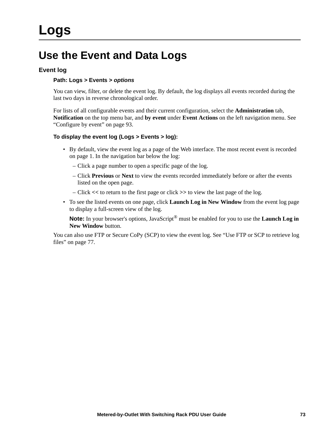### **Use the Event and Data Logs**

#### **Event log**

#### **Path: Logs > Events >** *options*

You can view, filter, or delete the event log. By default, the log displays all events recorded during the last two days in reverse chronological order.

For lists of all configurable events and their current configuration, select the **Administration** tab, **Notification** on the top menu bar, and **by event** under **Event Actions** on the left navigation menu. See ["Configure by event" on page 93.](#page-101-0)

#### **To display the event log (Logs > Events > log):**

- By default, view the event log as a page of the Web interface. The most recent event is recorded on page 1. In the navigation bar below the log:
	- Click a page number to open a specific page of the log.
	- Click **Previous** or **Next** to view the events recorded immediately before or after the events listed on the open page.
	- Click **<<** to return to the first page or click **>>** to view the last page of the log.
- To see the listed events on one page, click **Launch Log in New Window** from the event log page to display a full-screen view of the log.

**Note:** In your browser's options, JavaScript® must be enabled for you to use the **Launch Log in New Window** button.

You can also use FTP or Secure CoPy (SCP) to view the event log. See "Use FTP or SCP to retrieve log [files" on page 77.](#page-85-0)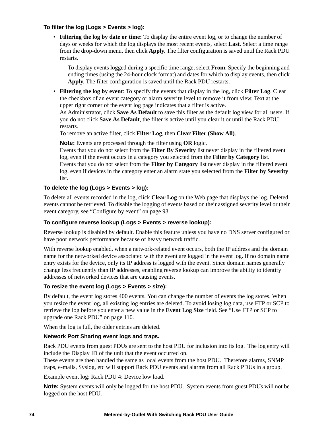#### **To filter the log (Logs > Events > log):**

• **Filtering the log by date or time:** To display the entire event log, or to change the number of days or weeks for which the log displays the most recent events, select **Last**. Select a time range from the drop-down menu, then click **Apply**. The filter configuration is saved until the Rack PDU restarts.

To display events logged during a specific time range, select **From**. Specify the beginning and ending times (using the 24-hour clock format) and dates for which to display events, then click **Apply**. The filter configuration is saved until the Rack PDU restarts.

• **Filtering the log by event**: To specify the events that display in the log, click **Filter Log**. Clear the checkbox of an event category or alarm severity level to remove it from view. Text at the upper right corner of the event log page indicates that a filter is active.

As Administrator, click **Save As Default** to save this filter as the default log view for all users. If you do not click **Save As Default**, the filter is active until you clear it or until the Rack PDU restarts.

To remove an active filter, click **Filter Log**, then **Clear Filter (Show All)**.

**Note:** Events are processed through the filter using **OR** logic.

Events that you do not select from the **Filter By Severity** list never display in the filtered event log, even if the event occurs in a category you selected from the **Filter by Category** list. Events that you do not select from the **Filter by Category** list never display in the filtered event log, even if devices in the category enter an alarm state you selected from the **Filter by Severity** list.

#### **To delete the log (Logs > Events > log):**

To delete all events recorded in the log, click **Clear Log** on the Web page that displays the log. Deleted events cannot be retrieved. To disable the logging of events based on their assigned severity level or their event category, see ["Configure by event" on page 93](#page-101-0).

#### **To configure reverse lookup (Logs > Events > reverse lookup):**

Reverse lookup is disabled by default. Enable this feature unless you have no DNS server configured or have poor network performance because of heavy network traffic.

With reverse lookup enabled, when a network-related event occurs, both the IP address and the domain name for the networked device associated with the event are logged in the event log. If no domain name entry exists for the device, only its IP address is logged with the event. Since domain names generally change less frequently than IP addresses, enabling reverse lookup can improve the ability to identify addresses of networked devices that are causing events.

#### **To resize the event log (Logs > Events > size):**

By default, the event log stores 400 events. You can change the number of events the log stores. When you resize the event log, all existing log entries are deleted. To avoid losing log data, use FTP or SCP to retrieve the log before you enter a new value in the **Event Log Size** field. See ["Use FTP or SCP to](#page-118-0)  [upgrade one Rack PDU" on page 110.](#page-118-0)

When the log is full, the older entries are deleted.

#### **Network Port Sharing event logs and traps.**

Rack PDU events from guest PDUs are sent to the host PDU for inclusion into its log. The log entry will include the Display ID of the unit that the event occurred on.

These events are then handled the same as local events from the host PDU. Therefore alarms, SNMP traps, e-mails, Syslog, etc will support Rack PDU events and alarms from all Rack PDUs in a group.

Example event log: Rack PDU 4: Device low load.

**Note:** System events will only be logged for the host PDU. System events from guest PDUs will not be logged on the host PDU.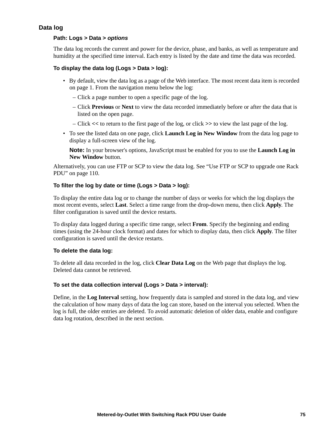#### <span id="page-83-0"></span>**Data log**

#### **Path: Logs > Data >** *options*

The data log records the current and power for the device, phase, and banks, as well as temperature and humidity at the specified time interval. Each entry is listed by the date and time the data was recorded.

#### **To display the data log (Logs > Data > log):**

- By default, view the data log as a page of the Web interface. The most recent data item is recorded on page 1. From the navigation menu below the log:
	- Click a page number to open a specific page of the log.
	- Click **Previous** or **Next** to view the data recorded immediately before or after the data that is listed on the open page.
	- Click **<<** to return to the first page of the log, or click **>>** to view the last page of the log.
- To see the listed data on one page, click **Launch Log in New Window** from the data log page to display a full-screen view of the log.

**Note:** In your browser's options, JavaScript must be enabled for you to use the **Launch Log in New Window** button.

Alternatively, you can use FTP or SCP to view the data log. See ["Use FTP or SCP to upgrade one Rack](#page-118-0)  [PDU" on page 110.](#page-118-0)

#### **To filter the log by date or time (Logs > Data > log):**

To display the entire data log or to change the number of days or weeks for which the log displays the most recent events, select **Last**. Select a time range from the drop-down menu, then click **Apply**. The filter configuration is saved until the device restarts.

To display data logged during a specific time range, select **From**. Specify the beginning and ending times (using the 24-hour clock format) and dates for which to display data, then click **Apply**. The filter configuration is saved until the device restarts.

#### **To delete the data log:**

To delete all data recorded in the log, click **Clear Data Log** on the Web page that displays the log. Deleted data cannot be retrieved.

#### **To set the data collection interval (Logs > Data > interval):**

Define, in the **Log Interval** setting, how frequently data is sampled and stored in the data log, and view the calculation of how many days of data the log can store, based on the interval you selected. When the log is full, the older entries are deleted. To avoid automatic deletion of older data, enable and configure data log rotation, described in the next section.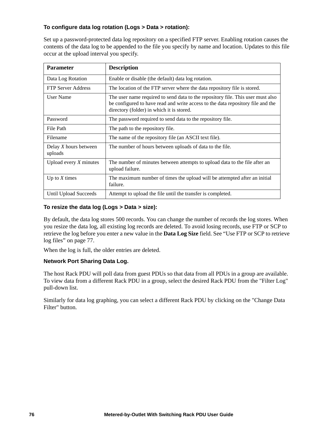#### **To configure data log rotation (Logs > Data > rotation):**

Set up a password-protected data log repository on a specified FTP server. Enabling rotation causes the contents of the data log to be appended to the file you specify by name and location. Updates to this file occur at the upload interval you specify.

| <b>Parameter</b>                 | <b>Description</b>                                                                                                                                                                                              |
|----------------------------------|-----------------------------------------------------------------------------------------------------------------------------------------------------------------------------------------------------------------|
| Data Log Rotation                | Enable or disable (the default) data log rotation.                                                                                                                                                              |
| <b>FTP Server Address</b>        | The location of the FTP server where the data repository file is stored.                                                                                                                                        |
| User Name                        | The user name required to send data to the repository file. This user must also<br>be configured to have read and write access to the data repository file and the<br>directory (folder) in which it is stored. |
| Password                         | The password required to send data to the repository file.                                                                                                                                                      |
| File Path                        | The path to the repository file.                                                                                                                                                                                |
| Filename                         | The name of the repository file (an ASCII text file).                                                                                                                                                           |
| Delay X hours between<br>uploads | The number of hours between uploads of data to the file.                                                                                                                                                        |
| Upload every $X$ minutes         | The number of minutes between attempts to upload data to the file after an<br>upload failure.                                                                                                                   |
| Up to $X$ times                  | The maximum number of times the upload will be attempted after an initial<br>failure.                                                                                                                           |
| Until Upload Succeeds            | Attempt to upload the file until the transfer is completed.                                                                                                                                                     |

#### **To resize the data log (Logs > Data > size):**

By default, the data log stores 500 records. You can change the number of records the log stores. When you resize the data log, all existing log records are deleted. To avoid losing records, use FTP or SCP to retrieve the log before you enter a new value in the **Data Log Size** field. See ["Use FTP or SCP to retrieve](#page-85-0)  [log files" on page 77.](#page-85-0)

When the log is full, the older entries are deleted.

#### **Network Port Sharing Data Log.**

The host Rack PDU will poll data from guest PDUs so that data from all PDUs in a group are available. To view data from a different Rack PDU in a group, select the desired Rack PDU from the "Filter Log" pull-down list.

Similarly for data log graphing, you can select a different Rack PDU by clicking on the "Change Data Filter" button.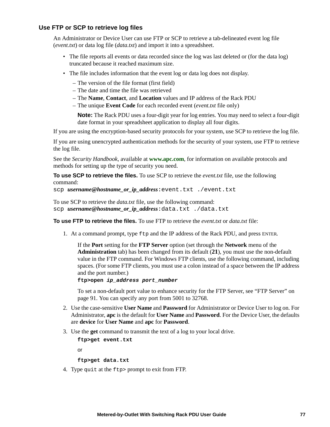#### <span id="page-85-0"></span>**Use FTP or SCP to retrieve log files**

An Administrator or Device User can use FTP or SCP to retrieve a tab-delineated event log file (*event.txt*) or data log file (*data.txt*) and import it into a spreadsheet.

- The file reports all events or data recorded since the log was last deleted or (for the data log) truncated because it reached maximum size.
- The file includes information that the event log or data log does not display.
	- The version of the file format (first field)
	- The date and time the file was retrieved
	- The **Name**, **Contact**, and **Location** values and IP address of the Rack PDU
	- The unique **Event Code** for each recorded event (*event.txt* file only)

**Note:** The Rack PDU uses a four-digit year for log entries. You may need to select a four-digit date format in your spreadsheet application to display all four digits.

If you are using the encryption-based security protocols for your system, use SCP to retrieve the log file.

If you are using unencrypted authentication methods for the security of your system, use FTP to retrieve the log file.

See the *Security Handbook*, available at **[www.apc.com](http://www.apc.com)**, for information on available protocols and methods for setting up the type of security you need.

**To use SCP to retrieve the files.** To use SCP to retrieve the *event.txt* file, use the following command:

scp *username***@***hostname\_or\_ip\_address*:event.txt ./event.txt

To use SCP to retrieve the *data.txt* file, use the following command: scp *username***@***hostname\_or\_ip\_address*:data.txt ./data.txt

**To use FTP to retrieve the files.** To use FTP to retrieve the *event.txt* or *data.txt* file:

1. At a command prompt, type  $ftp$  and the IP address of the Rack PDU, and press ENTER.

If the **Port** setting for the **FTP Server** option (set through the **Network** menu of the **Administration** tab) has been changed from its default (**21**), you must use the non-default value in the FTP command. For Windows FTP clients, use the following command, including spaces. (For some FTP clients, you must use a colon instead of a space between the IP address and the port number.)

**ftp>open** *ip\_address port\_number*

To set a non-default port value to enhance security for the FTP Server, see ["FTP Server" on](#page-99-0)  [page 91](#page-99-0). You can specify any port from 5001 to 32768.

- 2. Use the case-sensitive **User Name** and **Password** for Administrator or Device User to log on. For Administrator, **apc** is the default for **User Name** and **Password**. For the Device User, the defaults are **device** for **User Name** and **apc** for **Password**.
- 3. Use the **get** command to transmit the text of a log to your local drive.

**ftp>get event.txt**

or

**ftp>get data.txt**

4. Type quit at the ftp> prompt to exit from FTP.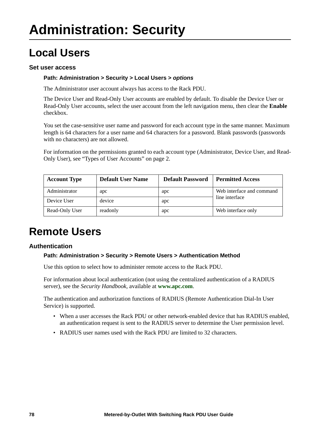# **Local Users**

#### **Set user access**

#### **Path: Administration > Security > Local Users >** *options*

The Administrator user account always has access to the Rack PDU.

The Device User and Read-Only User accounts are enabled by default. To disable the Device User or Read-Only User accounts, select the user account from the left navigation menu, then clear the **Enable** checkbox.

You set the case-sensitive user name and password for each account type in the same manner. Maximum length is 64 characters for a user name and 64 characters for a password. Blank passwords (passwords with no characters) are not allowed.

For information on the permissions granted to each account type (Administrator, Device User, and Read-Only User), see ["Types of User Accounts" on page 2](#page-10-0).

| <b>Account Type</b> | <b>Default User Name</b> | <b>Default Password</b> | <b>Permitted Access</b>                     |  |
|---------------------|--------------------------|-------------------------|---------------------------------------------|--|
| Administrator       | apc                      | apc                     | Web interface and command<br>line interface |  |
| Device User         | device                   | apc                     |                                             |  |
| Read-Only User      | readonly                 | apc                     | Web interface only                          |  |

### **Remote Users**

#### **Authentication**

#### **Path: Administration > Security > Remote Users > Authentication Method**

Use this option to select how to administer remote access to the Rack PDU.

For information about local authentication (not using the centralized authentication of a RADIUS server), see the *Security Handbook,* available at **www.apc.com**.

The authentication and authorization functions of RADIUS (Remote Authentication Dial-In User Service) is supported.

- When a user accesses the Rack PDU or other network-enabled device that has RADIUS enabled, an authentication request is sent to the RADIUS server to determine the User permission level.
- RADIUS user names used with the Rack PDU are limited to 32 characters.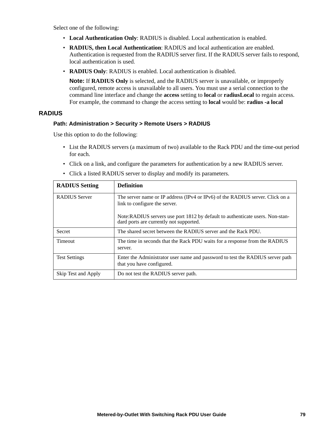Select one of the following:

- **Local Authentication Only**: RADIUS is disabled. Local authentication is enabled.
- **RADIUS, then Local Authentication**: RADIUS and local authentication are enabled. Authentication is requested from the RADIUS server first. If the RADIUS server fails to respond, local authentication is used.
- **RADIUS Only**: RADIUS is enabled. Local authentication is disabled.

**Note:** If **RADIUS Only** is selected, and the RADIUS server is unavailable, or improperly configured, remote access is unavailable to all users. You must use a serial connection to the command line interface and change the **access** setting to **local** or **radiusLocal** to regain access. For example, the command to change the access setting to **local** would be: **radius -a local**

#### **RADIUS**

#### **Path: Administration > Security > Remote Users > RADIUS**

Use this option to do the following:

- List the RADIUS servers (a maximum of two) available to the Rack PDU and the time-out period for each.
- Click on a link, and configure the parameters for authentication by a new RADIUS server.
- Click a listed RADIUS server to display and modify its parameters.

| <b>RADIUS Setting</b> | <b>Definition</b>                                                                                                        |
|-----------------------|--------------------------------------------------------------------------------------------------------------------------|
| <b>RADIUS</b> Server  | The server name or IP address (IPv4 or IPv6) of the RADIUS server. Click on a<br>link to configure the server.           |
|                       | Note:RADIUS servers use port 1812 by default to authenticate users. Non-stan-<br>dard ports are currently not supported. |
| <b>Secret</b>         | The shared secret between the RADIUS server and the Rack PDU.                                                            |
| <b>Timeout</b>        | The time in seconds that the Rack PDU waits for a response from the RADIUS<br>server.                                    |
| <b>Test Settings</b>  | Enter the Administrator user name and password to test the RADIUS server path<br>that you have configured.               |
| Skip Test and Apply   | Do not test the RADIUS server path.                                                                                      |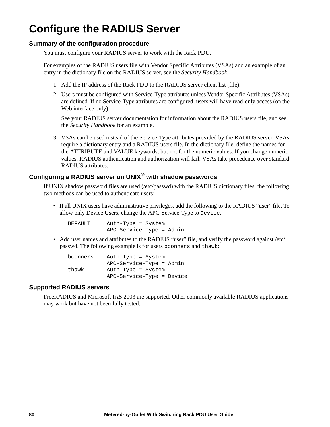# **Configure the RADIUS Server**

#### **Summary of the configuration procedure**

You must configure your RADIUS server to work with the Rack PDU.

For examples of the RADIUS users file with Vendor Specific Attributes (VSAs) and an example of an entry in the dictionary file on the RADIUS server, see the *Security Handbook*.

- 1. Add the IP address of the Rack PDU to the RADIUS server client list (file).
- 2. Users must be configured with Service-Type attributes unless Vendor Specific Attributes (VSAs) are defined. If no Service-Type attributes are configured, users will have read-only access (on the Web interface only).

See your RADIUS server documentation for information about the RADIUS users file, and see the *Security Handbook* for an example.

3. VSAs can be used instead of the Service-Type attributes provided by the RADIUS server. VSAs require a dictionary entry and a RADIUS users file. In the dictionary file, define the names for the ATTRIBUTE and VALUE keywords, but not for the numeric values. If you change numeric values, RADIUS authentication and authorization will fail. VSAs take precedence over standard RADIUS attributes.

### **Configuring a RADIUS server on UNIX® with shadow passwords**

If UNIX shadow password files are used (/etc/passwd) with the RADIUS dictionary files, the following two methods can be used to authenticate users:

• If all UNIX users have administrative privileges, add the following to the RADIUS "user" file. To allow only Device Users, change the APC-Service-Type to Device.

| DEFAULT | Auth-Type = System       |  |
|---------|--------------------------|--|
|         | APC-Service-Type = Admin |  |

• Add user names and attributes to the RADIUS "user" file, and verify the password against /etc/ passwd. The following example is for users bconners and thawk:

| bconners | Auth-Type = System        |
|----------|---------------------------|
|          | APC-Service-Type = Admin  |
| thawk    | Auth-Type = System        |
|          | APC-Service-Type = Device |

#### **Supported RADIUS servers**

FreeRADIUS and Microsoft IAS 2003 are supported. Other commonly available RADIUS applications may work but have not been fully tested.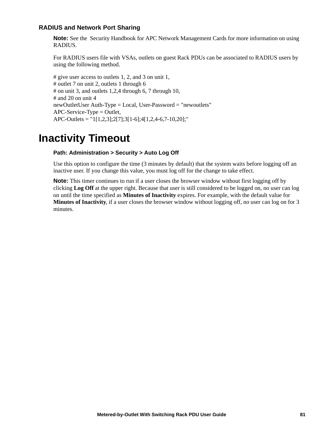#### **RADIUS and Network Port Sharing**

**Note:** See the Security Handbook for APC Network Management Cards for more information on using RADIUS.

For RADIUS users file with VSAs, outlets on guest Rack PDUs can be associated to RADIUS users by using the following method.

# give user access to outlets 1, 2, and 3 on unit 1, # outlet 7 on unit 2, outlets 1 through 6 # on unit 3, and outlets 1,2,4 through 6, 7 through 10, # and 20 on unit 4 newOutletUser Auth-Type = Local, User-Password = "newoutlets" APC-Service-Type = Outlet, APC-Outlets = "1[1,2,3];2[7];3[1-6];4[1,2,4-6,7-10,20];"

### **Inactivity Timeout**

#### **Path: Administration > Security > Auto Log Off**

Use this option to configure the time (3 minutes by default) that the system waits before logging off an inactive user. If you change this value, you must log off for the change to take effect.

**Note:** This timer continues to run if a user closes the browser window without first logging off by clicking **Log Off** at the upper right. Because that user is still considered to be logged on, no user can log on until the time specified as **Minutes of Inactivity** expires. For example, with the default value for **Minutes of Inactivity**, if a user closes the browser window without logging off, no user can log on for 3 minutes.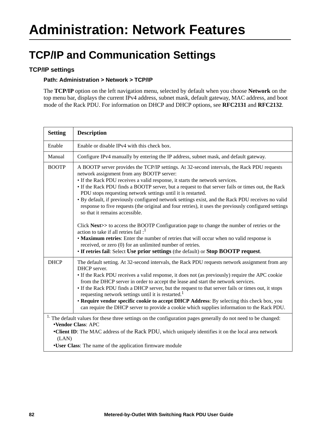### **TCP/IP and Communication Settings**

### **TCP/IP settings**

#### **Path: Administration > Network > TCP/IP**

The **TCP/IP** option on the left navigation menu, selected by default when you choose **Network** on the top menu bar, displays the current IPv4 address, subnet mask, default gateway, MAC address, and boot mode of the Rack PDU. For information on DHCP and DHCP options, see **[RFC2131](http://www.ietf.org/rfc/rfc2131.txt?number=2131)** and **[RFC2132](http://www.ietf.org/rfc/rfc2132.txt?number=2132)**.

| <b>Setting</b>                                                                                                                                                                                                                                                                                                              | <b>Description</b>                                                                                                                                                                                                                                                                                                                                                                                                                                                                                                                                                                                                                                                                                                                         |
|-----------------------------------------------------------------------------------------------------------------------------------------------------------------------------------------------------------------------------------------------------------------------------------------------------------------------------|--------------------------------------------------------------------------------------------------------------------------------------------------------------------------------------------------------------------------------------------------------------------------------------------------------------------------------------------------------------------------------------------------------------------------------------------------------------------------------------------------------------------------------------------------------------------------------------------------------------------------------------------------------------------------------------------------------------------------------------------|
| Enable                                                                                                                                                                                                                                                                                                                      | Enable or disable IPv4 with this check box.                                                                                                                                                                                                                                                                                                                                                                                                                                                                                                                                                                                                                                                                                                |
| Manual                                                                                                                                                                                                                                                                                                                      | Configure IPv4 manually by entering the IP address, subnet mask, and default gateway.                                                                                                                                                                                                                                                                                                                                                                                                                                                                                                                                                                                                                                                      |
| <b>BOOTP</b>                                                                                                                                                                                                                                                                                                                | A BOOTP server provides the TCP/IP settings. At 32-second intervals, the Rack PDU requests<br>network assignment from any BOOTP server:<br>• If the Rack PDU receives a valid response, it starts the network services.<br>• If the Rack PDU finds a BOOTP server, but a request to that server fails or times out, the Rack<br>PDU stops requesting network settings until it is restarted.<br>• By default, if previously configured network settings exist, and the Rack PDU receives no valid<br>response to five requests (the original and four retries), it uses the previously configured settings<br>so that it remains accessible.<br>Click Next>> to access the BOOTP Configuration page to change the number of retries or the |
|                                                                                                                                                                                                                                                                                                                             | action to take if all retries fail $:$ <sup>1</sup><br>• Maximum retries: Enter the number of retries that will occur when no valid response is<br>received, or zero (0) for an unlimited number of retries.<br>• If retries fail: Select Use prior settings (the default) or Stop BOOTP request.                                                                                                                                                                                                                                                                                                                                                                                                                                          |
| <b>DHCP</b>                                                                                                                                                                                                                                                                                                                 | The default setting. At 32-second intervals, the Rack PDU requests network assignment from any<br>DHCP server.<br>• If the Rack PDU receives a valid response, it does not (as previously) require the APC cookie<br>from the DHCP server in order to accept the lease and start the network services.<br>• If the Rack PDU finds a DHCP server, but the request to that server fails or times out, it stops<br>requesting network settings until it is restarted. <sup>1</sup><br>• Require vendor specific cookie to accept DHCP Address: By selecting this check box, you<br>can require the DHCP server to provide a cookie which supplies information to the Rack PDU.                                                                |
| <sup>1.</sup> The default values for these three settings on the configuration pages generally do not need to be changed:<br>•Vendor Class: APC<br>•Client ID: The MAC address of the Rack PDU, which uniquely identifies it on the local area network<br>(LAN)<br>•User Class: The name of the application firmware module |                                                                                                                                                                                                                                                                                                                                                                                                                                                                                                                                                                                                                                                                                                                                            |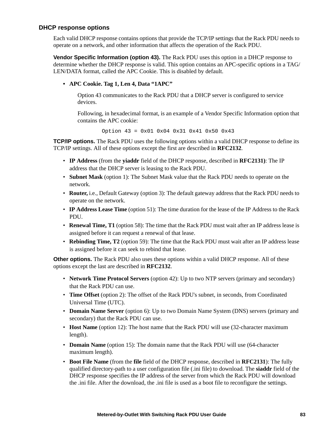#### **DHCP response options**

Each valid DHCP response contains options that provide the TCP/IP settings that the Rack PDU needs to operate on a network, and other information that affects the operation of the Rack PDU.

**Vendor Specific Information (option 43).** The Rack PDU uses this option in a DHCP response to determine whether the DHCP response is valid. This option contains an APC-specific options in a TAG/ LEN/DATA format, called the APC Cookie. This is disabled by default.

#### **• APC Cookie. Tag 1, Len 4, Data "1APC"**

Option 43 communicates to the Rack PDU that a DHCP server is configured to service devices.

Following, in hexadecimal format, is an example of a Vendor Specific Information option that contains the APC cookie:

Option 43 = 0x01 0x04 0x31 0x41 0x50 0x43

**TCP/IP options.** The Rack PDU uses the following options within a valid DHCP response to define its TCP/IP settings. All of these options except the first are described in **[RFC2132](http://www.ietf.org/rfc/rfc2132.txt?number=2132)**.

- **IP Address** (from the **yiaddr** field of the DHCP response, described in **[RFC2131\)](http://www.ietf.org/rfc/rfc2131.txt?number=2131)**: The IP address that the DHCP server is leasing to the Rack PDU.
- **Subnet Mask** (option 1): The Subnet Mask value that the Rack PDU needs to operate on the network.
- **Router,** i.e., Default Gateway (option 3): The default gateway address that the Rack PDU needs to operate on the network.
- **IP Address Lease Time** (option 51): The time duration for the lease of the IP Address to the Rack PDU.
- **Renewal Time, T1** (option 58): The time that the Rack PDU must wait after an IP address lease is assigned before it can request a renewal of that lease.
- **Rebinding Time, T2** (option 59): The time that the Rack PDU must wait after an IP address lease is assigned before it can seek to rebind that lease.

**Other options.** The Rack PDU also uses these options within a valid DHCP response. All of these options except the last are described in **[RFC2132](http://www.ietf.org/rfc/rfc2132.txt?number=2132)**.

- **Network Time Protocol Servers** (option 42): Up to two NTP servers (primary and secondary) that the Rack PDU can use.
- **Time Offset** (option 2): The offset of the Rack PDU's subnet, in seconds, from Coordinated Universal Time (UTC).
- **Domain Name Server** (option 6): Up to two Domain Name System (DNS) servers (primary and secondary) that the Rack PDU can use.
- **Host Name** (option 12): The host name that the Rack PDU will use (32-character maximum length).
- **Domain Name** (option 15): The domain name that the Rack PDU will use (64-character maximum length).
- **Boot File Name** (from the **file** field of the DHCP response, described in **[RFC2131](http://www.ietf.org/rfc/rfc2131.txt?number=2131)**): The fully qualified directory-path to a user configuration file (.ini file) to download. The **siaddr** field of the DHCP response specifies the IP address of the server from which the Rack PDU will download the .ini file. After the download, the .ini file is used as a boot file to reconfigure the settings.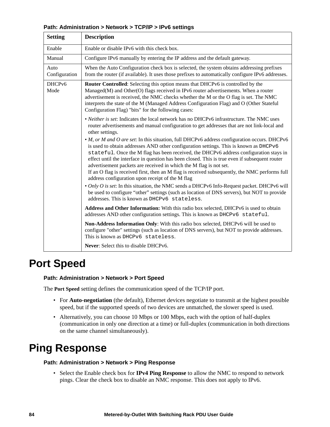| <b>Setting</b>        | <b>Description</b>                                                                                                                                                                                                                                                                                                                                                                                                                                                                                                                                                                                                                                                                                                                                                                                                                                                                                                                                                                                                                                                                                                                                                                                                                                          |
|-----------------------|-------------------------------------------------------------------------------------------------------------------------------------------------------------------------------------------------------------------------------------------------------------------------------------------------------------------------------------------------------------------------------------------------------------------------------------------------------------------------------------------------------------------------------------------------------------------------------------------------------------------------------------------------------------------------------------------------------------------------------------------------------------------------------------------------------------------------------------------------------------------------------------------------------------------------------------------------------------------------------------------------------------------------------------------------------------------------------------------------------------------------------------------------------------------------------------------------------------------------------------------------------------|
| Enable                | Enable or disable IPv6 with this check box.                                                                                                                                                                                                                                                                                                                                                                                                                                                                                                                                                                                                                                                                                                                                                                                                                                                                                                                                                                                                                                                                                                                                                                                                                 |
| Manual                | Configure IPv6 manually by entering the IP address and the default gateway.                                                                                                                                                                                                                                                                                                                                                                                                                                                                                                                                                                                                                                                                                                                                                                                                                                                                                                                                                                                                                                                                                                                                                                                 |
| Auto<br>Configuration | When the Auto Configuration check box is selected, the system obtains addressing prefixes<br>from the router (if available). It uses those prefixes to automatically configure IPv6 addresses.                                                                                                                                                                                                                                                                                                                                                                                                                                                                                                                                                                                                                                                                                                                                                                                                                                                                                                                                                                                                                                                              |
| DHCPv6<br>Mode        | Router Controlled: Selecting this option means that DHCPv6 is controlled by the<br>Managed(M) and Other(O) flags received in IPv6 router advertisements. When a router<br>advertisement is received, the NMC checks whether the M or the O flag is set. The NMC<br>interprets the state of the M (Managed Address Configuration Flag) and O (Other Stateful<br>Configuration Flag) "bits" for the following cases:                                                                                                                                                                                                                                                                                                                                                                                                                                                                                                                                                                                                                                                                                                                                                                                                                                          |
|                       | • Neither is set: Indicates the local network has no DHCPv6 infrastructure. The NMC uses<br>router advertisements and manual configuration to get addresses that are not link-local and<br>other settings.<br>• <i>M, or M and O are set:</i> In this situation, full DHCPv6 address configuration occurs. DHCPv6<br>is used to obtain addresses AND other configuration settings. This is known as DHCPv6<br>stateful. Once the M flag has been received, the DHCPv6 address configuration stays in<br>effect until the interface in question has been closed. This is true even if subsequent router<br>advertisement packets are received in which the M flag is not set.<br>If an O flag is received first, then an M flag is received subsequently, the NMC performs full<br>address configuration upon receipt of the M flag<br>• Only O is set: In this situation, the NMC sends a DHCPv6 Info-Request packet. DHCPv6 will<br>be used to configure "other" settings (such as location of DNS servers), but NOT to provide<br>addresses. This is known as DHCPv6 stateless.<br>Address and Other Information: With this radio box selected, DHCPv6 is used to obtain<br>addresses AND other configuration settings. This is known as DHCPv6 stateful. |
|                       | Non-Address Information Only: With this radio box selected, DHCPv6 will be used to<br>configure "other" settings (such as location of DNS servers), but NOT to provide addresses.<br>This is known as DHCPv6 stateless.                                                                                                                                                                                                                                                                                                                                                                                                                                                                                                                                                                                                                                                                                                                                                                                                                                                                                                                                                                                                                                     |
|                       | Never: Select this to disable DHCPv6.                                                                                                                                                                                                                                                                                                                                                                                                                                                                                                                                                                                                                                                                                                                                                                                                                                                                                                                                                                                                                                                                                                                                                                                                                       |

### **Port Speed**

#### **Path: Administration > Network > Port Speed**

The **Port Speed** setting defines the communication speed of the TCP/IP port.

- For **Auto-negotiation** (the default), Ethernet devices negotiate to transmit at the highest possible speed, but if the supported speeds of two devices are unmatched, the slower speed is used.
- Alternatively, you can choose 10 Mbps or 100 Mbps, each with the option of half-duplex (communication in only one direction at a time) or full-duplex (communication in both directions on the same channel simultaneously).

### **Ping Response**

#### **Path: Administration > Network > Ping Response**

• Select the Enable check box for **IPv4 Ping Response** to allow the NMC to respond to network pings. Clear the check box to disable an NMC response. This does not apply to IPv6.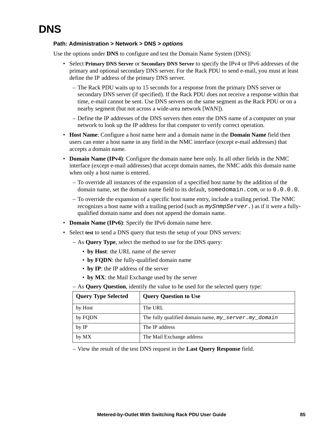#### **Path: Administration > Network > DNS >** *options*

Use the options under **DNS** to configure and test the Domain Name System (DNS):

- Select **Primary DNS Server** or **Secondary DNS Server** to specify the IPv4 or IPv6 addresses of the primary and optional secondary DNS server. For the Rack PDU to send e-mail, you must at least define the IP address of the primary DNS server.
	- The Rack PDU waits up to 15 seconds for a response from the primary DNS server or secondary DNS server (if specified). If the Rack PDU does not receive a response within that time, e-mail cannot be sent. Use DNS servers on the same segment as the Rack PDU or on a nearby segment (but not across a wide-area network [WAN]).
	- Define the IP addresses of the DNS servers then enter the DNS name of a computer on your network to look up the IP address for that computer to verify correct operation.
- **Host Name**: Configure a host name here and a domain name in the **Domain Name** field then users can enter a host name in any field in the NMC interface (except e-mail addresses) that accepts a domain name.
- **Domain Name (IPv4)**: Configure the domain name here only. In all other fields in the NMC interface (except e-mail addresses) that accept domain names, the NMC adds this domain name when only a host name is entered.
	- To override all instances of the expansion of a specified host name by the addition of the domain name, set the domain name field to its default, somedomain.com, or to  $0.0.0.0.0$ .
	- To override the expansion of a specific host name entry, include a trailing period. The NMC recognizes a host name with a trailing period (such as *mySnmpServer.*) as if it were a fullyqualified domain name and does not append the domain name.
- **Domain Name (IPv6)**: Specify the IPv6 domain name here.
- Select **test** to send a DNS query that tests the setup of your DNS servers:
	- As **Query Type**, select the method to use for the DNS query:
		- **by Host**: the URL name of the server
		- **by FQDN**: the fully-qualified domain name
		- **by IP**: the IP address of the server
		- **by MX**: the Mail Exchange used by the server

– As **Query Question**, identify the value to be used for the selected query type:

| <b>Query Type Selected</b> | <b>Query Question to Use</b>                         |
|----------------------------|------------------------------------------------------|
| by Host                    | The URL                                              |
| by FQDN                    | The fully qualified domain name, my_server.my_domain |
| by IP                      | The IP address                                       |
| by MX                      | The Mail Exchange address                            |

– View the result of the test DNS request in the **Last Query Response** field.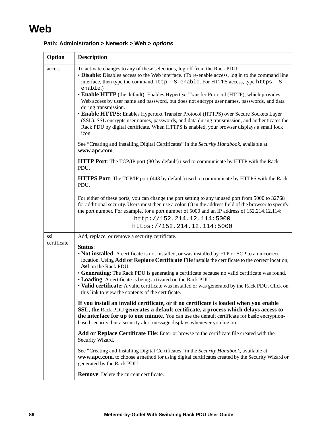### **Web**

| Option      | <b>Description</b>                                                                                                                                                                                                                                                                                                                                                                                                                                                                                                                                                                                                                                                                                                                                                                                 |
|-------------|----------------------------------------------------------------------------------------------------------------------------------------------------------------------------------------------------------------------------------------------------------------------------------------------------------------------------------------------------------------------------------------------------------------------------------------------------------------------------------------------------------------------------------------------------------------------------------------------------------------------------------------------------------------------------------------------------------------------------------------------------------------------------------------------------|
| access      | To activate changes to any of these selections, log off from the Rack PDU:<br>• Disable: Disables access to the Web interface. (To re-enable access, log in to the command line<br>interface, then type the command http -S enable. For HTTPS access, type https -S<br>enable.)<br>• Enable HTTP (the default): Enables Hypertext Transfer Protocol (HTTP), which provides<br>Web access by user name and password, but does not encrypt user names, passwords, and data<br>during transmission.<br>• Enable HTTPS: Enables Hypertext Transfer Protocol (HTTPS) over Secure Sockets Layer<br>(SSL). SSL encrypts user names, passwords, and data during transmission, and authenticates the<br>Rack PDU by digital certificate. When HTTPS is enabled, your browser displays a small lock<br>icon. |
|             | See "Creating and Installing Digital Certificates" in the Security Handbook, available at<br>www.apc.com.                                                                                                                                                                                                                                                                                                                                                                                                                                                                                                                                                                                                                                                                                          |
|             | HTTP Port: The TCP/IP port (80 by default) used to communicate by HTTP with the Rack<br>PDU.                                                                                                                                                                                                                                                                                                                                                                                                                                                                                                                                                                                                                                                                                                       |
|             | <b>HTTPS Port:</b> The TCP/IP port (443 by default) used to communicate by HTTPS with the Rack<br>PDU.                                                                                                                                                                                                                                                                                                                                                                                                                                                                                                                                                                                                                                                                                             |
|             | For either of these ports, you can change the port setting to any unused port from 5000 to 32768<br>for additional security. Users must then use a colon (:) in the address field of the browser to specify<br>the port number. For example, for a port number of 5000 and an IP address of 152.214.12.114:<br>http://152.214.12.114:5000<br>https://152.214.12.114:5000                                                                                                                                                                                                                                                                                                                                                                                                                           |
| ssl         | Add, replace, or remove a security certificate.                                                                                                                                                                                                                                                                                                                                                                                                                                                                                                                                                                                                                                                                                                                                                    |
| certificate | Status:<br>• Not installed: A certificate is not installed, or was installed by FTP or SCP to an incorrect<br>location. Using Add or Replace Certificate File installs the certificate to the correct location,<br>/ssl on the Rack PDU.<br>• Generating: The Rack PDU is generating a certificate because no valid certificate was found.<br>• Loading: A certificate is being activated on the Rack PDU.<br>• Valid certificate: A valid certificate was installed or was generated by the Rack PDU. Click on<br>this link to view the contents of the certificate.                                                                                                                                                                                                                              |
|             | If you install an invalid certificate, or if no certificate is loaded when you enable<br>SSL, the Rack PDU generates a default certificate, a process which delays access to<br>the interface for up to one minute. You can use the default certificate for basic encryption-<br>based security, but a security alert message displays whenever you log on.                                                                                                                                                                                                                                                                                                                                                                                                                                        |
|             | Add or Replace Certificate File: Enter or browse to the certificate file created with the<br>Security Wizard.                                                                                                                                                                                                                                                                                                                                                                                                                                                                                                                                                                                                                                                                                      |
|             | See "Creating and Installing Digital Certificates" in the Security Handbook, available at<br>www.apc.com, to choose a method for using digital certificates created by the Security Wizard or<br>generated by the Rack PDU.                                                                                                                                                                                                                                                                                                                                                                                                                                                                                                                                                                        |
|             | <b>Remove:</b> Delete the current certificate.                                                                                                                                                                                                                                                                                                                                                                                                                                                                                                                                                                                                                                                                                                                                                     |

#### **Path: Administration > Network > Web >** *options*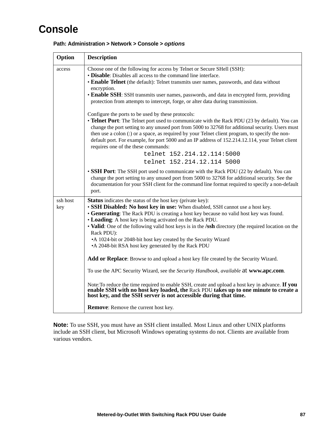### **Console**

| Option          | <b>Description</b>                                                                                                                                                                                                                                                                                                                                                                                                                                                                                                                                                 |
|-----------------|--------------------------------------------------------------------------------------------------------------------------------------------------------------------------------------------------------------------------------------------------------------------------------------------------------------------------------------------------------------------------------------------------------------------------------------------------------------------------------------------------------------------------------------------------------------------|
| access          | Choose one of the following for access by Telnet or Secure SHell (SSH):<br>• Disable: Disables all access to the command line interface.<br>• Enable Telnet (the default): Telnet transmits user names, passwords, and data without<br>encryption.<br>• Enable SSH: SSH transmits user names, passwords, and data in encrypted form, providing<br>protection from attempts to intercept, forge, or alter data during transmission.                                                                                                                                 |
|                 | Configure the ports to be used by these protocols:<br>• Telnet Port: The Telnet port used to communicate with the Rack PDU (23 by default). You can<br>change the port setting to any unused port from 5000 to 32768 for additional security. Users must<br>then use a colon (:) or a space, as required by your Telnet client program, to specify the non-<br>default port. For example, for port 5000 and an IP address of 152.214.12.114, your Telnet client<br>requires one of the these commands:<br>telnet 152.214.12.114:5000<br>telnet 152.214.12.114 5000 |
|                 | • SSH Port: The SSH port used to communicate with the Rack PDU (22 by default). You can<br>change the port setting to any unused port from 5000 to 32768 for additional security. See the<br>documentation for your SSH client for the command line format required to specify a non-default<br>port.                                                                                                                                                                                                                                                              |
| ssh host<br>key | <b>Status</b> indicates the status of the host key (private key):<br>• SSH Disabled: No host key in use: When disabled, SSH cannot use a host key.<br>• Generating: The Rack PDU is creating a host key because no valid host key was found.<br>• Loading: A host key is being activated on the Rack PDU.<br>• Valid: One of the following valid host keys is in the /ssh directory (the required location on the<br>Rack PDU):<br>•A 1024-bit or 2048-bit host key created by the Security Wizard<br>•A 2048-bit RSA host key generated by the Rack PDU           |
|                 | <b>Add or Replace</b> : Browse to and upload a host key file created by the Security Wizard.<br>To use the APC Security Wizard, see the Security Handbook, available at www.apc.com.                                                                                                                                                                                                                                                                                                                                                                               |
|                 | Note: To reduce the time required to enable SSH, create and upload a host key in advance. If you<br>enable SSH with no host key loaded, the Rack PDU takes up to one minute to create a<br>host key, and the SSH server is not accessible during that time.                                                                                                                                                                                                                                                                                                        |
|                 | <b>Remove:</b> Remove the current host key.                                                                                                                                                                                                                                                                                                                                                                                                                                                                                                                        |

#### **Path: Administration > Network > Console >** *options*

**Note:** To use SSH, you must have an SSH client installed. Most Linux and other UNIX platforms include an SSH client, but Microsoft Windows operating systems do not. Clients are available from various vendors.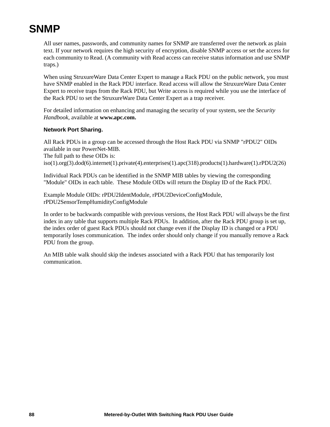## <span id="page-96-0"></span>**SNMP**

All user names, passwords, and community names for SNMP are transferred over the network as plain text. If your network requires the high security of encryption, disable SNMP access or set the access for each community to Read. (A community with Read access can receive status information and use SNMP traps.)

When using StruxureWare Data Center Expert to manage a Rack PDU on the public network, you must have SNMP enabled in the Rack PDU interface. Read access will allow the StruxureWare Data Center Expert to receive traps from the Rack PDU, but Write access is required while you use the interface of the Rack PDU to set the StruxureWare Data Center Expert as a trap receiver.

For detailed information on enhancing and managing the security of your system, see the *Security Handbook*, available at **[www.apc.com.](http://www.apc.com)**

#### **Network Port Sharing.**

All Rack PDUs in a group can be accessed through the Host Rack PDU via SNMP "rPDU2" OIDs available in our PowerNet-MIB. The full path to these OIDs is: iso(1).org(3).dod(6).internet(1).private(4).enterprises(1).apc(318).products(1).hardware(1).rPDU2(26)

Individual Rack PDUs can be identified in the SNMP MIB tables by viewing the corresponding "Module" OIDs in each table. These Module OIDs will return the Display ID of the Rack PDU.

Example Module OIDs: rPDU2IdentModule, rPDU2DeviceConfigModule, rPDU2SensorTempHumidityConfigModule

In order to be backwards compatible with previous versions, the Host Rack PDU will always be the first index in any table that supports multiple Rack PDUs. In addition, after the Rack PDU group is set up, the index order of guest Rack PDUs should not change even if the Display ID is changed or a PDU temporarily loses communication. The index order should only change if you manually remove a Rack PDU from the group.

An MIB table walk should skip the indexes associated with a Rack PDU that has temporarily lost communication.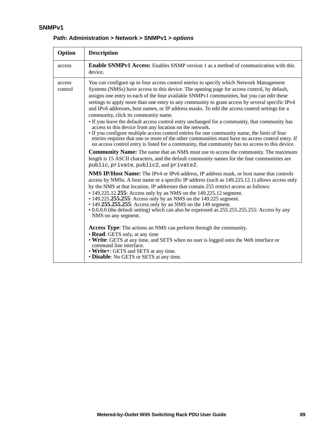#### **SNMPv1**

| Option            | <b>Description</b>                                                                                                                                                                                                                                                                                                                                                                                                                                                                                                                                                                                                                                                                                                                                                                                                                                                                                                                                                                                   |
|-------------------|------------------------------------------------------------------------------------------------------------------------------------------------------------------------------------------------------------------------------------------------------------------------------------------------------------------------------------------------------------------------------------------------------------------------------------------------------------------------------------------------------------------------------------------------------------------------------------------------------------------------------------------------------------------------------------------------------------------------------------------------------------------------------------------------------------------------------------------------------------------------------------------------------------------------------------------------------------------------------------------------------|
| access            | <b>Enable SNMPv1 Access:</b> Enables SNMP version 1 as a method of communication with this<br>device.                                                                                                                                                                                                                                                                                                                                                                                                                                                                                                                                                                                                                                                                                                                                                                                                                                                                                                |
| access<br>control | You can configure up to four access control entries to specify which Network Management<br>Systems (NMSs) have access to this device. The opening page for access control, by default,<br>assigns one entry to each of the four available SNMPv1 communities, but you can edit these<br>settings to apply more than one entry to any community to grant access by several specific IPv4<br>and IPv6 addresses, host names, or IP address masks. To edit the access control settings for a<br>community, click its community name.<br>• If you leave the default access control entry unchanged for a community, that community has<br>access to this device from any location on the network.<br>• If you configure multiple access control entries for one community name, the limit of four<br>entries requires that one or more of the other communities must have no access control entry. If<br>no access control entry is listed for a community, that community has no access to this device. |
|                   | <b>Community Name:</b> The name that an NMS must use to access the community. The maximum<br>length is 15 ASCII characters, and the default community names for the four communities are<br>public, private, public2, and private2.                                                                                                                                                                                                                                                                                                                                                                                                                                                                                                                                                                                                                                                                                                                                                                  |
|                   | <b>NMS IP/Host Name:</b> The IPv4 or IPv6 address, IP address mask, or host name that controls<br>access by NMSs. A host name or a specific IP address (such as 149.225.12.1) allows access only<br>by the NMS at that location. IP addresses that contain 255 restrict access as follows:<br>• 149.225.12.255: Access only by an NMS on the 149.225.12 segment.<br>• 149.225.255.255: Access only by an NMS on the 149.225 segment.<br>• 149.255.255.255: Access only by an NMS on the 149 segment.<br>• 0.0.0.0 (the default setting) which can also be expressed as 255.255.255.255: Access by any<br>NMS on any segment.                                                                                                                                                                                                                                                                                                                                                                         |
|                   | <b>Access Type:</b> The actions an NMS can perform through the community.<br>• Read: GETS only, at any time<br>• Write: GETS at any time, and SETS when no user is logged onto the Web interface or<br>command line interface.<br>• Write+: GETS and SETS at any time.<br>• Disable: No GETS or SETS at any time.                                                                                                                                                                                                                                                                                                                                                                                                                                                                                                                                                                                                                                                                                    |

#### **Path: Administration > Network > SNMPv1 >** *options*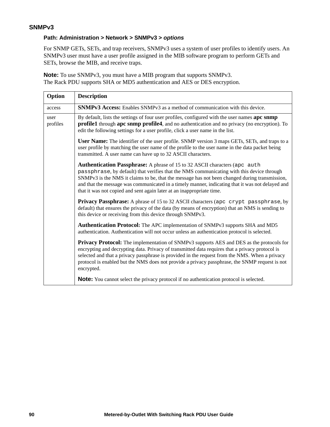#### <span id="page-98-0"></span>**Path: Administration > Network > SNMPv3 >** *options*

For SNMP GETs, SETs, and trap receivers, SNMPv3 uses a system of user profiles to identify users. An SNMPv3 user must have a user profile assigned in the MIB software program to perform GETs and SETs, browse the MIB, and receive traps.

**Note:** To use SNMPv3, you must have a MIB program that supports SNMPv3. The Rack PDU supports SHA or MD5 authentication and AES or DES encryption.

| Option           | <b>Description</b>                                                                                                                                                                                                                                                                                                                                                                                                                                    |
|------------------|-------------------------------------------------------------------------------------------------------------------------------------------------------------------------------------------------------------------------------------------------------------------------------------------------------------------------------------------------------------------------------------------------------------------------------------------------------|
| access           | <b>SNMPv3 Access:</b> Enables SNMPv3 as a method of communication with this device.                                                                                                                                                                                                                                                                                                                                                                   |
| user<br>profiles | By default, lists the settings of four user profiles, configured with the user names apc snmp<br><b>profile1</b> through apc snmp profile4, and no authentication and no privacy (no encryption). To<br>edit the following settings for a user profile, click a user name in the list.                                                                                                                                                                |
|                  | User Name: The identifier of the user profile. SNMP version 3 maps GETs, SETs, and traps to a<br>user profile by matching the user name of the profile to the user name in the data packet being<br>transmitted. A user name can have up to 32 ASCII characters.                                                                                                                                                                                      |
|                  | Authentication Passphrase: A phrase of 15 to 32 ASCII characters (apc auth<br>passphrase, by default) that verifies that the NMS communicating with this device through<br>SNMPv3 is the NMS it claims to be, that the message has not been changed during transmission,<br>and that the message was communicated in a timely manner, indicating that it was not delayed and<br>that it was not copied and sent again later at an inappropriate time. |
|                  | Privacy Passphrase: A phrase of 15 to 32 ASCII characters (apc crypt passphrase, by<br>default) that ensures the privacy of the data (by means of encryption) that an NMS is sending to<br>this device or receiving from this device through SNMPv3.                                                                                                                                                                                                  |
|                  | <b>Authentication Protocol:</b> The APC implementation of SNMPv3 supports SHA and MD5<br>authentication. Authentication will not occur unless an authentication protocol is selected.                                                                                                                                                                                                                                                                 |
|                  | Privacy Protocol: The implementation of SNMPv3 supports AES and DES as the protocols for<br>encrypting and decrypting data. Privacy of transmitted data requires that a privacy protocol is<br>selected and that a privacy passphrase is provided in the request from the NMS. When a privacy<br>protocol is enabled but the NMS does not provide a privacy passphrase, the SNMP request is not<br>encrypted.                                         |
|                  | <b>Note:</b> You cannot select the privacy protocol if no authentication protocol is selected.                                                                                                                                                                                                                                                                                                                                                        |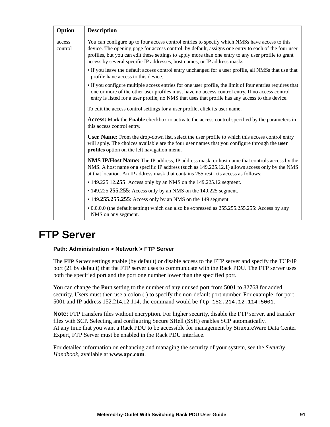| Option            | <b>Description</b>                                                                                                                                                                                                                                                                                                                                                                       |
|-------------------|------------------------------------------------------------------------------------------------------------------------------------------------------------------------------------------------------------------------------------------------------------------------------------------------------------------------------------------------------------------------------------------|
| access<br>control | You can configure up to four access control entries to specify which NMSs have access to this<br>device. The opening page for access control, by default, assigns one entry to each of the four user<br>profiles, but you can edit these settings to apply more than one entry to any user profile to grant<br>access by several specific IP addresses, host names, or IP address masks. |
|                   | • If you leave the default access control entry unchanged for a user profile, all NMSs that use that<br>profile have access to this device.                                                                                                                                                                                                                                              |
|                   | • If you configure multiple access entries for one user profile, the limit of four entries requires that<br>one or more of the other user profiles must have no access control entry. If no access control<br>entry is listed for a user profile, no NMS that uses that profile has any access to this device.                                                                           |
|                   | To edit the access control settings for a user profile, click its user name.                                                                                                                                                                                                                                                                                                             |
|                   | <b>Access:</b> Mark the <b>Enable</b> checkbox to activate the access control specified by the parameters in<br>this access control entry.                                                                                                                                                                                                                                               |
|                   | <b>User Name:</b> From the drop-down list, select the user profile to which this access control entry<br>will apply. The choices available are the four user names that you configure through the user<br>profiles option on the left navigation menu.                                                                                                                                   |
|                   | <b>NMS IP/Host Name:</b> The IP address, IP address mask, or host name that controls access by the<br>NMS. A host name or a specific IP address (such as 149.225.12.1) allows access only by the NMS<br>at that location. An IP address mask that contains 255 restricts access as follows:                                                                                              |
|                   | • 149.225.12.255: Access only by an NMS on the 149.225.12 segment.                                                                                                                                                                                                                                                                                                                       |
|                   | • 149.225.255.255: Access only by an NMS on the 149.225 segment.                                                                                                                                                                                                                                                                                                                         |
|                   | • 149.255.255.255: Access only by an NMS on the 149 segment.                                                                                                                                                                                                                                                                                                                             |
|                   | • 0.0.0.0 (the default setting) which can also be expressed as 255.255.255.255: Access by any<br>NMS on any segment.                                                                                                                                                                                                                                                                     |

### <span id="page-99-0"></span>**FTP Server**

#### **Path: Administration > Network > FTP Server**

The **FTP Server** settings enable (by default) or disable access to the FTP server and specify the TCP/IP port (21 by default) that the FTP server uses to communicate with the Rack PDU. The FTP server uses both the specified port and the port one number lower than the specified port.

You can change the **Port** setting to the number of any unused port from 5001 to 32768 for added security. Users must then use a colon (:) to specify the non-default port number. For example, for port 5001 and IP address 152.214.12.114, the command would be ftp 152.214.12.114:5001.

**Note:** FTP transfers files without encryption. For higher security, disable the FTP server, and transfer files with SCP. Selecting and configuring Secure SHell (SSH) enables SCP automatically. At any time that you want a Rack PDU to be accessible for management by StruxureWare Data Center Expert, FTP Server must be enabled in the Rack PDU interface.

For detailed information on enhancing and managing the security of your system, see the *Security Handbook*, available at **[www.apc.com](http://www.apc.com)**.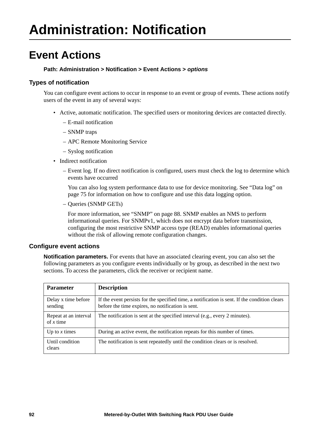### **Event Actions**

#### **Path: Administration > Notification > Event Actions >** *options*

#### **Types of notification**

You can configure event actions to occur in response to an event or group of events. These actions notify users of the event in any of several ways:

- Active, automatic notification. The specified users or monitoring devices are contacted directly.
	- E-mail notification
	- SNMP traps
	- APC Remote Monitoring Service
	- Syslog notification
- Indirect notification
	- Event log. If no direct notification is configured, users must check the log to determine which events have occurred

You can also log system performance data to use for device monitoring. See ["Data log" on](#page-83-0)  [page 75](#page-83-0) for information on how to configure and use this data logging option.

– Queries (SNMP GETs)

For more information, see ["SNMP" on page 88](#page-96-0). SNMP enables an NMS to perform informational queries. For SNMPv1, which does not encrypt data before transmission, configuring the most restrictive SNMP access type (READ) enables informational queries without the risk of allowing remote configuration changes.

#### <span id="page-100-0"></span>**Configure event actions**

**Notification parameters.** For events that have an associated clearing event, you can also set the following parameters as you configure events individually or by group, as described in the next two sections. To access the parameters, click the receiver or recipient name.

| <b>Parameter</b>                     | <b>Description</b>                                                                                                                                 |
|--------------------------------------|----------------------------------------------------------------------------------------------------------------------------------------------------|
| Delay x time before<br>sending       | If the event persists for the specified time, a notification is sent. If the condition clears<br>before the time expires, no notification is sent. |
| Repeat at an interval<br>of $x$ time | The notification is sent at the specified interval (e.g., every 2 minutes).                                                                        |
| Up to $x$ times                      | During an active event, the notification repeats for this number of times.                                                                         |
| Until condition<br>clears            | The notification is sent repeatedly until the condition clears or is resolved.                                                                     |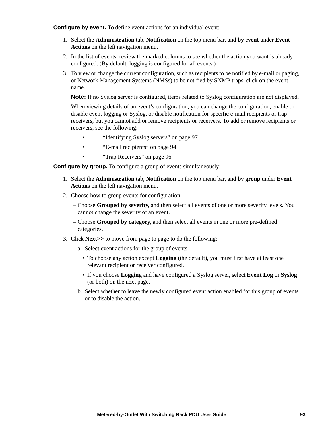<span id="page-101-0"></span>**Configure by event.** To define event actions for an individual event:

- 1. Select the **Administration** tab, **Notification** on the top menu bar, and **by event** under **Event Actions** on the left navigation menu.
- 2. In the list of events, review the marked columns to see whether the action you want is already configured. (By default, logging is configured for all events.)
- 3. To view or change the current configuration, such as recipients to be notified by e-mail or paging, or Network Management Systems (NMSs) to be notified by SNMP traps, click on the event name.

**Note:** If no Syslog server is configured, items related to Syslog configuration are not displayed.

When viewing details of an event's configuration, you can change the configuration, enable or disable event logging or Syslog, or disable notification for specific e-mail recipients or trap receivers, but you cannot add or remove recipients or receivers. To add or remove recipients or receivers, see the following:

- "Identifying Syslog servers" on page 97
- • ["E-mail recipients" on page 94](#page-102-0)
- • ["Trap Receivers" on page 96](#page-104-0)

**Configure by group.** To configure a group of events simultaneously:

- 1. Select the **Administration** tab, **Notification** on the top menu bar, and **by group** under **Event Actions** on the left navigation menu.
- 2. Choose how to group events for configuration:
	- Choose **Grouped by severity**, and then select all events of one or more severity levels. You cannot change the severity of an event.
	- Choose **Grouped by category**, and then select all events in one or more pre-defined categories.
- 3. Click **Next>>** to move from page to page to do the following:
	- a. Select event actions for the group of events.
		- To choose any action except **Logging** (the default), you must first have at least one relevant recipient or receiver configured.
		- If you choose **Logging** and have configured a Syslog server, select **Event Log** or **Syslog** (or both) on the next page.
	- b. Select whether to leave the newly configured event action enabled for this group of events or to disable the action.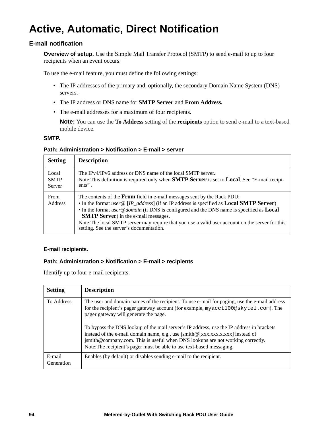# **Active, Automatic, Direct Notification**

#### **E-mail notification**

**Overview of setup.** Use the Simple Mail Transfer Protocol (SMTP) to send e-mail to up to four recipients when an event occurs.

To use the e-mail feature, you must define the following settings:

- The IP addresses of the primary and, optionally, the secondary Domain Name System (DNS) servers.
- The IP address or DNS name for **SMTP Server** and **From Address.**
- The e-mail addresses for a maximum of four recipients.

**Note:** You can use the **To Address** setting of the **recipients** option to send e-mail to a text-based mobile device.

#### **SMTP.**

#### **Path: Administration > Notification > E-mail > server**

| <b>Setting</b>                 | <b>Description</b>                                                                                                                                                                                                                                                                                                                                                                                                                                                                           |
|--------------------------------|----------------------------------------------------------------------------------------------------------------------------------------------------------------------------------------------------------------------------------------------------------------------------------------------------------------------------------------------------------------------------------------------------------------------------------------------------------------------------------------------|
| Local<br><b>SMTP</b><br>Server | The IPv4/IPv6 address or DNS name of the local SMTP server.<br>Note: This definition is required only when <b>SMTP Server</b> is set to <b>Local</b> . See "E-mail recipi-<br>$ents$ ".                                                                                                                                                                                                                                                                                                      |
| From<br><b>Address</b>         | The contents of the <b>From</b> field in e-mail messages sent by the Rack PDU:<br>• In the format user @ [IP_address] (if an IP address is specified as <b>Local SMTP Server</b> )<br>• In the format <i>user@domain</i> (if DNS is configured and the DNS name is specified as <b>Local</b><br><b>SMTP Server</b> ) in the e-mail messages.<br>Note: The local SMTP server may require that you use a valid user account on the server for this<br>setting. See the server's documentation. |

#### <span id="page-102-0"></span>**E-mail recipients.**

#### **Path: Administration > Notification > E-mail > recipients**

Identify up to four e-mail recipients.

| <b>Setting</b>       | <b>Description</b>                                                                                                                                                                                                                                                                                                                    |
|----------------------|---------------------------------------------------------------------------------------------------------------------------------------------------------------------------------------------------------------------------------------------------------------------------------------------------------------------------------------|
| To Address           | The user and domain names of the recipient. To use e-mail for paging, use the e-mail address<br>for the recipient's pager gateway account (for example, myacct100@skytel.com). The<br>pager gateway will generate the page.                                                                                                           |
|                      | To bypass the DNS lookup of the mail server's IP address, use the IP address in brackets<br>instead of the e-mail domain name, e.g., use jsmith@[xxx.xxx.x.xxx] instead of<br>jsmith@company.com. This is useful when DNS lookups are not working correctly.<br>Note: The recipient's pager must be able to use text-based messaging. |
| E-mail<br>Generation | Enables (by default) or disables sending e-mail to the recipient.                                                                                                                                                                                                                                                                     |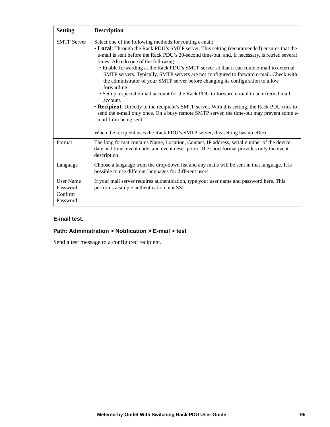| <b>Setting</b>                                      | <b>Description</b>                                                                                                                                                                                                                                                                                                                                                                                                                                                                                                                                                                                                                                                                                                                                                                                                                                                                                                      |
|-----------------------------------------------------|-------------------------------------------------------------------------------------------------------------------------------------------------------------------------------------------------------------------------------------------------------------------------------------------------------------------------------------------------------------------------------------------------------------------------------------------------------------------------------------------------------------------------------------------------------------------------------------------------------------------------------------------------------------------------------------------------------------------------------------------------------------------------------------------------------------------------------------------------------------------------------------------------------------------------|
| <b>SMTP Server</b>                                  | Select one of the following methods for routing e-mail:<br>• Local: Through the Rack PDU's SMTP server. This setting (recommended) ensures that the<br>e-mail is sent before the Rack PDU's 20-second time-out, and, if necessary, is retried several<br>times. Also do one of the following:<br>• Enable forwarding at the Rack PDU's SMTP server so that it can route e-mail to external<br>SMTP servers. Typically, SMTP servers are not configured to forward e-mail. Check with<br>the administrator of your SMTP server before changing its configuration to allow<br>forwarding.<br>• Set up a special e-mail account for the Rack PDU to forward e-mail to an external mail<br>account.<br>• Recipient: Directly to the recipient's SMTP server. With this setting, the Rack PDU tries to<br>send the e-mail only once. On a busy remote SMTP server, the time-out may prevent some e-<br>mail from being sent. |
|                                                     | When the recipient uses the Rack PDU's SMTP server, this setting has no effect.                                                                                                                                                                                                                                                                                                                                                                                                                                                                                                                                                                                                                                                                                                                                                                                                                                         |
| Format                                              | The long format contains Name, Location, Contact, IP address, serial number of the device,<br>date and time, event code, and event description. The short format provides only the event<br>description.                                                                                                                                                                                                                                                                                                                                                                                                                                                                                                                                                                                                                                                                                                                |
| Language                                            | Choose a language from the drop-down list and any mails will be sent in that language. It is<br>possible to use different languages for different users.                                                                                                                                                                                                                                                                                                                                                                                                                                                                                                                                                                                                                                                                                                                                                                |
| <b>User Name</b><br>Password<br>Confirm<br>Password | If your mail server requires authentication, type your user name and password here. This<br>performs a simple authentication, not SSI.                                                                                                                                                                                                                                                                                                                                                                                                                                                                                                                                                                                                                                                                                                                                                                                  |

#### **E-mail test.**

### **Path: Administration > Notification > E-mail > test**

Send a test message to a configured recipient.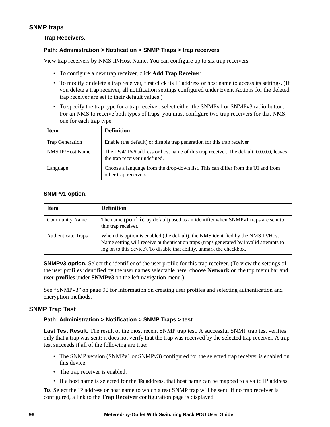#### <span id="page-104-0"></span>**SNMP traps**

#### **Trap Receivers.**

#### **Path: Administration > Notification > SNMP Traps > trap receivers**

View trap receivers by NMS IP/Host Name. You can configure up to six trap receivers.

- To configure a new trap receiver, click **Add Trap Receiver**.
- To modify or delete a trap receiver, first click its IP address or host name to access its settings. (If you delete a trap receiver, all notification settings configured under Event Actions for the deleted trap receiver are set to their default values.)
- To specify the trap type for a trap receiver, select either the SNMPv1 or SNMPv3 radio button. For an NMS to receive both types of traps, you must configure two trap receivers for that NMS, one for each trap type.

| <b>Item</b>             | <b>Definition</b>                                                                                                      |
|-------------------------|------------------------------------------------------------------------------------------------------------------------|
| Trap Generation         | Enable (the default) or disable trap generation for this trap receiver.                                                |
| <b>NMS IP/Host Name</b> | The IPv4/IPv6 address or host name of this trap receiver. The default, 0.0.0.0, leaves<br>the trap receiver undefined. |
| Language                | Choose a language from the drop-down list. This can differ from the UI and from<br>other trap receivers.               |

#### **SNMPv1 option.**

| <b>Item</b>               | <b>Definition</b>                                                                                                                                                                                                                                   |
|---------------------------|-----------------------------------------------------------------------------------------------------------------------------------------------------------------------------------------------------------------------------------------------------|
| <b>Community Name</b>     | The name (public by default) used as an identifier when SNMPv1 traps are sent to<br>this trap receiver.                                                                                                                                             |
| <b>Authenticate Traps</b> | When this option is enabled (the default), the NMS identified by the NMS IP/Host<br>Name setting will receive authentication traps (traps generated by invalid attempts to<br>log on to this device). To disable that ability, unmark the checkbox. |

**SNMPv3 option.** Select the identifier of the user profile for this trap receiver. (To view the settings of the user profiles identified by the user names selectable here, choose **Network** on the top menu bar and **user profiles** under **SNMPv3** on the left navigation menu.)

See ["SNMPv3" on page 90](#page-98-0) for information on creating user profiles and selecting authentication and encryption methods.

#### **SNMP Trap Test**

#### **Path: Administration > Notification > SNMP Traps > test**

**Last Test Result.** The result of the most recent SNMP trap test. A successful SNMP trap test verifies only that a trap was sent; it does not verify that the trap was received by the selected trap receiver. A trap test succeeds if all of the following are true:

- The SNMP version (SNMPv1 or SNMPv3) configured for the selected trap receiver is enabled on this device.
- The trap receiver is enabled.
- If a host name is selected for the **To** address, that host name can be mapped to a valid IP address.

**To.** Select the IP address or host name to which a test SNMP trap will be sent. If no trap receiver is configured, a link to the **Trap Receiver** configuration page is displayed.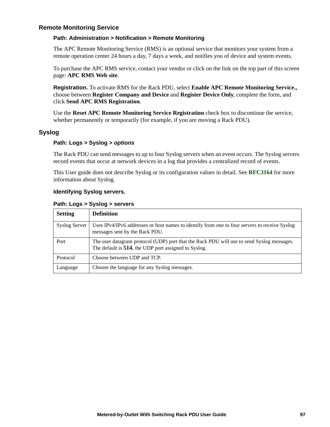#### <span id="page-105-0"></span>**Remote Monitoring Service**

#### **Path: Administration > Notification > Remote Monitoring**

The APC Remote Monitoring Service (RMS) is an optional service that monitors your system from a remote operation center 24 hours a day, 7 days a week, and notifies you of device and system events.

To purchase the APC RMS service, contact your vendor or click on the link on the top part of this screen page: **APC RMS Web site**.

**Registration.** To activate RMS for the Rack PDU, select **Enable APC Remote Monitoring Service.,**  choose between **Register Company and Device** and **Register Device Only**, complete the form, and click **Send APC RMS Registration**.

Use the **Reset APC Remote Monitoring Service Registration** check box to discontinue the service, whether permanently or temporarily (for example, if you are moving a Rack PDU).

#### **Syslog**

#### **Path: Logs > Syslog >** *options*

The Rack PDU can send messages to up to four Syslog servers when an event occurs. The Syslog servers record events that occur at network devices in a log that provides a centralized record of events.

This User guide does not describe Syslog or its configuration values in detail. See **[RFC3164](http://www.ietf.org/rfc/rfc3164.txt?number=3164)** for more information about Syslog.

#### **Identifying Syslog servers.**

#### **Path: Logs > Syslog > servers**

| <b>Setting</b>       | <b>Definition</b>                                                                                                                                 |
|----------------------|---------------------------------------------------------------------------------------------------------------------------------------------------|
| <b>Syslog Server</b> | Uses IPv4/IPv6 addresses or host names to identify from one to four servers to receive Syslog<br>messages sent by the Rack PDU.                   |
| Port                 | The user datagram protocol (UDP) port that the Rack PDU will use to send Syslog messages.<br>The default is 514, the UDP port assigned to Syslog. |
| Protocol             | Choose between UDP and TCP.                                                                                                                       |
| Language             | Choose the language for any Syslog messages.                                                                                                      |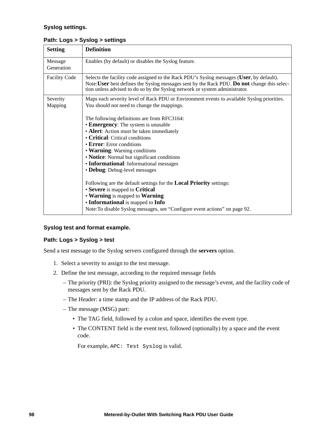#### **Syslog settings.**

| <b>Setting</b>        | <b>Definition</b>                                                                                                                                                                                                                                                                                                                                                                                                                                                                                                                                                                                                              |
|-----------------------|--------------------------------------------------------------------------------------------------------------------------------------------------------------------------------------------------------------------------------------------------------------------------------------------------------------------------------------------------------------------------------------------------------------------------------------------------------------------------------------------------------------------------------------------------------------------------------------------------------------------------------|
| Message<br>Generation | Enables (by default) or disables the Syslog feature.                                                                                                                                                                                                                                                                                                                                                                                                                                                                                                                                                                           |
| <b>Facility Code</b>  | Selects the facility code assigned to the Rack PDU's Syslog messages (User, by default).<br>Note: User best defines the Syslog messages sent by the Rack PDU. Do not change this selec-<br>tion unless advised to do so by the Syslog network or system administrator.                                                                                                                                                                                                                                                                                                                                                         |
| Severity<br>Mapping   | Maps each severity level of Rack PDU or Environment events to available Syslog priorities.<br>You should not need to change the mappings.<br>The following definitions are from RFC3164:<br>• Emergency: The system is unusable<br>• Alert: Action must be taken immediately<br>• Critical: Critical conditions<br>$\cdot$ Error: Error conditions<br>• Warning: Warning conditions<br>• Notice: Normal but significant conditions<br>• Informational: Informational messages<br>• Debug: Debug-level messages<br>Following are the default settings for the <b>Local Priority</b> settings:<br>• Severe is mapped to Critical |
|                       | • Warning is mapped to Warning<br>• Informational is mapped to Info<br>Note: To disable Syslog messages, see "Configure event actions" on page 92.                                                                                                                                                                                                                                                                                                                                                                                                                                                                             |

#### **Path: Logs > Syslog > settings**

#### **Syslog test and format example.**

#### **Path: Logs > Syslog > test**

Send a test message to the Syslog servers configured through the **servers** option.

- 1. Select a severity to assign to the test message.
- 2. Define the test message, according to the required message fields
	- The priority (PRI): the Syslog priority assigned to the message's event, and the facility code of messages sent by the Rack PDU.
	- The Header: a time stamp and the IP address of the Rack PDU.
	- The message (MSG) part:
		- The TAG field, followed by a colon and space, identifies the event type.
		- The CONTENT field is the event text, followed (optionally) by a space and the event code.

For example, APC: Test Syslog is valid.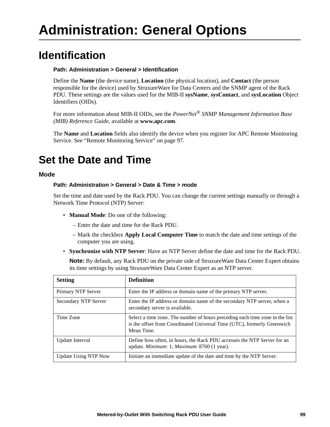### **Identification**

#### **Path: Administration > General > Identification**

Define the **Name** (the device name), **Location** (the physical location), and **Contact** (the person responsible for the device) used by StruxureWare for Data Centers and the SNMP agent of the Rack PDU. These settings are the values used for the MIB-II **sysName**, **sysContact**, and **sysLocation** Object Identifiers (OIDs).

For more information about MIB-II OIDs, see the *PowerNet® SNMP Management Information Base (MIB) Reference Guide,* available at **www.apc.com**.

The **Name** and **Location** fields also identify the device when you register for APC Remote Monitoring Service. See ["Remote Monitoring Service" on page 97](#page-105-0).

## **Set the Date and Time**

#### **Mode**

#### **Path: Administration > General > Date & Time > mode**

Set the time and date used by the Rack PDU. You can change the current settings manually or through a Network Time Protocol (NTP) Server:

- **Manual Mode**: Do one of the following:
	- Enter the date and time for the Rack PDU.
	- Mark the checkbox **Apply Local Computer Time** to match the date and time settings of the computer you are using.
- **Synchronize with NTP Server**: Have an NTP Server define the date and time for the Rack PDU.

**Note:** By default, any Rack PDU on the private side of StruxureWare Data Center Expert obtains its time settings by using StruxureWare Data Center Expert as an NTP server.

| <b>Setting</b>              | <b>Definition</b>                                                                                                                                                     |
|-----------------------------|-----------------------------------------------------------------------------------------------------------------------------------------------------------------------|
| Primary NTP Server          | Enter the IP address or domain name of the primary NTP server.                                                                                                        |
| Secondary NTP Server        | Enter the IP address or domain name of the secondary NTP server, when a<br>secondary server is available.                                                             |
| Time Zone                   | Select a time zone. The number of hours preceding each time zone in the list<br>is the offset from Coordinated Universal Time (UTC), formerly Greenwich<br>Mean Time. |
| Update Interval             | Define how often, in hours, the Rack PDU accesses the NTP Server for an<br>update. Minimum: 1; Maximum: 8760 (1 year).                                                |
| <b>Update Using NTP Now</b> | Initiate an immediate update of the date and time by the NTP Server.                                                                                                  |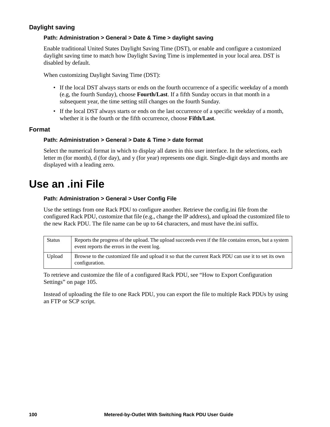# **Daylight saving**

## **Path: Administration > General > Date & Time > daylight saving**

Enable traditional United States Daylight Saving Time (DST), or enable and configure a customized daylight saving time to match how Daylight Saving Time is implemented in your local area. DST is disabled by default.

When customizing Daylight Saving Time (DST):

- If the local DST always starts or ends on the fourth occurrence of a specific weekday of a month (e.g, the fourth Sunday), choose **Fourth/Last**. If a fifth Sunday occurs in that month in a subsequent year, the time setting still changes on the fourth Sunday.
- If the local DST always starts or ends on the last occurrence of a specific weekday of a month, whether it is the fourth or the fifth occurrence, choose **Fifth/Last**.

## **Format**

### **Path: Administration > General > Date & Time > date format**

Select the numerical format in which to display all dates in this user interface. In the selections, each letter m (for month), d (for day), and y (for year) represents one digit. Single-digit days and months are displayed with a leading zero.

# **Use an .ini File**

### **Path: Administration > General > User Config File**

Use the settings from one Rack PDU to configure another. Retrieve the config.ini file from the configured Rack PDU, customize that file (e.g., change the IP address), and upload the customized file to the new Rack PDU. The file name can be up to 64 characters, and must have the.ini suffix.

| <b>Status</b> | Reports the progress of the upload. The upload succeeds even if the file contains errors, but a system<br>event reports the errors in the event log. |
|---------------|------------------------------------------------------------------------------------------------------------------------------------------------------|
| Upload        | Browse to the customized file and upload it so that the current Rack PDU can use it to set its own<br>configuration.                                 |

To retrieve and customize the file of a configured Rack PDU, see ["How to Export Configuration](#page-113-0)  [Settings" on page 105.](#page-113-0)

Instead of uploading the file to one Rack PDU, you can export the file to multiple Rack PDUs by using an FTP or SCP script.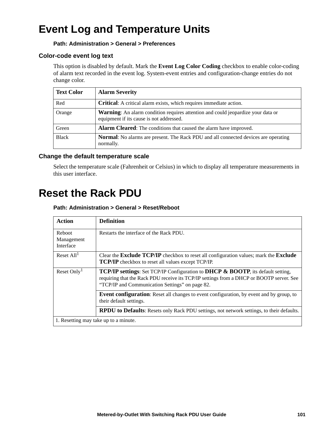# **Event Log and Temperature Units**

# **Path: Administration > General > Preferences**

# **Color-code event log text**

This option is disabled by default. Mark the **Event Log Color Coding** checkbox to enable color-coding of alarm text recorded in the event log. System-event entries and configuration-change entries do not change color.

| <b>Text Color</b> | <b>Alarm Severity</b>                                                                                                               |
|-------------------|-------------------------------------------------------------------------------------------------------------------------------------|
| Red               | <b>Critical:</b> A critical alarm exists, which requires immediate action.                                                          |
| Orange            | <b>Warning:</b> An alarm condition requires attention and could jeopardize your data or<br>equipment if its cause is not addressed. |
| Green             | Alarm Cleared: The conditions that caused the alarm have improved.                                                                  |
| <b>Black</b>      | <b>Normal:</b> No alarms are present. The Rack PDU and all connected devices are operating<br>normally.                             |

## **Change the default temperature scale**

Select the temperature scale (Fahrenheit or Celsius) in which to display all temperature measurements in this user interface.

# **Reset the Rack PDU**

### **Path: Administration > General > Reset/Reboot**

| Action                                | <b>Definition</b>                                                                                                                                                                                                                                 |  |
|---------------------------------------|---------------------------------------------------------------------------------------------------------------------------------------------------------------------------------------------------------------------------------------------------|--|
| Reboot<br>Management<br>Interface     | Restarts the interface of the Rack PDU.                                                                                                                                                                                                           |  |
| Reset All <sup>1</sup>                | Clear the <b>Exclude TCP/IP</b> checkbox to reset all configuration values; mark the <b>Exclude</b><br><b>TCP/IP</b> checkbox to reset all values except TCP/IP.                                                                                  |  |
| Reset Only <sup>1</sup>               | <b>TCP/IP settings:</b> Set TCP/IP Configuration to <b>DHCP &amp; BOOTP</b> , its default setting,<br>requiring that the Rack PDU receive its TCP/IP settings from a DHCP or BOOTP server. See<br>"TCP/IP and Communication Settings" on page 82. |  |
|                                       | <b>Event configuration:</b> Reset all changes to event configuration, by event and by group, to<br>their default settings.                                                                                                                        |  |
|                                       | RPDU to Defaults: Resets only Rack PDU settings, not network settings, to their defaults.                                                                                                                                                         |  |
| 1. Resetting may take up to a minute. |                                                                                                                                                                                                                                                   |  |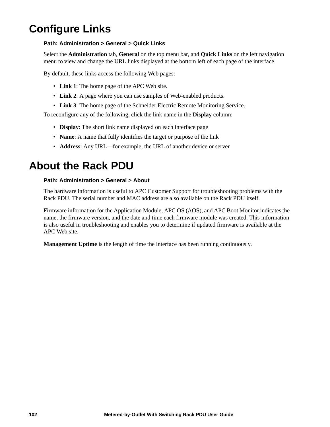# **Configure Links**

# **Path: Administration > General > Quick Links**

Select the **Administration** tab, **General** on the top menu bar, and **Quick Links** on the left navigation menu to view and change the URL links displayed at the bottom left of each page of the interface.

By default, these links access the following Web pages:

- **Link 1**: The home page of the APC Web site.
- **Link 2**: A page where you can use samples of Web-enabled products.
- **Link 3**: The home page of the Schneider Electric Remote Monitoring Service.

To reconfigure any of the following, click the link name in the **Display** column:

- **Display**: The short link name displayed on each interface page
- **Name**: A name that fully identifies the target or purpose of the link
- **Address**: Any URL—for example, the URL of another device or server

# **About the Rack PDU**

## **Path: Administration > General > About**

The hardware information is useful to APC Customer Support for troubleshooting problems with the Rack PDU. The serial number and MAC address are also available on the Rack PDU itself.

Firmware information for the Application Module, APC OS (AOS), and APC Boot Monitor indicates the name, the firmware version, and the date and time each firmware module was created. This information is also useful in troubleshooting and enables you to determine if updated firmware is available at the APC Web site.

**Management Uptime** is the length of time the interface has been running continuously.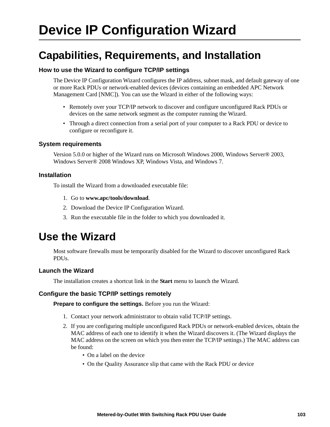# <span id="page-111-0"></span>**Device IP Configuration Wizard**

# **Capabilities, Requirements, and Installation**

# **How to use the Wizard to configure TCP/IP settings**

The Device IP Configuration Wizard configures the IP address, subnet mask, and default gateway of one or more Rack PDUs or network-enabled devices (devices containing an embedded APC Network Management Card [NMC]). You can use the Wizard in either of the following ways:

- Remotely over your TCP/IP network to discover and configure unconfigured Rack PDUs or devices on the same network segment as the computer running the Wizard.
- Through a direct connection from a serial port of your computer to a Rack PDU or device to configure or reconfigure it.

## **System requirements**

Version 5.0.0 or higher of the Wizard runs on Microsoft Windows 2000, Windows Server® 2003, Windows Server® 2008 Windows XP, Windows Vista, and Windows 7.

# **Installation**

To install the Wizard from a downloaded executable file:

- 1. Go to **[www.apc/tools/download](http://www.apc.com/tools/download)**.
- 2. Download the Device IP Configuration Wizard.
- 3. Run the executable file in the folder to which you downloaded it.

# **Use the Wizard**

Most software firewalls must be temporarily disabled for the Wizard to discover unconfigured Rack PDUs.

# **Launch the Wizard**

The installation creates a shortcut link in the **Start** menu to launch the Wizard.

### **Configure the basic TCP/IP settings remotely**

**Prepare to configure the settings.** Before you run the Wizard:

- 1. Contact your network administrator to obtain valid TCP/IP settings.
- 2. If you are configuring multiple unconfigured Rack PDUs or network-enabled devices, obtain the MAC address of each one to identify it when the Wizard discovers it. (The Wizard displays the MAC address on the screen on which you then enter the TCP/IP settings.) The MAC address can be found:
	- On a label on the device
	- On the Quality Assurance slip that came with the Rack PDU or device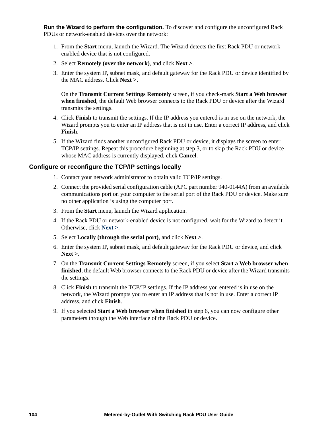**Run the Wizard to perform the configuration.** To discover and configure the unconfigured Rack PDUs or network-enabled devices over the network:

- 1. From the **Start** menu, launch the Wizard. The Wizard detects the first Rack PDU or networkenabled device that is not configured.
- 2. Select **Remotely (over the network)**, and click **Next >**.
- 3. Enter the system IP, subnet mask, and default gateway for the Rack PDU or device identified by the MAC address. Click **Next >**.

On the **Transmit Current Settings Remotely** screen, if you check-mark **Start a Web browser when finished**, the default Web browser connects to the Rack PDU or device after the Wizard transmits the settings.

- 4. Click **Finish** to transmit the settings. If the IP address you entered is in use on the network, the Wizard prompts you to enter an IP address that is not in use. Enter a correct IP address, and click **Finish**.
- 5. If the Wizard finds another unconfigured Rack PDU or device, it displays the screen to enter TCP/IP settings. Repeat this procedure beginning at step 3, or to skip the Rack PDU or device whose MAC address is currently displayed, click **Cancel**.

## **Configure or reconfigure the TCP/IP settings locally**

- 1. Contact your network administrator to obtain valid TCP/IP settings.
- 2. Connect the provided serial configuration cable (APC part number 940-0144A) from an available communications port on your computer to the serial port of the Rack PDU or device. Make sure no other application is using the computer port.
- 3. From the **Start** menu, launch the Wizard application.
- 4. If the Rack PDU or network-enabled device is not configured, wait for the Wizard to detect it. Otherwise, click **Next >**.
- 5. Select **Locally (through the serial port)**, and click **Next >**.
- 6. Enter the system IP, subnet mask, and default gateway for the Rack PDU or device, and click **Next >**.
- 7. On the **Transmit Current Settings Remotely** screen, if you select **Start a Web browser when finished**, the default Web browser connects to the Rack PDU or device after the Wizard transmits the settings.
- 8. Click **Finish** to transmit the TCP/IP settings. If the IP address you entered is in use on the network, the Wizard prompts you to enter an IP address that is not in use. Enter a correct IP address, and click **Finish**.
- 9. If you selected **Start a Web browser when finished** in step 6, you can now configure other parameters through the Web interface of the Rack PDU or device.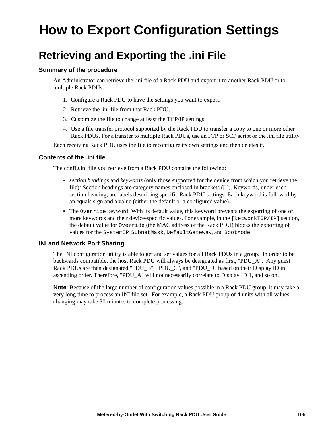# <span id="page-113-0"></span>**How to Export Configuration Settings**

# **Retrieving and Exporting the .ini File**

# **Summary of the procedure**

An Administrator can retrieve the .ini file of a Rack PDU and export it to another Rack PDU or to multiple Rack PDUs.

- 1. Configure a Rack PDU to have the settings you want to export.
- 2. Retrieve the .ini file from that Rack PDU.
- 3. Customize the file to change at least the TCP/IP settings.
- 4. Use a file transfer protocol supported by the Rack PDU to transfer a copy to one or more other Rack PDUs. For a transfer to multiple Rack PDUs, use an FTP or SCP script or the .ini file utility.

Each receiving Rack PDU uses the file to reconfigure its own settings and then deletes it.

# <span id="page-113-1"></span>**Contents of the .ini file**

The config.ini file you retrieve from a Rack PDU contains the following:

- *section headings* and *keywords* (only those supported for the device from which you retrieve the file)*:* Section headings are category names enclosed in brackets ([ ]). Keywords, under each section heading, are labels describing specific Rack PDU settings. Each keyword is followed by an equals sign and a value (either the default or a configured value).
- The Override keyword: With its default value, this keyword prevents the exporting of one or more keywords and their device-specific values. For example, in the [NetworkTCP/IP] section, the default value for Override (the MAC address of the Rack PDU) blocks the exporting of values for the SystemIP, SubnetMask, DefaultGateway, and BootMode.

# **INI and Network Port Sharing**

The INI configuration utility is able to get and set values for all Rack PDUs in a group. In order to be backwards compatible, the host Rack PDU will always be designated as first, "PDU\_A". Any guest Rack PDUs are then designated "PDU B", "PDU C", and "PDU D" based on their Display ID in ascending order. Therefore, "PDU\_A" will not necessarily correlate to Display ID 1, and so on.

**Note**: Because of the large number of configuration values possible in a Rack PDU group, it may take a very long time to process an INI file set. For example, a Rack PDU group of 4 units with all values changing may take 30 minutes to complete processing.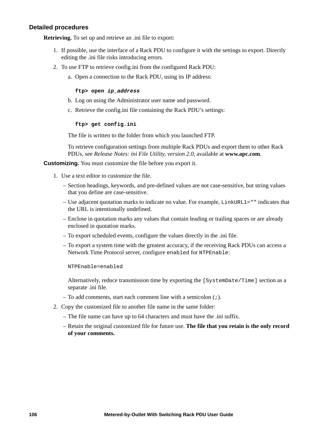### **Detailed procedures**

**Retrieving.** To set up and retrieve an .ini file to export:

- 1. If possible, use the interface of a Rack PDU to configure it with the settings to export. Directly editing the .ini file risks introducing errors.
- 2. To use FTP to retrieve config.ini from the configured Rack PDU:
	- a. Open a connection to the Rack PDU, using its IP address:

#### **ftp> open** *ip\_address*

- b. Log on using the Administrator user name and password.
- c. Retrieve the config.ini file containing the Rack PDU's settings:

#### **ftp> get config.ini**

The file is written to the folder from which you launched FTP.

To retrieve configuration settings from multiple Rack PDUs and export them to other Rack PDUs, see *Release Notes: ini File Utility, version 2.0,* available at **www.apc.com**.

**Customizing.** You must customize the file before you export it.

- 1. Use a text editor to customize the file.
	- Section headings, keywords, and pre-defined values are not case-sensitive, but string values that you define are case-sensitive.
	- Use adjacent quotation marks to indicate no value. For example, LinkURL1="" indicates that the URL is intentionally undefined.
	- Enclose in quotation marks any values that contain leading or trailing spaces or are already enclosed in quotation marks.
	- To export scheduled events, configure the values directly in the .ini file.
	- To export a system time with the greatest accuracy, if the receiving Rack PDUs can access a Network Time Protocol server, configure enabled for NTPEnable:

NTPEnable=enabled

Alternatively, reduce transmission time by exporting the [SystemDate/Time] section as a separate .ini file.

- To add comments, start each comment line with a semicolon (;).
- 2. Copy the customized file to another file name in the same folder:
	- The file name can have up to 64 characters and must have the .ini suffix.
	- Retain the original customized file for future use. **The file that you retain is the only record of your comments.**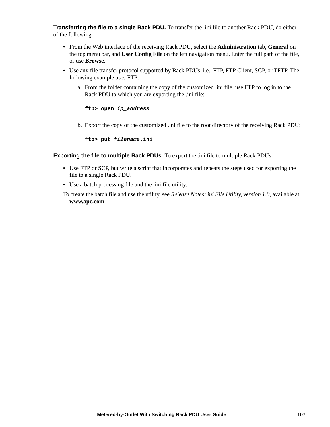**Transferring the file to a single Rack PDU.** To transfer the .ini file to another Rack PDU, do either of the following:

- From the Web interface of the receiving Rack PDU, select the **Administration** tab, **General** on the top menu bar, and **User Config File** on the left navigation menu. Enter the full path of the file, or use **Browse**.
- Use any file transfer protocol supported by Rack PDUs, i.e., FTP, FTP Client, SCP, or TFTP. The following example uses FTP:
	- a. From the folder containing the copy of the customized .ini file, use FTP to log in to the Rack PDU to which you are exporting the .ini file:

**ftp> open** *ip\_address*

b. Export the copy of the customized .ini file to the root directory of the receiving Rack PDU:

**ftp> put** *filename***.ini**

**Exporting the file to multiple Rack PDUs.** To export the .ini file to multiple Rack PDUs:

- Use FTP or SCP, but write a script that incorporates and repeats the steps used for exporting the file to a single Rack PDU.
- Use a batch processing file and the .ini file utility.
- To create the batch file and use the utility, see *Release Notes: ini File Utility, version 1.0*, available at **[www.apc.com](http://www.apc.com)**.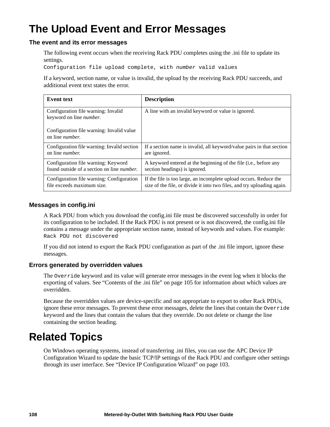# **The Upload Event and Error Messages**

# **The event and its error messages**

The following event occurs when the receiving Rack PDU completes using the .ini file to update its settings.

Configuration file upload complete, with *number* valid values

If a keyword, section name, or value is invalid, the upload by the receiving Rack PDU succeeds, and additional event text states the error.

| <b>Event text</b>                                                    | <b>Description</b>                                                      |
|----------------------------------------------------------------------|-------------------------------------------------------------------------|
| Configuration file warning: Invalid<br>keyword on line number.       | A line with an invalid keyword or value is ignored.                     |
| Configuration file warning: Invalid value<br>on line <i>number</i> . |                                                                         |
| Configuration file warning: Invalid section                          | If a section name is invalid, all keyword/value pairs in that section   |
| on line <i>number</i> .                                              | are ignored.                                                            |
| Configuration file warning: Keyword                                  | A keyword entered at the beginning of the file (i.e., before any        |
| found outside of a section on line number.                           | section headings) is ignored.                                           |
| Configuration file warning: Configuration                            | If the file is too large, an incomplete upload occurs. Reduce the       |
| file exceeds maximum size.                                           | size of the file, or divide it into two files, and try uploading again. |

## **Messages in config.ini**

A Rack PDU from which you download the config.ini file must be discovered successfully in order for its configuration to be included. If the Rack PDU is not present or is not discovered, the config.ini file contains a message under the appropriate section name, instead of keywords and values. For example: Rack PDU not discovered

If you did not intend to export the Rack PDU configuration as part of the .ini file import, ignore these messages.

### **Errors generated by overridden values**

The Override keyword and its value will generate error messages in the event log when it blocks the exporting of values. See ["Contents of the .ini file" on page 105](#page-113-1) for information about which values are overridden.

Because the overridden values are device-specific and not appropriate to export to other Rack PDUs, ignore these error messages. To prevent these error messages, delete the lines that contain the Override keyword and the lines that contain the values that they override. Do not delete or change the line containing the section heading.

# **Related Topics**

On Windows operating systems, instead of transferring .ini files, you can use the APC Device IP Configuration Wizard to update the basic TCP/IP settings of the Rack PDU and configure other settings through its user interface. See ["Device IP Configuration Wizard" on page 103](#page-111-0).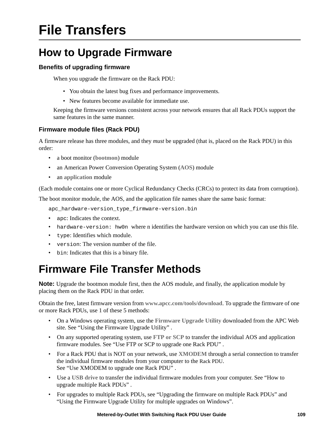# **File Transfers**

# **How to Upgrade Firmware**

# **Benefits of upgrading firmware**

When you upgrade the firmware on the Rack PDU:

- You obtain the latest bug fixes and performance improvements.
- New features become available for immediate use.

Keeping the firmware versions consistent across your network ensures that all Rack PDUs support the same features in the same manner.

# <span id="page-117-1"></span>**Firmware module files (Rack PDU)**

A firmware release has three modules, and they *must* be upgraded (that is, placed on the Rack PDU) in this order:

- a boot monitor (**bootmon**) module
- an American Power Conversion Operating System (**AOS**) module
- an **application** module

(Each module contains one or more Cyclical Redundancy Checks (CRCs) to protect its data from corruption).

The boot monitor module, the AOS, and the application file names share the same basic format:

apc hardware-version type firmware-version.bin

- apc: Indicates the context.
- hardware-version: hw0n where n identifies the hardware version on which you can use this file.
- type: Identifies which module.
- version: The version number of the file.
- bin: Indicates that this is a binary file.

# <span id="page-117-0"></span>**Firmware File Transfer Methods**

**Note:** Upgrade the bootmon module first, then the AOS module, and finally, the application module by placing them on the Rack PDU in that order.

Obtain the free, latest firmware version from **[www.apcc.com/tools/download](http://www.apc.com/tools/download)**. To upgrade the firmware of one or more Rack PDUs, use 1 of these 5 methods:

- On a Windows operating system, use the **Firmware Upgrade Utility** downloaded from the APC Web site. See ["Using the Firmware Upgrade Utility" .](#page-118-0)
- On any supported operating system, use **FTP or SCP** to transfer the individual AOS and application firmware modules. See ["Use FTP or SCP to upgrade one Rack PDU" .](#page-118-1)
- For a Rack PDU that is NOT on your network, use **XMODEM** through a serial connection to transfer the individual firmware modules from your computer to the Rack PDU. See ["Use XMODEM to upgrade one Rack PDU"](#page-119-0) .
- Use a **USB drive** to transfer the individual firmware modules from your computer. See ["How to](#page-120-0)  [upgrade multiple Rack PDUs" .](#page-120-0)
- For upgrades to multiple Rack PDUs, see "Upgrading the firmware on multiple Rack PDUs" and "Using the Firmware Upgrade Utility for multiple upgrades on Windows".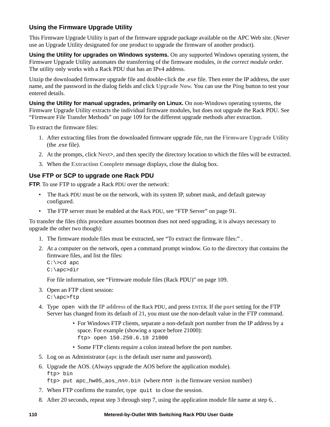# <span id="page-118-0"></span>**Using the Firmware Upgrade Utility**

This Firmware Upgrade Utility is part of the firmware upgrade package available on the APC Web site. (*Never* use an Upgrade Utility designated for one product to upgrade the firmware of another product).

**Using the Utility for upgrades on Windows systems.** On any supported Windows operating system, the Firmware Upgrade Utility automates the transferring of the firmware modules, *in the correct module order*. The utility only works with a Rack PDU that has an IPv4 address.

Unzip the downloaded firmware upgrade file and double-click the .exe file. Then enter the IP address, the user name, and the password in the dialog fields and click **Upgrade Now**. You can use the **Ping** button to test your entered details.

<span id="page-118-3"></span>**Using the Utility for manual upgrades, primarily on Linux.** On non-Windows operating systems, the Firmware Upgrade Utility extracts the individual firmware modules, but does not upgrade the Rack PDU. See ["Firmware File Transfer Methods" on page 109](#page-117-0) for the different upgrade methods after extraction.

<span id="page-118-2"></span>To extract the firmware files:

- 1. After extracting files from the downloaded firmware upgrade file, run the **Firmware Upgrade Utility** (the .exe file).
- 2. At the prompts, click **Next>**, and then specify the directory location to which the files will be extracted.
- 3. When the **Extraction Complete** message displays, close the dialog box.

# <span id="page-118-1"></span>**Use FTP or SCP to upgrade one Rack PDU**

**FTP.** To use FTP to upgrade a Rack PDU over the network:

- The Rack PDU must be on the network, with its system IP, subnet mask, and default gateway configured.
- The FTP server must be enabled at the Rack PDU, see ["FTP Server" on page 91](#page-99-0).

To transfer the files (this procedure assumes bootmon does not need upgrading, it is always necessary to upgrade the other two though):

- 1. The firmware module files must be extracted, see ["To extract the firmware files:" .](#page-118-2)
- 2. At a computer on the network, open a command prompt window. Go to the directory that contains the firmware files, and list the files:

C:\>cd apc C:\apc>dir

For file information, see ["Firmware module files \(Rack PDU\)" on page 109](#page-117-1).

- 3. Open an FTP client session: C:\apc>ftp
- 4. Type open with the **IP address** of the Rack PDU, and press ENTER. If the **port** setting for the FTP Server has changed from its default of **21**, you must use the non-default value in the FTP command.
	- For Windows FTP clients, separate a non-default port number from the IP address by a space. For example (showing a space before 21000): ftp> open 150.250.6.10 21000
	- Some FTP clients require a colon instead before the port number.
- 5. Log on as Administrator (**apc** is the default user name and password).
- 6. Upgrade the AOS. (Always upgrade the AOS before the application module). ftp> bin

ftp> put apc\_hw05\_aos\_*nnn*.bin (where *nnn* is the firmware version number)

- 7. When FTP confirms the transfer, type quit to close the session.
- 8. After 20 seconds, repeat step 3 through step 7, using the application module file name at step 6, .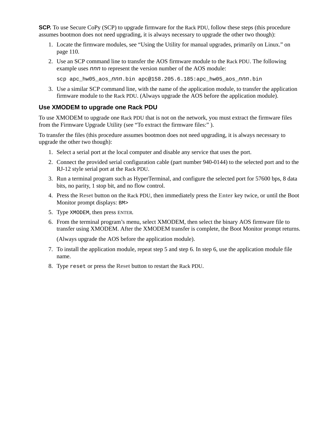**SCP.** To use Secure CoPy (SCP) to upgrade firmware for the Rack PDU, follow these steps (this procedure assumes bootmon does not need upgrading, it is always necessary to upgrade the other two though):

- 1. Locate the firmware modules, see ["Using the Utility for manual upgrades, primarily on Linux." on](#page-118-3)  [page 110.](#page-118-3)
- 2. Use an SCP command line to transfer the AOS firmware module to the Rack PDU. The following example uses *nnn* to represent the version number of the AOS module:

scp apc\_hw05\_aos\_*nnn*.bin apc@158.205.6.185:apc\_hw05\_aos\_*nnn*.bin

3. Use a similar SCP command line, with the name of the application module, to transfer the application firmware module to the Rack PDU. (Always upgrade the AOS before the application module).

# <span id="page-119-0"></span>**Use XMODEM to upgrade one Rack PDU**

To use XMODEM to upgrade one Rack PDU that is not on the network, you must extract the firmware files from the Firmware Upgrade Utility (see ["To extract the firmware files:" \)](#page-118-2).

To transfer the files (this procedure assumes bootmon does not need upgrading, it is always necessary to upgrade the other two though):

- 1. Select a serial port at the local computer and disable any service that uses the port.
- 2. Connect the provided serial configuration cable (part number 940-0144) to the selected port and to the RJ-12 style serial port at the Rack PDU.
- 3. Run a terminal program such as HyperTerminal, and configure the selected port for 57600 bps, 8 data bits, no parity, 1 stop bit, and no flow control.
- 4. Press the **Reset** button on the Rack PDU, then immediately press the **Enter** key twice, or until the Boot Monitor prompt displays: BM>
- 5. Type XMODEM, then press ENTER.
- 6. From the terminal program's menu, select XMODEM, then select the binary AOS firmware file to transfer using XMODEM. After the XMODEM transfer is complete, the Boot Monitor prompt returns.

(Always upgrade the AOS before the application module).

- 7. To install the application module, repeat step 5 and step 6. In step 6, use the application module file name.
- 8. Type reset or press the **Reset** button to restart the Rack PDU.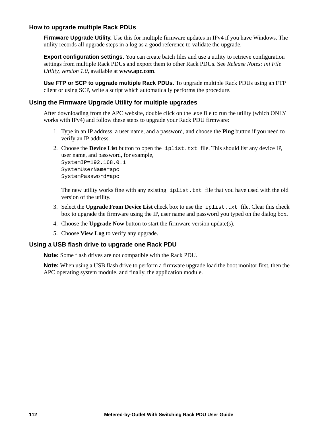## <span id="page-120-0"></span>**How to upgrade multiple Rack PDUs**

**Firmware Upgrade Utility.** Use this for multiple firmware updates in IPv4 if you have Windows. The utility records all upgrade steps in a log as a good reference to validate the upgrade.

**Export configuration settings.** You can create batch files and use a utility to retrieve configuration settings from multiple Rack PDUs and export them to other Rack PDUs. See *Release Notes: ini File Utility, version 1.0,* available at **[www.apc.com](http://www.apc.com)**.

**Use FTP or SCP to upgrade multiple Rack PDUs.** To upgrade multiple Rack PDUs using an FTP client or using SCP, write a script which automatically performs the procedure.

## **Using the Firmware Upgrade Utility for multiple upgrades**

After downloading from the APC website, double click on the .exe file to run the utility (which ONLY works with IPv4) and follow these steps to upgrade your Rack PDU firmware:

- 1. Type in an IP address, a user name, and a password, and choose the **Ping** button if you need to verify an IP address.
- 2. Choose the **Device List** button to open the iplist.txt file. This should list any device IP, user name, and password, for example,

SystemIP=192.168.0.1 SystemUserName=apc SystemPassword=apc

The new utility works fine with any existing iplist.txt file that you have used with the old version of the utility.

- 3. Select the **Upgrade From Device List** check box to use the iplist.txt file. Clear this check box to upgrade the firmware using the IP, user name and password you typed on the dialog box.
- 4. Choose the **Upgrade Now** button to start the firmware version update(s).
- 5. Choose **View Log** to verify any upgrade.

### **Using a USB flash drive to upgrade one Rack PDU**

**Note:** Some flash drives are not compatible with the Rack PDU.

**Note:** When using a USB flash drive to perform a firmware upgrade load the boot monitor first, then the APC operating system module, and finally, the application module.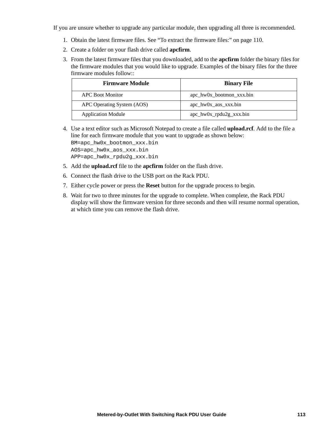If you are unsure whether to upgrade any particular module, then upgrading all three is recommended.

- 1. Obtain the latest firmware files. See ["To extract the firmware files:" on page 110](#page-118-2).
- 2. Create a folder on your flash drive called **apcfirm**.
- 3. From the latest firmware files that you downloaded, add to the **apcfirm** folder the binary files for the firmware modules that you would like to upgrade. Examples of the binary files for the three firmware modules follow::

| <b>Firmware Module</b>     | <b>Binary File</b>         |
|----------------------------|----------------------------|
| APC Boot Monitor           | $apc_hw0x_bootmon_xxx,bin$ |
| APC Operating System (AOS) | $apc_hw0x_aos_xxx,bin$     |
| <b>Application Module</b>  | $apc_hw0x_rpdu2g_xxxx.bin$ |

4. Use a text editor such as Microsoft Notepad to create a file called **upload.rcf**. Add to the file a line for each firmware module that you want to upgrade as shown below: BM=apc\_hw0x\_bootmon\_xxx.bin AOS=apc\_hw0x\_aos\_xxx.bin

APP=apc\_hw0x\_rpdu2g\_xxx.bin

- 5. Add the **upload.rcf** file to the **apcfirm** folder on the flash drive.
- 6. Connect the flash drive to the USB port on the Rack PDU.
- 7. Either cycle power or press the **Reset** button for the upgrade process to begin.
- 8. Wait for two to three minutes for the upgrade to complete. When complete, the Rack PDU display will show the firmware version for three seconds and then will resume normal operation, at which time you can remove the flash drive.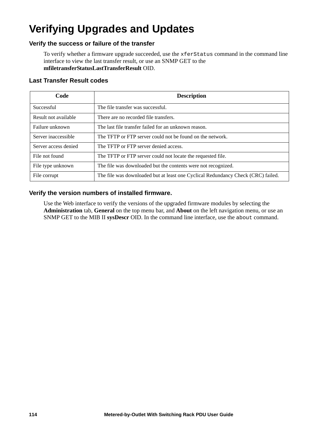# **Verifying Upgrades and Updates**

# **Verify the success or failure of the transfer**

To verify whether a firmware upgrade succeeded, use the xferStatus command in the command line interface to view the last transfer result, or use an SNMP GET to the **mfiletransferStatusLastTransferResult** OID.

# **Last Transfer Result codes**

| Code                 | <b>Description</b>                                                               |
|----------------------|----------------------------------------------------------------------------------|
| Successful           | The file transfer was successful.                                                |
| Result not available | There are no recorded file transfers.                                            |
| Failure unknown      | The last file transfer failed for an unknown reason.                             |
| Server inaccessible  | The TFTP or FTP server could not be found on the network.                        |
| Server access denied | The TFTP or FTP server denied access.                                            |
| File not found       | The TFTP or FTP server could not locate the requested file.                      |
| File type unknown    | The file was downloaded but the contents were not recognized.                    |
| File corrupt         | The file was downloaded but at least one Cyclical Redundancy Check (CRC) failed. |

# **Verify the version numbers of installed firmware.**

Use the Web interface to verify the versions of the upgraded firmware modules by selecting the **Administration** tab, **General** on the top menu bar, and **About** on the left navigation menu, or use an SNMP GET to the MIB II **sysDescr** OID. In the command line interface, use the about command.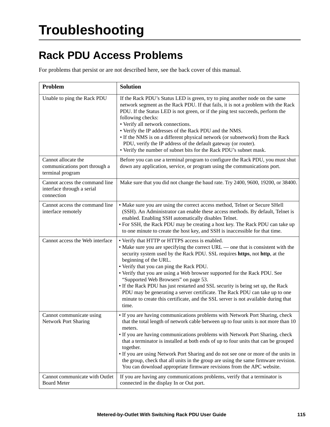# **Rack PDU Access Problems**

For problems that persist or are not described here, see the back cover of this manual.

| Problem                                                                    | <b>Solution</b>                                                                                                                                                                                                                                                                                                                                                                                                                                                                                                                                                                                                                                                             |
|----------------------------------------------------------------------------|-----------------------------------------------------------------------------------------------------------------------------------------------------------------------------------------------------------------------------------------------------------------------------------------------------------------------------------------------------------------------------------------------------------------------------------------------------------------------------------------------------------------------------------------------------------------------------------------------------------------------------------------------------------------------------|
| Unable to ping the Rack PDU                                                | If the Rack PDU's Status LED is green, try to ping another node on the same<br>network segment as the Rack PDU. If that fails, it is not a problem with the Rack<br>PDU. If the Status LED is not green, or if the ping test succeeds, perform the<br>following checks:<br>• Verify all network connections.<br>• Verify the IP addresses of the Rack PDU and the NMS.<br>• If the NMS is on a different physical network (or subnetwork) from the Rack<br>PDU, verify the IP address of the default gateway (or router).<br>• Verify the number of subnet bits for the Rack PDU's subnet mask.                                                                             |
| Cannot allocate the<br>communications port through a<br>terminal program   | Before you can use a terminal program to configure the Rack PDU, you must shut<br>down any application, service, or program using the communications port.                                                                                                                                                                                                                                                                                                                                                                                                                                                                                                                  |
| Cannot access the command line<br>interface through a serial<br>connection | Make sure that you did not change the baud rate. Try 2400, 9600, 19200, or 38400.                                                                                                                                                                                                                                                                                                                                                                                                                                                                                                                                                                                           |
| Cannot access the command line<br>interface remotely                       | • Make sure you are using the correct access method, Telnet or Secure SHell<br>(SSH). An Administrator can enable these access methods. By default, Telnet is<br>enabled. Enabling SSH automatically disables Telnet.<br>• For SSH, the Rack PDU may be creating a host key. The Rack PDU can take up<br>to one minute to create the host key, and SSH is inaccessible for that time.                                                                                                                                                                                                                                                                                       |
| Cannot access the Web interface                                            | • Verify that HTTP or HTTPS access is enabled.<br>• Make sure you are specifying the correct URL — one that is consistent with the<br>security system used by the Rack PDU. SSL requires https, not http, at the<br>beginning of the URL.<br>• Verify that you can ping the Rack PDU.<br>• Verify that you are using a Web browser supported for the Rack PDU. See<br>"Supported Web Browsers" on page 53.<br>• If the Rack PDU has just restarted and SSL security is being set up, the Rack<br>PDU may be generating a server certificate. The Rack PDU can take up to one<br>minute to create this certificate, and the SSL server is not available during that<br>time. |
| Cannot communicate using<br>Network Port Sharing                           | • If you are having communications problems with Network Port Sharing, check<br>that the total length of network cable between up to four units is not more than 10<br>meters.<br>• If you are having communications problems with Network Port Sharing, check<br>that a terminator is installed at both ends of up to four units that can be grouped<br>together.<br>• If you are using Network Port Sharing and do not see one or more of the units in<br>the group, check that all units in the group are using the same firmware revision.<br>You can download appropriate firmware revisions from the APC website.                                                     |
| Cannot communicate with Outlet<br><b>Board Meter</b>                       | If you are having any communications problems, verify that a terminator is<br>connected in the display In or Out port.                                                                                                                                                                                                                                                                                                                                                                                                                                                                                                                                                      |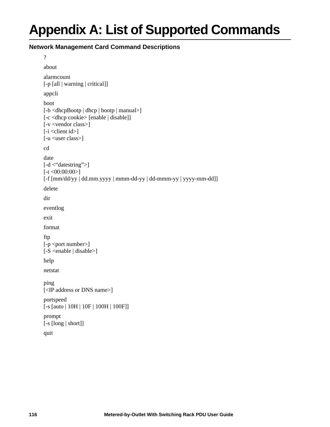# **Appendix A: List of Supported Commands**

# **Network Management Card Command Descriptions**

?

```
about
alarmcount 
[-p [all | warning | critical]]
appcli
boot 
[-b <dhcpBootp | dhcp | bootp | manual>]
[-c <dhcp cookie> [enable | disable]]
[-v <vendor class>]
[-i \times client id][-u <user class>]
cd
date 
[-d < "datestring">]
[-t \le 00:00:00][-f [mm/dd/yy | dd.mm.yyyy | mmm-dd-yy | dd-mmm-yy | yyyy-mm-dd]]
delete
dir
eventlog
exit
format
ftp 
[-p <port number>]
[-S <enable | disable>]
help
netstat
ping 
[<IP address or DNS name>]
portspeed 
[-s [auto | 10H | 10F | 100H | 100F]]
prompt 
[-s [long | short]]
quit
```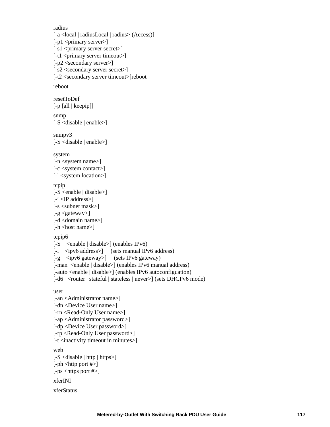```
radius 
[-a <local | radiusLocal | radius> (Access)]
[-p1 <primary server>]
[-s1] <primary server secret>]
[-t1 <primary server timeout>]
[-p2 <secondary server>]
[-s2 <secondary server secret>]
[-t2 <secondary server timeout>]reboot
reboot
resetToDef 
[-p [all | keepip]]
snmp 
[-S <disable | enable>]
snmp<sub>v3</sub>
[-S <disable | enable>]
system
[-n <system name>]
[-c <system contact>]
[-l <system location>]
tcpip
[-S <enable | disable>]
[-i] <IP address>][-s <subnet mask>]
[-g <gateway>]
[-d <domain name>]
[-h <host name>]
tcpip6 
[-S <enable | disable>] (enables IPv6)
[-i \quad \text{kip}(6) \quad \text{address} \times] (sets manual IPv6 address)
[-g \langleipv6 gateway>] (sets IPv6 gateway)
[-man <enable | disable>] (enables IPv6 manual address)
[-auto <enable | disable>] (enables IPv6 autoconfiguation)
[-d6 < router | stateful | stateless | never > [ (sets DHCPv6 mode)
user
[-an <Administrator name>]
[-dn <Device User name>]
[-rn <Read-Only User name>]
[-ap <Administrator password>]
[-dp <Device User password>]
[-rp <Read-Only User password>]
[-t <inactivity timeout in minutes>]
web
[-S \leq S \leq S] | http | https>]
[-ph <http port #>]
[-ps <https port #>]
xferINI
xferStatus
```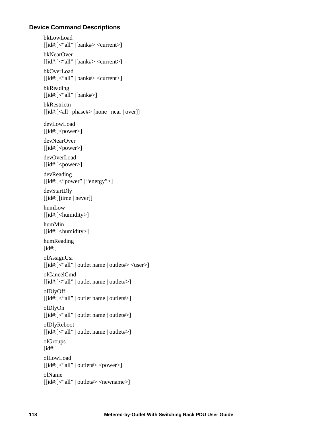# **Device Command Descriptions**

bkLowLoad  $[[id\#:]<$ "all" | bank#> <current>] bkNearOver  $[[id\#:]$  \cdotating \times\$\left(\mnat{\mnat{\mnat{\mnat{\mnat{\mnat{\mnat{\mnat{\mnat{\mnat{\mnat{\mnat{\mnat{\mnat{\mnat{\mnat{\mnat{\mnat{\mnat{\mnat{\mnat{\mnat{\mnat{\mnat{\mnat{\mnat{\mnat{\mnat{\mnat{\mnat{\mnat{\mn bkOverLoad  $\left[$ [id#:]<"all" | bank#> <current>] bkReading  $[[id\#:]<$  all" | bank#>] bkRestrictn [[id#:]<all | phase#> [none | near | over]] devLowLoad  $[[id\text{#}:]$  < power >  $]$ devNearOver  $[$ [id#:]<power>] devOverLoad  $[[id\text{#}:]$  < power >  $]$ devReading  $[[id\#:]<$ "power" | "energy">] devStartDly [[id#:][time | never]] humLow  $[[id\#:]$  \chumidity \chumidity \chumidity \chumidity \chumidity \chumidity \chumidity \chumidity \chumidity \chumidity \chumidity \chumidity \chumidity \chumidity \chumidity \chumidity \chumidity \chumidity \chumidity \chu humMin [[id#:]<humidity>] humReading [id#:] olAssignUsr [[id#:]<"all" | outlet name | outlet#> <user>] olCancelCmd [[id#:]<"all" | outlet name | outlet#>] olDlyOff [[id#:]<"all" | outlet name | outlet#>] olDlyOn [[id#:]<"all" | outlet name | outlet#>] olDlyReboot [[id#:]<"all" | outlet name | outlet#>] olGroups [id#:] olLowLoad  $[[id\#:]<$ "all" | outlet#> <power>] olName [[id#:]<"all" | outlet#> <newname>]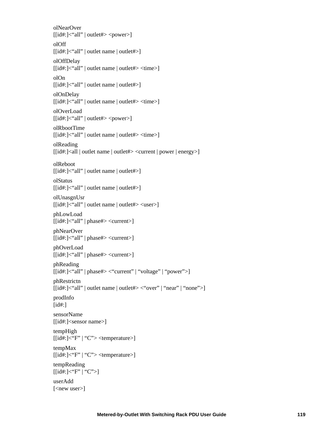olNearOver [[id#:]<"all" | outlet#> <power>] olOff [[id#:]<"all" | outlet name | outlet#>] olOffDelay [[id#:]<"all" | outlet name | outlet#> <time>] olOn [[id#:]<"all" | outlet name | outlet#>] olOnDelay [[id#:]<"all" | outlet name | outlet#> <time>] olOverLoad  $[[id\#:]<$ "all" | outlet#> <power>] olRbootTime [[id#:]<"all" | outlet name | outlet#> <time>] olReading [[id#:]<all | outlet name | outlet#> <current | power | energy>] olReboot [[id#:]<"all" | outlet name | outlet#>] olStatus [[id#:]<"all" | outlet name | outlet#>] olUnasgnUsr [[id#:]<"all" | outlet name | outlet#> <user>] phLowLoad  $[[id\#:] \le \text{all"} \mid \text{phase} \ne \text{current} \ge ]$ phNearOver [[id#:]<"all" | phase#> <current>] phOverLoad  $[[id\#:] < "all" | phase\#> < current>$ ] phReading [[id#:]<"all" | phase#> <"current" | "voltage" | "power">] phRestrictn [[id#:]<"all" | outlet name | outlet#> <"over" | "near" | "none">] prodInfo [id#:] sensorName [[id#:]<sensor name>] tempHigh  $\lfloor \lceil \text{id#:} \rceil \leq \text{``F''} \rfloor \text{``C''>} \leq \text{temperature>} \rfloor$ tempMax  $[[id\#:]$  \cdef{:  $'\text{F}$ " | "C" > <temperature > ] tempReading  $[[id\#:]<$   $\check{F}$ "  $\check{C}$ ">] userAdd [<new user>]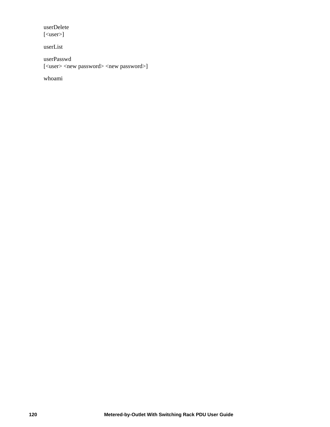userDelete [<user>]

userList

userPasswd [<user> <new password> <new password>]

whoami